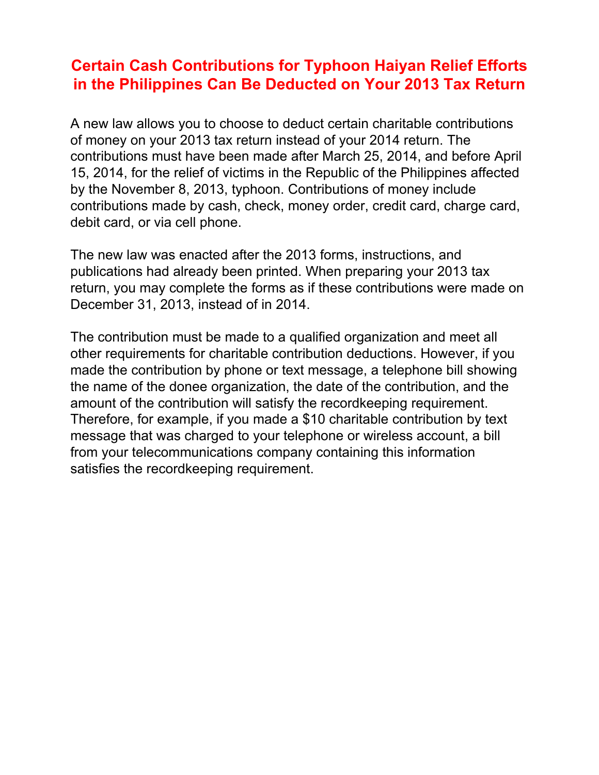## **Certain Cash Contributions for Typhoon Haiyan Relief Efforts in the Philippines Can Be Deducted on Your 2013 Tax Return**

A new law allows you to choose to deduct certain charitable contributions of money on your 2013 tax return instead of your 2014 return. The contributions must have been made after March 25, 2014, and before April 15, 2014, for the relief of victims in the Republic of the Philippines affected by the November 8, 2013, typhoon. Contributions of money include contributions made by cash, check, money order, credit card, charge card, debit card, or via cell phone.

The new law was enacted after the 2013 forms, instructions, and publications had already been printed. When preparing your 2013 tax return, you may complete the forms as if these contributions were made on December 31, 2013, instead of in 2014.

The contribution must be made to a qualified organization and meet all other requirements for charitable contribution deductions. However, if you made the contribution by phone or text message, a telephone bill showing the name of the donee organization, the date of the contribution, and the amount of the contribution will satisfy the recordkeeping requirement. Therefore, for example, if you made a \$10 charitable contribution by text message that was charged to your telephone or wireless account, a bill from your telecommunications company containing this information satisfies the recordkeeping requirement.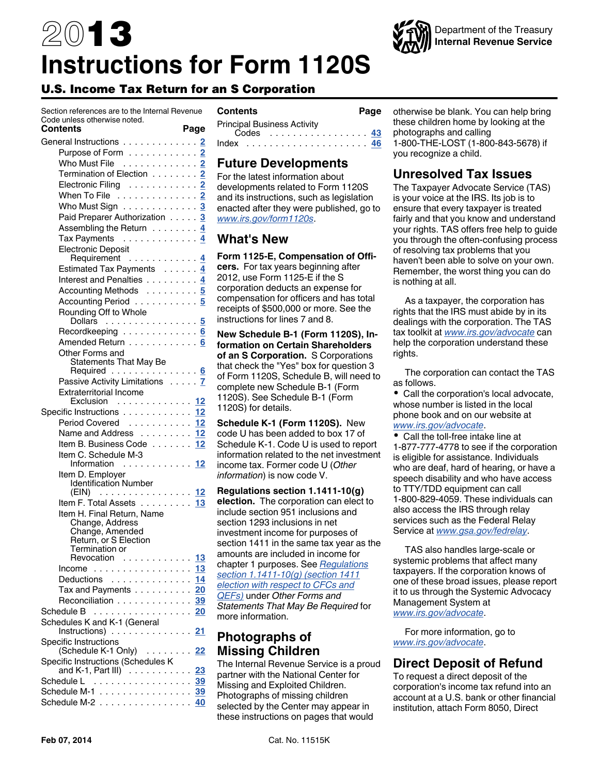# <span id="page-1-0"></span>2013 **Instructions for Form 1120S**

### U.S. Income Tax Return for an S Corporation

Section references are to the Internal Revenue Code unless otherwise noted. **Contents** 

| Contents                                                | raye            |  |
|---------------------------------------------------------|-----------------|--|
| General Instructions .......... <mark>2</mark>          |                 |  |
| Purpose of Form 2                                       |                 |  |
| Who Must File <u>2</u>                                  |                 |  |
| Termination of Election 2<br>Electronic Filing <u>2</u> |                 |  |
|                                                         |                 |  |
| When To File $\ldots \ldots \ldots \ldots$ 2            |                 |  |
| Who Must Sign 3                                         |                 |  |
| Paid Preparer Authorization 3                           |                 |  |
| Assembling the Return 4                                 |                 |  |
| Tax Payments 4                                          |                 |  |
| Electronic Deposit                                      |                 |  |
| Requirement 4                                           |                 |  |
| Estimated Tax Payments 4                                |                 |  |
| Interest and Penalties 4                                |                 |  |
| Accounting Methods 5                                    |                 |  |
| Accounting Period 5                                     |                 |  |
| Rounding Off to Whole                                   |                 |  |
| Dollars <u>5</u>                                        |                 |  |
| Recordkeeping 6                                         |                 |  |
| Amended Return 6                                        |                 |  |
| Other Forms and                                         |                 |  |
| <b>Statements That May Be</b>                           |                 |  |
| Required 6                                              |                 |  |
| Passive Activity Limitations 7                          |                 |  |
| <b>Extraterritorial Income</b>                          |                 |  |
| Exclusion 12                                            |                 |  |
| Specific Instructions .......... <mark>12</mark>        |                 |  |
| Period Covered  12                                      |                 |  |
|                                                         |                 |  |
| Name and Address  12<br>Item B. Business Code  12       |                 |  |
| Item C. Schedule M-3                                    |                 |  |
| Information<br>. <u>12</u>                              |                 |  |
| Item D. Employer                                        |                 |  |
| Identification Number                                   |                 |  |
| (EIN) <u>12</u>                                         |                 |  |
| Item F. Total Assets 13                                 |                 |  |
| Item H. Final Return, Name                              |                 |  |
| Change, Address                                         |                 |  |
| Change, Amended<br>Return, or S Election                |                 |  |
| Termination or                                          |                 |  |
| Revocation  13                                          |                 |  |
| Income 13                                               |                 |  |
| Deductions                                              | <u>14</u>       |  |
| Tax and Payments $\ldots \ldots \ldots$                 | 20              |  |
| Reconciliation                                          | <u>39</u>       |  |
| Schedule B                                              | 20              |  |
| .<br>Schedules K and K-1 (General                       |                 |  |
| $Instructions)$                                         | 21<br>$\sim 10$ |  |
| <b>Specific Instructions</b>                            |                 |  |
| (Schedule K-1 Only)<br>.                                | 22              |  |
| Specific Instructions (Schedules K                      |                 |  |
| and K-1, Part III) $\ldots \ldots \ldots$               | 23              |  |
| Schedule Lass                                           | 39              |  |
| Schedule M-1                                            | <u>39</u>       |  |
| Schedule M-2 $\ldots$                                   | 40              |  |
|                                                         |                 |  |

#### **Contents Page**

Principal Business Activity Codes ................. **[43](#page-43-0)** Index ..................... **[46](#page-46-0)**

### **Future Developments**

For the latest information about developments related to Form 1120S and its instructions, such as legislation enacted after they were published, go to *[www.irs.gov/form1120s](http://www.irs.gov/form1120s)*.

### **What's New**

**Form 1125-E, Compensation of Officers.** For tax years beginning after 2012, use Form 1125-E if the S corporation deducts an expense for compensation for officers and has total receipts of \$500,000 or more. See the instructions for lines 7 and 8.

**New Schedule B-1 (Form 1120S), Information on Certain Shareholders of an S Corporation.** S Corporations that check the "Yes" box for question 3 of Form 1120S, Schedule B, will need to complete new Schedule B-1 (Form 1120S). See Schedule B-1 (Form 1120S) for details.

**Schedule K-1 (Form 1120S).** New code U has been added to box 17 of Schedule K-1. Code U is used to report information related to the net investment income tax. Former code U (*Other information*) is now code V.

**Regulations section 1.1411-10(g) election.** The corporation can elect to include section 951 inclusions and section 1293 inclusions in net investment income for purposes of section 1411 in the same tax year as the amounts are included in income for chapter 1 purposes. See *[Regulations](#page-6-0)  [section 1.1411-10\(g\) \(section 1411](#page-6-0)  [election with respect to CFCs and](#page-6-0) [QEFs\)](#page-6-0)* under *Other Forms and Statements That May Be Required* for more information.

### **Photographs of Missing Children**

The Internal Revenue Service is a proud partner with the National Center for Missing and Exploited Children. Photographs of missing children selected by the Center may appear in these instructions on pages that would

otherwise be blank. You can help bring these children home by looking at the photographs and calling 1-800-THE-LOST (1-800-843-5678) if you recognize a child.

### **Unresolved Tax Issues**

The Taxpayer Advocate Service (TAS) is your voice at the IRS. Its job is to ensure that every taxpayer is treated fairly and that you know and understand your rights. TAS offers free help to guide you through the often-confusing process of resolving tax problems that you haven't been able to solve on your own. Remember, the worst thing you can do is nothing at all.

As a taxpayer, the corporation has rights that the IRS must abide by in its dealings with the corporation. The TAS tax toolkit at *[www.irs.gov/advocate](http://www.irs.gov/advocate)* can help the corporation understand these rights.

The corporation can contact the TAS as follows.

Call the corporation's local advocate, whose number is listed in the local phone book and on our website at *[www.irs.gov/advocate](http://www.irs.gov/advocate)*.

Call the toll-free intake line at 1-877-777-4778 to see if the corporation is eligible for assistance. Individuals who are deaf, hard of hearing, or have a speech disability and who have access to TTY/TDD equipment can call 1-800-829-4059. These individuals can also access the IRS through relay services such as the Federal Relay Service at *[www.gsa.gov/fedrelay](http://www.gsa.gov/fedrelay)*.

TAS also handles large-scale or systemic problems that affect many taxpayers. If the corporation knows of one of these broad issues, please report it to us through the Systemic Advocacy Management System at *[www.irs.gov/advocate](http://www.irs.gov/advocate)*.

For more information, go to *[www.irs.gov/advocate](http://www.irs.gov/advocate)*.

### **Direct Deposit of Refund**

To request a direct deposit of the corporation's income tax refund into an account at a U.S. bank or other financial institution, attach Form 8050, Direct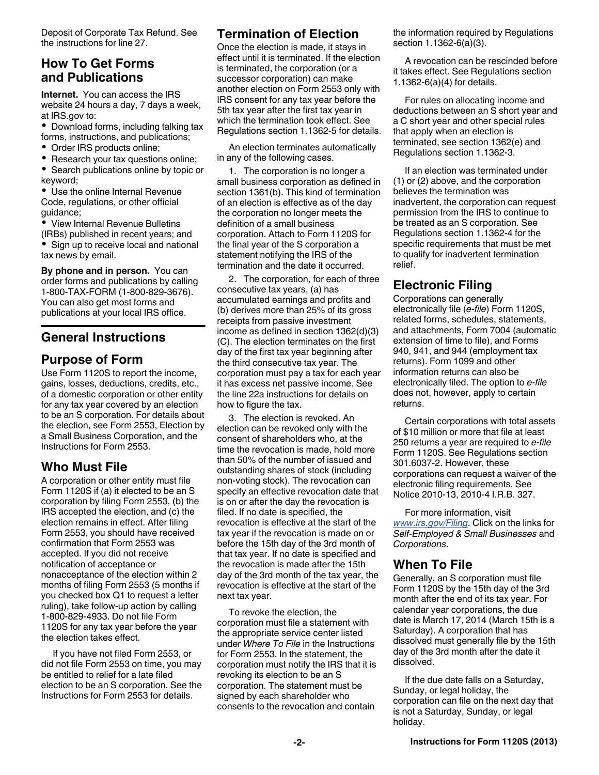<span id="page-2-0"></span>Deposit of Corporate Tax Refund. See the instructions for line 27.

### **How To Get Forms and Publications**

**Internet.** You can access the IRS website 24 hours a day, 7 days a week, at IRS.gov to:

• Download forms, including talking tax forms, instructions, and publications;

- Order IRS products online;
- Research your tax questions online;

• Search publications online by topic or keyword;

Use the online Internal Revenue Code, regulations, or other official guidance;

View Internal Revenue Bulletins (IRBs) published in recent years; and

• Sign up to receive local and national tax news by email.

**By phone and in person.** You can order forms and publications by calling 1-800-TAX-FORM (1-800-829-3676). You can also get most forms and publications at your local IRS office.

### **General Instructions**

### **Purpose of Form**

Use Form 1120S to report the income, gains, losses, deductions, credits, etc., of a domestic corporation or other entity for any tax year covered by an election to be an S corporation. For details about the election, see Form 2553, Election by a Small Business Corporation, and the Instructions for Form 2553.

### **Who Must File**

A corporation or other entity must file Form 1120S if (a) it elected to be an S corporation by filing Form 2553, (b) the IRS accepted the election, and (c) the election remains in effect. After filing Form 2553, you should have received confirmation that Form 2553 was accepted. If you did not receive notification of acceptance or nonacceptance of the election within 2 months of filing Form 2553 (5 months if you checked box Q1 to request a letter ruling), take follow-up action by calling 1-800-829-4933. Do not file Form 1120S for any tax year before the year the election takes effect.

If you have not filed Form 2553, or did not file Form 2553 on time, you may be entitled to relief for a late filed election to be an S corporation. See the Instructions for Form 2553 for details.

### **Termination of Election**

Once the election is made, it stays in effect until it is terminated. If the election is terminated, the corporation (or a successor corporation) can make another election on Form 2553 only with IRS consent for any tax year before the 5th tax year after the first tax year in which the termination took effect. See Regulations section 1.1362-5 for details.

An election terminates automatically in any of the following cases.

1. The corporation is no longer a small business corporation as defined in section 1361(b). This kind of termination of an election is effective as of the day the corporation no longer meets the definition of a small business corporation. Attach to Form 1120S for the final year of the S corporation a statement notifying the IRS of the termination and the date it occurred.

2. The corporation, for each of three consecutive tax years, (a) has accumulated earnings and profits and (b) derives more than 25% of its gross receipts from passive investment income as defined in section 1362(d)(3) (C). The election terminates on the first day of the first tax year beginning after the third consecutive tax year. The corporation must pay a tax for each year it has excess net passive income. See the line 22a instructions for details on how to figure the tax.

3. The election is revoked. An election can be revoked only with the consent of shareholders who, at the time the revocation is made, hold more than 50% of the number of issued and outstanding shares of stock (including non-voting stock). The revocation can specify an effective revocation date that is on or after the day the revocation is filed. If no date is specified, the revocation is effective at the start of the tax year if the revocation is made on or before the 15th day of the 3rd month of that tax year. If no date is specified and the revocation is made after the 15th day of the 3rd month of the tax year, the revocation is effective at the start of the next tax year.

To revoke the election, the corporation must file a statement with the appropriate service center listed under *Where To File* in the Instructions for Form 2553. In the statement, the corporation must notify the IRS that it is revoking its election to be an S corporation. The statement must be signed by each shareholder who consents to the revocation and contain

the information required by Regulations section 1.1362-6(a)(3).

A revocation can be rescinded before it takes effect. See Regulations section 1.1362-6(a)(4) for details.

For rules on allocating income and deductions between an S short year and a C short year and other special rules that apply when an election is terminated, see section 1362(e) and Regulations section 1.1362-3.

If an election was terminated under (1) or (2) above, and the corporation believes the termination was inadvertent, the corporation can request permission from the IRS to continue to be treated as an S corporation. See Regulations section 1.1362-4 for the specific requirements that must be met to qualify for inadvertent termination relief.

### **Electronic Filing**

Corporations can generally electronically file (*e-file*) Form 1120S, related forms, schedules, statements, and attachments, Form 7004 (automatic extension of time to file), and Forms 940, 941, and 944 (employment tax returns). Form 1099 and other information returns can also be electronically filed. The option to *e-file*  does not, however, apply to certain returns.

Certain corporations with total assets of \$10 million or more that file at least 250 returns a year are required to *e-file*  Form 1120S. See Regulations section 301.6037-2. However, these corporations can request a waiver of the electronic filing requirements. See Notice 2010-13, 2010-4 I.R.B. 327.

For more information, visit *[www.irs.gov/Filing](http://www.irs.gov/Filing)*. Click on the links for *Self-Employed & Small Businesses* and *Corporations*.

### **When To File**

Generally, an S corporation must file Form 1120S by the 15th day of the 3rd month after the end of its tax year. For calendar year corporations, the due date is March 17, 2014 (March 15th is a Saturday). A corporation that has dissolved must generally file by the 15th day of the 3rd month after the date it dissolved.

If the due date falls on a Saturday, Sunday, or legal holiday, the corporation can file on the next day that is not a Saturday, Sunday, or legal holiday.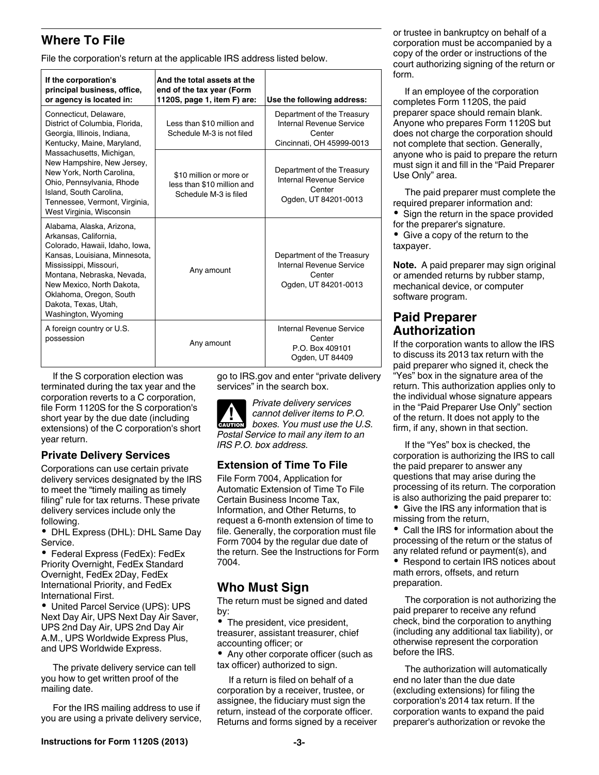## <span id="page-3-0"></span>**Where To File**

File the corporation's return at the applicable IRS address listed below.

| If the corporation's<br>principal business, office,<br>or agency is located in:                                                                                                                                                                                                      | And the total assets at the<br>end of the tax year (Form<br>1120S, page 1, item F) are: | Use the following address:                                                                    |
|--------------------------------------------------------------------------------------------------------------------------------------------------------------------------------------------------------------------------------------------------------------------------------------|-----------------------------------------------------------------------------------------|-----------------------------------------------------------------------------------------------|
| Connecticut, Delaware,<br>District of Columbia, Florida,<br>Georgia, Illinois, Indiana,<br>Kentucky, Maine, Maryland,                                                                                                                                                                | Less than \$10 million and<br>Schedule M-3 is not filed                                 | Department of the Treasury<br>Internal Revenue Service<br>Center<br>Cincinnati, OH 45999-0013 |
| Massachusetts, Michigan,<br>New Hampshire, New Jersey,<br>New York, North Carolina.<br>Ohio, Pennsylvania, Rhode<br>Island, South Carolina,<br>Tennessee, Vermont, Virginia,<br>West Virginia, Wisconsin                                                                             | \$10 million or more or<br>less than \$10 million and<br>Schedule M-3 is filed          | Department of the Treasury<br>Internal Revenue Service<br>Center<br>Ogden, UT 84201-0013      |
| Alabama, Alaska, Arizona,<br>Arkansas, California,<br>Colorado, Hawaii, Idaho, Iowa,<br>Kansas, Louisiana, Minnesota,<br>Mississippi, Missouri,<br>Montana, Nebraska, Nevada,<br>New Mexico, North Dakota,<br>Oklahoma, Oregon, South<br>Dakota, Texas, Utah,<br>Washington, Wyoming | Any amount                                                                              | Department of the Treasury<br>Internal Revenue Service<br>Center<br>Ogden, UT 84201-0013      |
| A foreign country or U.S.<br>possession                                                                                                                                                                                                                                              | Any amount                                                                              | Internal Revenue Service<br>Center<br>P.O. Box 409101<br>Ogden, UT 84409                      |

If the S corporation election was terminated during the tax year and the corporation reverts to a C corporation, file Form 1120S for the S corporation's short year by the due date (including extensions) of the C corporation's short year return.

### **Private Delivery Services**

Corporations can use certain private delivery services designated by the IRS to meet the "timely mailing as timely filing" rule for tax returns. These private delivery services include only the following.

DHL Express (DHL): DHL Same Day Service.

Federal Express (FedEx): FedEx Priority Overnight, FedEx Standard Overnight, FedEx 2Day, FedEx International Priority, and FedEx International First.

United Parcel Service (UPS): UPS Next Day Air, UPS Next Day Air Saver, UPS 2nd Day Air, UPS 2nd Day Air A.M., UPS Worldwide Express Plus, and UPS Worldwide Express.

The private delivery service can tell you how to get written proof of the mailing date.

For the IRS mailing address to use if you are using a private delivery service, go to IRS.gov and enter "private delivery services" in the search box.

*Private delivery services cannot deliver items to P.O.*  **boxes.** You must use the U.S. *Postal Service to mail any item to an IRS P.O. box address.*

### **Extension of Time To File**

File Form 7004, Application for Automatic Extension of Time To File Certain Business Income Tax, Information, and Other Returns, to request a 6-month extension of time to file. Generally, the corporation must file Form 7004 by the regular due date of the return. See the Instructions for Form 7004.

## **Who Must Sign**

The return must be signed and dated by:

The president, vice president, treasurer, assistant treasurer, chief accounting officer; or

• Any other corporate officer (such as tax officer) authorized to sign.

If a return is filed on behalf of a corporation by a receiver, trustee, or assignee, the fiduciary must sign the return, instead of the corporate officer. Returns and forms signed by a receiver or trustee in bankruptcy on behalf of a corporation must be accompanied by a copy of the order or instructions of the court authorizing signing of the return or form.

If an employee of the corporation completes Form 1120S, the paid preparer space should remain blank. Anyone who prepares Form 1120S but does not charge the corporation should not complete that section. Generally, anyone who is paid to prepare the return must sign it and fill in the "Paid Preparer Use Only" area.

The paid preparer must complete the required preparer information and:

• Sign the return in the space provided for the preparer's signature.

• Give a copy of the return to the taxpayer.

**Note.** A paid preparer may sign original or amended returns by rubber stamp, mechanical device, or computer software program.

### **Paid Preparer Authorization**

If the corporation wants to allow the IRS to discuss its 2013 tax return with the paid preparer who signed it, check the "Yes" box in the signature area of the return. This authorization applies only to the individual whose signature appears in the "Paid Preparer Use Only" section of the return. It does not apply to the firm, if any, shown in that section.

If the "Yes" box is checked, the corporation is authorizing the IRS to call the paid preparer to answer any questions that may arise during the processing of its return. The corporation is also authorizing the paid preparer to:

• Give the IRS any information that is missing from the return,

Call the IRS for information about the processing of the return or the status of any related refund or payment(s), and

• Respond to certain IRS notices about math errors, offsets, and return preparation.

The corporation is not authorizing the paid preparer to receive any refund check, bind the corporation to anything (including any additional tax liability), or otherwise represent the corporation before the IRS.

The authorization will automatically end no later than the due date (excluding extensions) for filing the corporation's 2014 tax return. If the corporation wants to expand the paid preparer's authorization or revoke the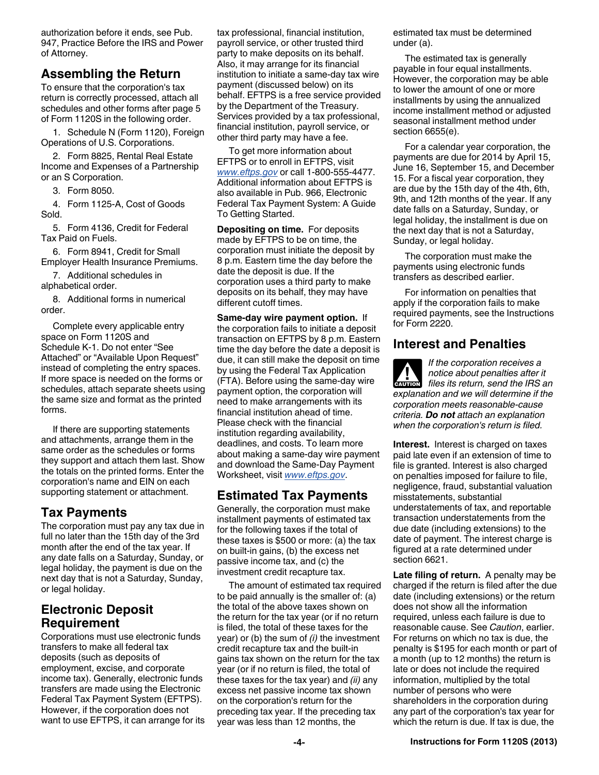<span id="page-4-0"></span>authorization before it ends, see Pub. 947, Practice Before the IRS and Power of Attorney.

### **Assembling the Return**

To ensure that the corporation's tax return is correctly processed, attach all schedules and other forms after page 5 of Form 1120S in the following order.

1. Schedule N (Form 1120), Foreign Operations of U.S. Corporations.

2. Form 8825, Rental Real Estate Income and Expenses of a Partnership or an S Corporation.

3. Form 8050.

4. Form 1125-A, Cost of Goods Sold.

5. Form 4136, Credit for Federal Tax Paid on Fuels.

6. Form 8941, Credit for Small Employer Health Insurance Premiums.

7. Additional schedules in alphabetical order.

8. Additional forms in numerical order.

Complete every applicable entry space on Form 1120S and Schedule K-1. Do not enter "See Attached" or "Available Upon Request" instead of completing the entry spaces. If more space is needed on the forms or schedules, attach separate sheets using the same size and format as the printed forms.

If there are supporting statements and attachments, arrange them in the same order as the schedules or forms they support and attach them last. Show the totals on the printed forms. Enter the corporation's name and EIN on each supporting statement or attachment.

### **Tax Payments**

The corporation must pay any tax due in full no later than the 15th day of the 3rd month after the end of the tax year. If any date falls on a Saturday, Sunday, or legal holiday, the payment is due on the next day that is not a Saturday, Sunday, or legal holiday.

### **Electronic Deposit Requirement**

Corporations must use electronic funds transfers to make all federal tax deposits (such as deposits of employment, excise, and corporate income tax). Generally, electronic funds transfers are made using the Electronic Federal Tax Payment System (EFTPS). However, if the corporation does not want to use EFTPS, it can arrange for its tax professional, financial institution, payroll service, or other trusted third party to make deposits on its behalf. Also, it may arrange for its financial institution to initiate a same-day tax wire payment (discussed below) on its behalf. EFTPS is a free service provided by the Department of the Treasury. Services provided by a tax professional, financial institution, payroll service, or other third party may have a fee.

To get more information about EFTPS or to enroll in EFTPS, visit *[www.eftps.gov](http://www.eftps.gov)* or call 1-800-555-4477. Additional information about EFTPS is also available in Pub. 966, Electronic Federal Tax Payment System: A Guide To Getting Started.

**Depositing on time.** For deposits made by EFTPS to be on time, the corporation must initiate the deposit by 8 p.m. Eastern time the day before the date the deposit is due. If the corporation uses a third party to make deposits on its behalf, they may have different cutoff times.

**Same-day wire payment option.** If the corporation fails to initiate a deposit transaction on EFTPS by 8 p.m. Eastern time the day before the date a deposit is due, it can still make the deposit on time by using the Federal Tax Application (FTA). Before using the same-day wire payment option, the corporation will need to make arrangements with its financial institution ahead of time. Please check with the financial institution regarding availability, deadlines, and costs. To learn more about making a same-day wire payment and download the Same-Day Payment Worksheet, visit *[www.eftps.gov](http://www.eftps.gov)*.

### **Estimated Tax Payments**

Generally, the corporation must make installment payments of estimated tax for the following taxes if the total of these taxes is \$500 or more: (a) the tax on built-in gains, (b) the excess net passive income tax, and (c) the investment credit recapture tax.

The amount of estimated tax required to be paid annually is the smaller of: (a) the total of the above taxes shown on the return for the tax year (or if no return is filed, the total of these taxes for the year) or (b) the sum of *(i)* the investment credit recapture tax and the built-in gains tax shown on the return for the tax year (or if no return is filed, the total of these taxes for the tax year) and *(ii)* any excess net passive income tax shown on the corporation's return for the preceding tax year. If the preceding tax year was less than 12 months, the

estimated tax must be determined under (a).

The estimated tax is generally payable in four equal installments. However, the corporation may be able to lower the amount of one or more installments by using the annualized income installment method or adjusted seasonal installment method under section 6655(e).

For a calendar year corporation, the payments are due for 2014 by April 15, June 16, September 15, and December 15. For a fiscal year corporation, they are due by the 15th day of the 4th, 6th, 9th, and 12th months of the year. If any date falls on a Saturday, Sunday, or legal holiday, the installment is due on the next day that is not a Saturday, Sunday, or legal holiday.

The corporation must make the payments using electronic funds transfers as described earlier.

For information on penalties that apply if the corporation fails to make required payments, see the Instructions for Form 2220.

### **Interest and Penalties**

*If the corporation receives a notice about penalties after it files its return, send the IRS an explanation and we will determine if the corporation meets reasonable-cause criteria. Do not attach an explanation when the corporation's return is filed.*

**Interest.** Interest is charged on taxes paid late even if an extension of time to file is granted. Interest is also charged on penalties imposed for failure to file, negligence, fraud, substantial valuation misstatements, substantial understatements of tax, and reportable transaction understatements from the due date (including extensions) to the date of payment. The interest charge is figured at a rate determined under section 6621.

**Late filing of return.** A penalty may be charged if the return is filed after the due date (including extensions) or the return does not show all the information required, unless each failure is due to reasonable cause. See *Caution*, earlier. For returns on which no tax is due, the penalty is \$195 for each month or part of a month (up to 12 months) the return is late or does not include the required information, multiplied by the total number of persons who were shareholders in the corporation during any part of the corporation's tax year for which the return is due. If tax is due, the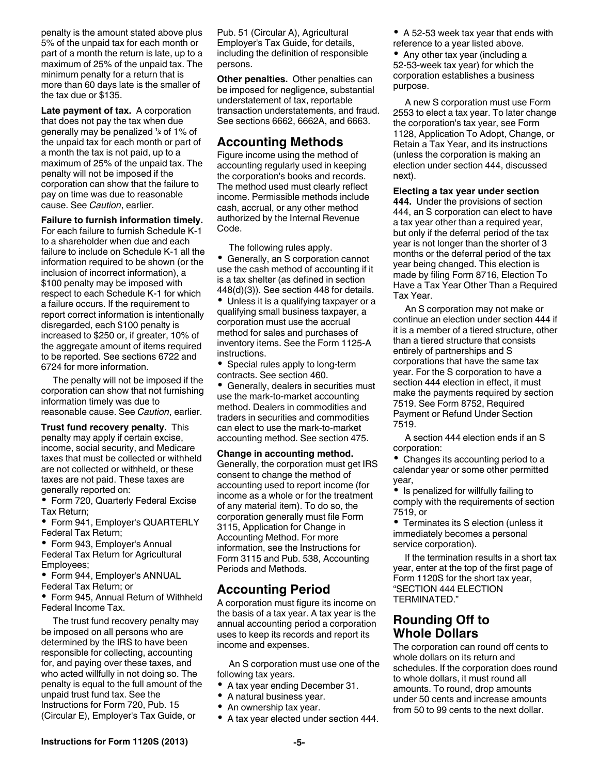<span id="page-5-0"></span>penalty is the amount stated above plus 5% of the unpaid tax for each month or part of a month the return is late, up to a maximum of 25% of the unpaid tax. The minimum penalty for a return that is more than 60 days late is the smaller of the tax due or \$135.

Late payment of tax. A corporation that does not pay the tax when due generally may be penalized  $\frac{1}{2}$  of 1% of the unpaid tax for each month or part of a month the tax is not paid, up to a maximum of 25% of the unpaid tax. The penalty will not be imposed if the corporation can show that the failure to pay on time was due to reasonable cause. See *Caution*, earlier.

#### **Failure to furnish information timely.**

For each failure to furnish Schedule K-1 to a shareholder when due and each failure to include on Schedule K-1 all the information required to be shown (or the inclusion of incorrect information), a \$100 penalty may be imposed with respect to each Schedule K-1 for which a failure occurs. If the requirement to report correct information is intentionally disregarded, each \$100 penalty is increased to \$250 or, if greater, 10% of the aggregate amount of items required to be reported. See sections 6722 and 6724 for more information.

The penalty will not be imposed if the corporation can show that not furnishing information timely was due to reasonable cause. See *Caution*, earlier.

**Trust fund recovery penalty.** This penalty may apply if certain excise, income, social security, and Medicare taxes that must be collected or withheld are not collected or withheld, or these taxes are not paid. These taxes are generally reported on:

Form 720, Quarterly Federal Excise Tax Return;

Form 941, Employer's QUARTERLY Federal Tax Return;

Form 943, Employer's Annual Federal Tax Return for Agricultural Employees;

Form 944, Employer's ANNUAL Federal Tax Return; or

Form 945, Annual Return of Withheld Federal Income Tax.

The trust fund recovery penalty may be imposed on all persons who are determined by the IRS to have been responsible for collecting, accounting for, and paying over these taxes, and who acted willfully in not doing so. The penalty is equal to the full amount of the unpaid trust fund tax. See the Instructions for Form 720, Pub. 15 (Circular E), Employer's Tax Guide, or

Pub. 51 (Circular A), Agricultural Employer's Tax Guide, for details, including the definition of responsible persons.

**Other penalties.** Other penalties can be imposed for negligence, substantial understatement of tax, reportable transaction understatements, and fraud. See sections 6662, 6662A, and 6663.

### **Accounting Methods**

Figure income using the method of accounting regularly used in keeping the corporation's books and records. The method used must clearly reflect income. Permissible methods include cash, accrual, or any other method authorized by the Internal Revenue Code.

The following rules apply. Generally, an S corporation cannot use the cash method of accounting if it is a tax shelter (as defined in section 448(d)(3)). See section 448 for details.

Unless it is a qualifying taxpayer or a qualifying small business taxpayer, a corporation must use the accrual method for sales and purchases of inventory items. See the Form 1125-A instructions.

• Special rules apply to long-term contracts. See section 460.

Generally, dealers in securities must use the mark-to-market accounting method. Dealers in commodities and traders in securities and commodities can elect to use the mark-to-market accounting method. See section 475.

**Change in accounting method.** Generally, the corporation must get IRS consent to change the method of accounting used to report income (for income as a whole or for the treatment of any material item). To do so, the corporation generally must file Form 3115, Application for Change in Accounting Method. For more information, see the Instructions for Form 3115 and Pub. 538, Accounting Periods and Methods.

### **Accounting Period**

A corporation must figure its income on the basis of a tax year. A tax year is the annual accounting period a corporation uses to keep its records and report its income and expenses.

An S corporation must use one of the following tax years.

- A tax year ending December 31.
- A natural business year.
- An ownership tax year.
- A tax year elected under section 444.

A 52-53 week tax year that ends with reference to a year listed above.

• Any other tax year (including a 52-53-week tax year) for which the corporation establishes a business purpose.

generally may be penalized <sup>1</sup> <sup>th</sup> of 1% of the state of the state of the state of the state of the state of the state of the state of the state of the state of the state of the state of the state of the state of the stat A new S corporation must use Form 2553 to elect a tax year. To later change the corporation's tax year, see Form 1128, Application To Adopt, Change, or Retain a Tax Year, and its instructions (unless the corporation is making an election under section 444, discussed next).

**Electing a tax year under section** 

**444.** Under the provisions of section 444, an S corporation can elect to have a tax year other than a required year, but only if the deferral period of the tax year is not longer than the shorter of 3 months or the deferral period of the tax year being changed. This election is made by filing Form 8716, Election To Have a Tax Year Other Than a Required Tax Year.

An S corporation may not make or continue an election under section 444 if it is a member of a tiered structure, other than a tiered structure that consists entirely of partnerships and S corporations that have the same tax year. For the S corporation to have a section 444 election in effect, it must make the payments required by section 7519. See Form 8752, Required Payment or Refund Under Section 7519.

A section 444 election ends if an S corporation:

Changes its accounting period to a calendar year or some other permitted year,

• Is penalized for willfully failing to comply with the requirements of section 7519, or

Terminates its S election (unless it immediately becomes a personal service corporation).

If the termination results in a short tax year, enter at the top of the first page of Form 1120S for the short tax year, "SECTION 444 ELECTION TERMINATED."

### **Rounding Off to Whole Dollars**

The corporation can round off cents to whole dollars on its return and schedules. If the corporation does round to whole dollars, it must round all amounts. To round, drop amounts under 50 cents and increase amounts from 50 to 99 cents to the next dollar.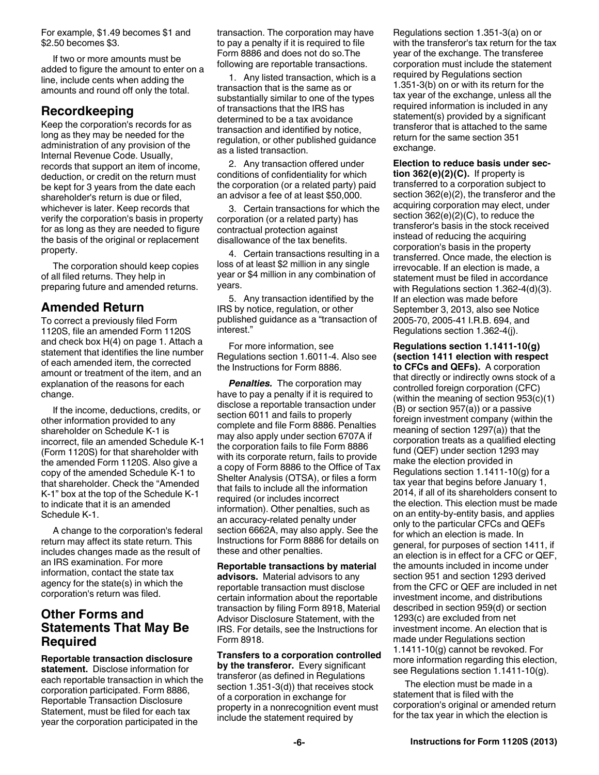<span id="page-6-0"></span>For example, \$1.49 becomes \$1 and \$2.50 becomes \$3.

If two or more amounts must be added to figure the amount to enter on a line, include cents when adding the amounts and round off only the total.

### **Recordkeeping**

Keep the corporation's records for as long as they may be needed for the administration of any provision of the Internal Revenue Code. Usually, records that support an item of income, deduction, or credit on the return must be kept for 3 years from the date each shareholder's return is due or filed, whichever is later. Keep records that verify the corporation's basis in property for as long as they are needed to figure the basis of the original or replacement property.

The corporation should keep copies of all filed returns. They help in preparing future and amended returns.

### **Amended Return**

To correct a previously filed Form 1120S, file an amended Form 1120S and check box H(4) on page 1. Attach a statement that identifies the line number of each amended item, the corrected amount or treatment of the item, and an explanation of the reasons for each change.

If the income, deductions, credits, or other information provided to any shareholder on Schedule K-1 is incorrect, file an amended Schedule K-1 (Form 1120S) for that shareholder with the amended Form 1120S. Also give a copy of the amended Schedule K-1 to that shareholder. Check the "Amended K-1" box at the top of the Schedule K-1 to indicate that it is an amended Schedule K-1.

A change to the corporation's federal return may affect its state return. This includes changes made as the result of an IRS examination. For more information, contact the state tax agency for the state(s) in which the corporation's return was filed.

### **Other Forms and Statements That May Be Required**

**Reportable transaction disclosure statement.** Disclose information for each reportable transaction in which the corporation participated. Form 8886, Reportable Transaction Disclosure Statement, must be filed for each tax year the corporation participated in the

transaction. The corporation may have to pay a penalty if it is required to file Form 8886 and does not do so.The following are reportable transactions.

1. Any listed transaction, which is a transaction that is the same as or substantially similar to one of the types of transactions that the IRS has determined to be a tax avoidance transaction and identified by notice, regulation, or other published guidance as a listed transaction.

2. Any transaction offered under conditions of confidentiality for which the corporation (or a related party) paid an advisor a fee of at least \$50,000.

3. Certain transactions for which the corporation (or a related party) has contractual protection against disallowance of the tax benefits.

4. Certain transactions resulting in a loss of at least \$2 million in any single year or \$4 million in any combination of years.

5. Any transaction identified by the IRS by notice, regulation, or other published guidance as a "transaction of interest."

For more information, see Regulations section 1.6011-4. Also see the Instructions for Form 8886.

*Penalties.* The corporation may have to pay a penalty if it is required to disclose a reportable transaction under section 6011 and fails to properly complete and file Form 8886. Penalties may also apply under section 6707A if the corporation fails to file Form 8886 with its corporate return, fails to provide a copy of Form 8886 to the Office of Tax Shelter Analysis (OTSA), or files a form that fails to include all the information required (or includes incorrect information). Other penalties, such as an accuracy-related penalty under section 6662A, may also apply. See the Instructions for Form 8886 for details on these and other penalties.

**Reportable transactions by material advisors.** Material advisors to any reportable transaction must disclose certain information about the reportable transaction by filing Form 8918, Material Advisor Disclosure Statement, with the IRS. For details, see the Instructions for Form 8918.

**Transfers to a corporation controlled by the transferor.** Every significant transferor (as defined in Regulations section 1.351-3(d)) that receives stock of a corporation in exchange for property in a nonrecognition event must include the statement required by

Regulations section 1.351-3(a) on or with the transferor's tax return for the tax year of the exchange. The transferee corporation must include the statement required by Regulations section 1.351-3(b) on or with its return for the tax year of the exchange, unless all the required information is included in any statement(s) provided by a significant transferor that is attached to the same return for the same section 351 exchange.

**Election to reduce basis under section 362(e)(2)(C).** If property is transferred to a corporation subject to section 362(e)(2), the transferor and the acquiring corporation may elect, under section 362(e)(2)(C), to reduce the transferor's basis in the stock received instead of reducing the acquiring corporation's basis in the property transferred. Once made, the election is irrevocable. If an election is made, a statement must be filed in accordance with Regulations section 1.362-4(d)(3). If an election was made before September 3, 2013, also see Notice

2005-70, 2005-41 I.R.B. 694, and Regulations section 1.362-4(j).

**Regulations section 1.1411-10(g) (section 1411 election with respect to CFCs and QEFs).** A corporation

that directly or indirectly owns stock of a controlled foreign corporation (CFC) (within the meaning of section 953(c)(1) (B) or section 957(a)) or a passive foreign investment company (within the meaning of section 1297(a)) that the corporation treats as a qualified electing fund (QEF) under section 1293 may make the election provided in Regulations section 1.1411-10(g) for a tax year that begins before January 1, 2014, if all of its shareholders consent to the election. This election must be made on an entity-by-entity basis, and applies only to the particular CFCs and QEFs for which an election is made. In general, for purposes of section 1411, if an election is in effect for a CFC or QEF, the amounts included in income under section 951 and section 1293 derived from the CFC or QEF are included in net investment income, and distributions described in section 959(d) or section 1293(c) are excluded from net investment income. An election that is made under Regulations section 1.1411-10(g) cannot be revoked. For more information regarding this election, see Regulations section 1.1411-10(g).

The election must be made in a statement that is filed with the corporation's original or amended return for the tax year in which the election is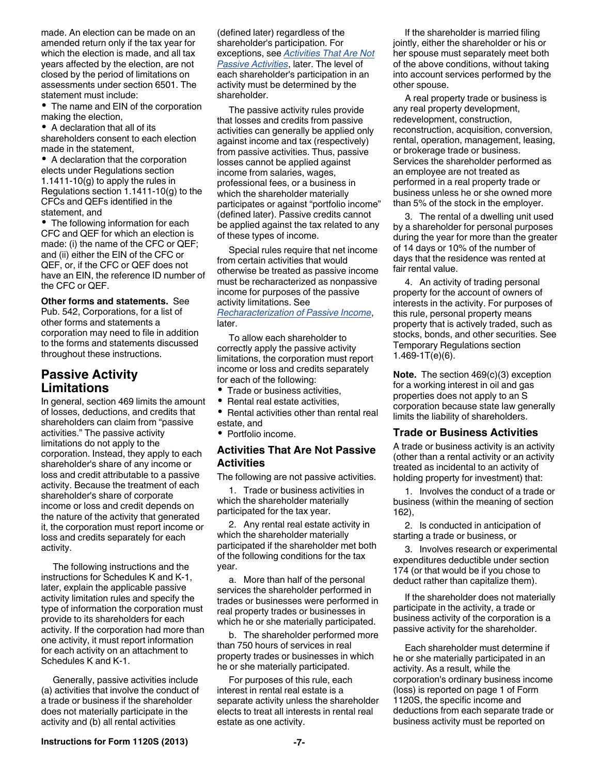<span id="page-7-0"></span>made. An election can be made on an amended return only if the tax year for which the election is made, and all tax years affected by the election, are not closed by the period of limitations on assessments under section 6501. The statement must include:

• The name and EIN of the corporation making the election,

A declaration that all of its shareholders consent to each election made in the statement,

A declaration that the corporation elects under Regulations section 1.1411-10(g) to apply the rules in Regulations section 1.1411-10(g) to the CFCs and QEFs identified in the statement, and

The following information for each CFC and QEF for which an election is made: (i) the name of the CFC or QEF; and (ii) either the EIN of the CFC or QEF, or, if the CFC or QEF does not have an EIN, the reference ID number of the CFC or QEF.

**Other forms and statements.** See Pub. 542, Corporations, for a list of other forms and statements a corporation may need to file in addition to the forms and statements discussed throughout these instructions.

### **Passive Activity Limitations**

In general, section 469 limits the amount of losses, deductions, and credits that shareholders can claim from "passive activities." The passive activity limitations do not apply to the corporation. Instead, they apply to each shareholder's share of any income or loss and credit attributable to a passive activity. Because the treatment of each shareholder's share of corporate income or loss and credit depends on the nature of the activity that generated it, the corporation must report income or loss and credits separately for each activity.

The following instructions and the instructions for Schedules K and K-1, later, explain the applicable passive activity limitation rules and specify the type of information the corporation must provide to its shareholders for each activity. If the corporation had more than one activity, it must report information for each activity on an attachment to Schedules K and K-1.

Generally, passive activities include (a) activities that involve the conduct of a trade or business if the shareholder does not materially participate in the activity and (b) all rental activities

(defined later) regardless of the shareholder's participation. For exceptions, see *Activities That Are Not Passive Activities*, later. The level of each shareholder's participation in an activity must be determined by the shareholder.

The passive activity rules provide that losses and credits from passive activities can generally be applied only against income and tax (respectively) from passive activities. Thus, passive losses cannot be applied against income from salaries, wages, professional fees, or a business in which the shareholder materially participates or against "portfolio income" (defined later). Passive credits cannot be applied against the tax related to any of these types of income.

Special rules require that net income from certain activities that would otherwise be treated as passive income must be recharacterized as nonpassive income for purposes of the passive activity limitations. See

*[Recharacterization of Passive Income](#page-10-0)*, later.

To allow each shareholder to correctly apply the passive activity limitations, the corporation must report income or loss and credits separately for each of the following:

- Trade or business activities,
- $\bullet$ Rental real estate activities,
- Rental activities other than rental real estate, and
- Portfolio income.

#### **Activities That Are Not Passive Activities**

The following are not passive activities.

1. Trade or business activities in which the shareholder materially participated for the tax year.

2. Any rental real estate activity in which the shareholder materially participated if the shareholder met both of the following conditions for the tax year.

a. More than half of the personal services the shareholder performed in trades or businesses were performed in real property trades or businesses in which he or she materially participated.

b. The shareholder performed more than 750 hours of services in real property trades or businesses in which he or she materially participated.

For purposes of this rule, each interest in rental real estate is a separate activity unless the shareholder elects to treat all interests in rental real estate as one activity.

If the shareholder is married filing jointly, either the shareholder or his or her spouse must separately meet both of the above conditions, without taking into account services performed by the other spouse.

A real property trade or business is any real property development, redevelopment, construction, reconstruction, acquisition, conversion, rental, operation, management, leasing, or brokerage trade or business. Services the shareholder performed as an employee are not treated as performed in a real property trade or business unless he or she owned more than 5% of the stock in the employer.

3. The rental of a dwelling unit used by a shareholder for personal purposes during the year for more than the greater of 14 days or 10% of the number of days that the residence was rented at fair rental value.

4. An activity of trading personal property for the account of owners of interests in the activity. For purposes of this rule, personal property means property that is actively traded, such as stocks, bonds, and other securities. See Temporary Regulations section  $1.469 - 1T(e)(6)$ .

**Note.** The section 469(c)(3) exception for a working interest in oil and gas properties does not apply to an S corporation because state law generally limits the liability of shareholders.

#### **Trade or Business Activities**

A trade or business activity is an activity (other than a rental activity or an activity treated as incidental to an activity of holding property for investment) that:

1. Involves the conduct of a trade or business (within the meaning of section 162),

2. Is conducted in anticipation of starting a trade or business, or

3. Involves research or experimental expenditures deductible under section 174 (or that would be if you chose to deduct rather than capitalize them).

If the shareholder does not materially participate in the activity, a trade or business activity of the corporation is a passive activity for the shareholder.

Each shareholder must determine if he or she materially participated in an activity. As a result, while the corporation's ordinary business income (loss) is reported on page 1 of Form 1120S, the specific income and deductions from each separate trade or business activity must be reported on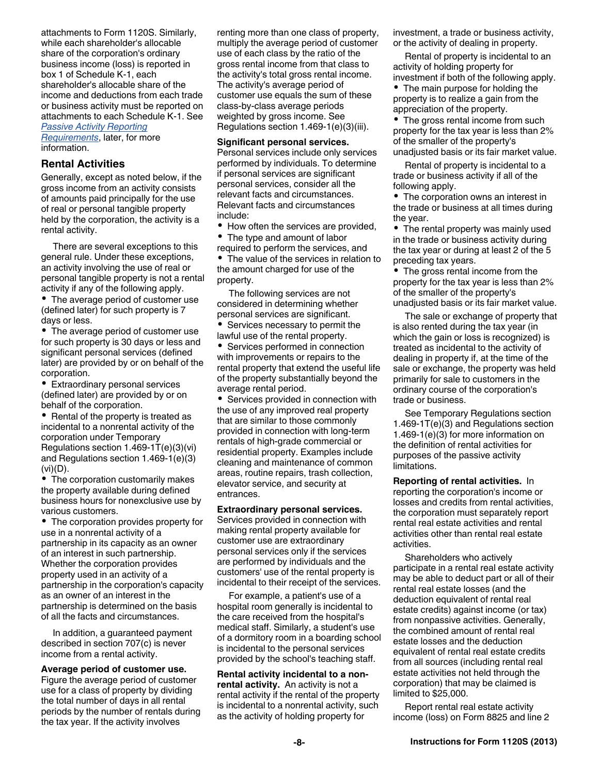<span id="page-8-0"></span>attachments to Form 1120S. Similarly, while each shareholder's allocable share of the corporation's ordinary business income (loss) is reported in box 1 of Schedule K-1, each shareholder's allocable share of the income and deductions from each trade or business activity must be reported on attachments to each Schedule K-1. See *[Passive Activity Reporting](#page-10-0)* 

*[Requirements](#page-10-0)*, later, for more information.

#### **Rental Activities**

Generally, except as noted below, if the gross income from an activity consists of amounts paid principally for the use of real or personal tangible property held by the corporation, the activity is a rental activity.

There are several exceptions to this general rule. Under these exceptions, an activity involving the use of real or personal tangible property is not a rental activity if any of the following apply.

• The average period of customer use (defined later) for such property is 7 days or less.

• The average period of customer use for such property is 30 days or less and significant personal services (defined later) are provided by or on behalf of the corporation.

Extraordinary personal services (defined later) are provided by or on behalf of the corporation.

• Rental of the property is treated as incidental to a nonrental activity of the corporation under Temporary Regulations section 1.469-1T(e)(3)(vi) and Regulations section 1.469-1(e)(3) (vi)(D).

• The corporation customarily makes the property available during defined business hours for nonexclusive use by various customers.

The corporation provides property for use in a nonrental activity of a partnership in its capacity as an owner of an interest in such partnership. Whether the corporation provides property used in an activity of a partnership in the corporation's capacity as an owner of an interest in the partnership is determined on the basis of all the facts and circumstances.

In addition, a guaranteed payment described in section 707(c) is never income from a rental activity.

#### **Average period of customer use.**

Figure the average period of customer use for a class of property by dividing the total number of days in all rental periods by the number of rentals during the tax year. If the activity involves

renting more than one class of property, multiply the average period of customer use of each class by the ratio of the gross rental income from that class to the activity's total gross rental income. The activity's average period of customer use equals the sum of these class-by-class average periods weighted by gross income. See Regulations section 1.469-1(e)(3)(iii).

#### **Significant personal services.**

Personal services include only services performed by individuals. To determine if personal services are significant personal services, consider all the relevant facts and circumstances. Relevant facts and circumstances include:

• How often the services are provided,

The type and amount of labor required to perform the services, and The value of the services in relation to the amount charged for use of the property.

The following services are not considered in determining whether personal services are significant.

Services necessary to permit the lawful use of the rental property.

Services performed in connection with improvements or repairs to the rental property that extend the useful life of the property substantially beyond the average rental period.

 $\bullet$ Services provided in connection with the use of any improved real property that are similar to those commonly provided in connection with long-term rentals of high-grade commercial or residential property. Examples include cleaning and maintenance of common areas, routine repairs, trash collection, elevator service, and security at entrances.

#### **Extraordinary personal services.**

Services provided in connection with making rental property available for customer use are extraordinary personal services only if the services are performed by individuals and the customers' use of the rental property is incidental to their receipt of the services.

For example, a patient's use of a hospital room generally is incidental to the care received from the hospital's medical staff. Similarly, a student's use of a dormitory room in a boarding school is incidental to the personal services provided by the school's teaching staff.

**Rental activity incidental to a nonrental activity.** An activity is not a rental activity if the rental of the property is incidental to a nonrental activity, such as the activity of holding property for

investment, a trade or business activity, or the activity of dealing in property.

Rental of property is incidental to an activity of holding property for investment if both of the following apply.

• The main purpose for holding the property is to realize a gain from the appreciation of the property.

• The gross rental income from such property for the tax year is less than 2% of the smaller of the property's unadjusted basis or its fair market value.

Rental of property is incidental to a trade or business activity if all of the following apply.

• The corporation owns an interest in the trade or business at all times during the year.

• The rental property was mainly used in the trade or business activity during the tax year or during at least 2 of the 5 preceding tax years.

• The gross rental income from the property for the tax year is less than 2% of the smaller of the property's unadjusted basis or its fair market value.

The sale or exchange of property that is also rented during the tax year (in which the gain or loss is recognized) is treated as incidental to the activity of dealing in property if, at the time of the sale or exchange, the property was held primarily for sale to customers in the ordinary course of the corporation's trade or business.

See Temporary Regulations section 1.469-1T(e)(3) and Regulations section 1.469-1(e)(3) for more information on the definition of rental activities for purposes of the passive activity limitations.

**Reporting of rental activities.** In reporting the corporation's income or losses and credits from rental activities, the corporation must separately report rental real estate activities and rental activities other than rental real estate activities.

Shareholders who actively participate in a rental real estate activity may be able to deduct part or all of their rental real estate losses (and the deduction equivalent of rental real estate credits) against income (or tax) from nonpassive activities. Generally, the combined amount of rental real estate losses and the deduction equivalent of rental real estate credits from all sources (including rental real estate activities not held through the corporation) that may be claimed is limited to \$25,000.

Report rental real estate activity income (loss) on Form 8825 and line 2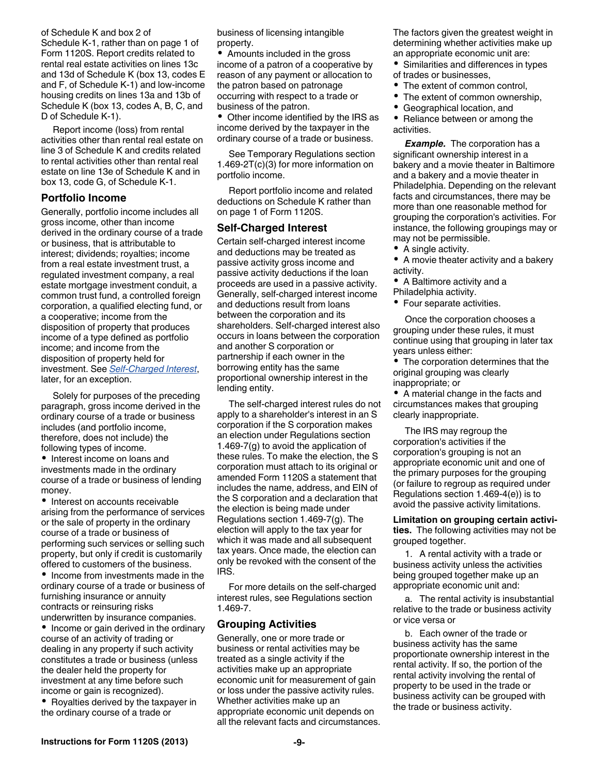<span id="page-9-0"></span>of Schedule K and box 2 of Schedule K-1, rather than on page 1 of Form 1120S. Report credits related to rental real estate activities on lines 13c and 13d of Schedule K (box 13, codes E and F, of Schedule K-1) and low-income housing credits on lines 13a and 13b of Schedule K (box 13, codes A, B, C, and D of Schedule K-1).

Report income (loss) from rental activities other than rental real estate on line 3 of Schedule K and credits related to rental activities other than rental real estate on line 13e of Schedule K and in box 13, code G, of Schedule K-1.

#### **Portfolio Income**

Generally, portfolio income includes all gross income, other than income derived in the ordinary course of a trade or business, that is attributable to interest; dividends; royalties; income from a real estate investment trust, a regulated investment company, a real estate mortgage investment conduit, a common trust fund, a controlled foreign corporation, a qualified electing fund, or a cooperative; income from the disposition of property that produces income of a type defined as portfolio income; and income from the disposition of property held for investment. See *Self-Charged Interest*, later, for an exception.

Solely for purposes of the preceding paragraph, gross income derived in the ordinary course of a trade or business includes (and portfolio income, therefore, does not include) the following types of income.

• Interest income on loans and investments made in the ordinary course of a trade or business of lending money.

• Interest on accounts receivable arising from the performance of services or the sale of property in the ordinary course of a trade or business of performing such services or selling such property, but only if credit is customarily offered to customers of the business.

• Income from investments made in the ordinary course of a trade or business of furnishing insurance or annuity contracts or reinsuring risks underwritten by insurance companies.

• Income or gain derived in the ordinary course of an activity of trading or dealing in any property if such activity constitutes a trade or business (unless the dealer held the property for investment at any time before such income or gain is recognized).

• Royalties derived by the taxpayer in the ordinary course of a trade or

business of licensing intangible property.

Amounts included in the gross income of a patron of a cooperative by reason of any payment or allocation to the patron based on patronage occurring with respect to a trade or business of the patron.

Other income identified by the IRS as income derived by the taxpayer in the ordinary course of a trade or business.

See Temporary Regulations section 1.469-2T(c)(3) for more information on portfolio income.

Report portfolio income and related deductions on Schedule K rather than on page 1 of Form 1120S.

#### **Self-Charged Interest**

Certain self-charged interest income and deductions may be treated as passive activity gross income and passive activity deductions if the loan proceeds are used in a passive activity. Generally, self-charged interest income and deductions result from loans between the corporation and its shareholders. Self-charged interest also occurs in loans between the corporation and another S corporation or partnership if each owner in the borrowing entity has the same proportional ownership interest in the lending entity.

The self-charged interest rules do not apply to a shareholder's interest in an S corporation if the S corporation makes an election under Regulations section 1.469-7(g) to avoid the application of these rules. To make the election, the S corporation must attach to its original or amended Form 1120S a statement that includes the name, address, and EIN of the S corporation and a declaration that the election is being made under Regulations section 1.469-7(g). The election will apply to the tax year for which it was made and all subsequent tax years. Once made, the election can only be revoked with the consent of the IRS.

For more details on the self-charged interest rules, see Regulations section 1.469-7.

#### **Grouping Activities**

Generally, one or more trade or business or rental activities may be treated as a single activity if the activities make up an appropriate economic unit for measurement of gain or loss under the passive activity rules. Whether activities make up an appropriate economic unit depends on all the relevant facts and circumstances. The factors given the greatest weight in determining whether activities make up an appropriate economic unit are:

- Similarities and differences in types of trades or businesses,
- The extent of common control,
- The extent of common ownership,
	- Geographical location, and
	- $\bullet$ Reliance between or among the activities.

*Example.* The corporation has a significant ownership interest in a bakery and a movie theater in Baltimore and a bakery and a movie theater in Philadelphia. Depending on the relevant facts and circumstances, there may be more than one reasonable method for grouping the corporation's activities. For instance, the following groupings may or may not be permissible.

- A single activity.
- A movie theater activity and a bakery activity.
- A Baltimore activity and a
- Philadelphia activity.
- Four separate activities.

Once the corporation chooses a grouping under these rules, it must continue using that grouping in later tax years unless either:

The corporation determines that the original grouping was clearly inappropriate; or

A material change in the facts and circumstances makes that grouping clearly inappropriate.

The IRS may regroup the corporation's activities if the corporation's grouping is not an appropriate economic unit and one of the primary purposes for the grouping (or failure to regroup as required under Regulations section 1.469-4(e)) is to avoid the passive activity limitations.

**Limitation on grouping certain activities.** The following activities may not be grouped together.

1. A rental activity with a trade or business activity unless the activities being grouped together make up an appropriate economic unit and:

a. The rental activity is insubstantial relative to the trade or business activity or vice versa or

b. Each owner of the trade or business activity has the same proportionate ownership interest in the rental activity. If so, the portion of the rental activity involving the rental of property to be used in the trade or business activity can be grouped with the trade or business activity.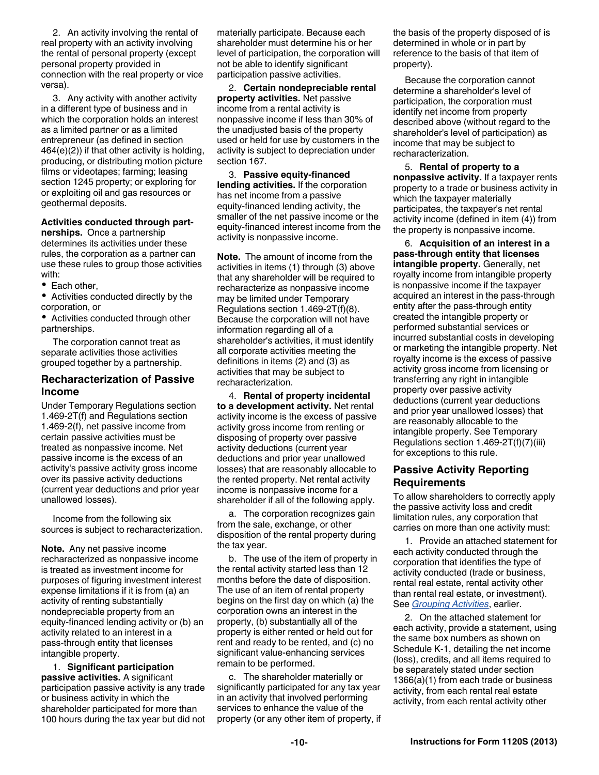<span id="page-10-0"></span>2. An activity involving the rental of real property with an activity involving the rental of personal property (except personal property provided in connection with the real property or vice versa).

3. Any activity with another activity in a different type of business and in which the corporation holds an interest as a limited partner or as a limited entrepreneur (as defined in section 464(e)(2)) if that other activity is holding, producing, or distributing motion picture films or videotapes; farming; leasing section 1245 property; or exploring for or exploiting oil and gas resources or geothermal deposits.

#### **Activities conducted through part-**

**nerships.** Once a partnership determines its activities under these rules, the corporation as a partner can use these rules to group those activities with:

• Each other,

Activities conducted directly by the corporation, or

Activities conducted through other partnerships.

The corporation cannot treat as separate activities those activities grouped together by a partnership.

#### **Recharacterization of Passive Income**

Under Temporary Regulations section 1.469-2T(f) and Regulations section 1.469-2(f), net passive income from certain passive activities must be treated as nonpassive income. Net passive income is the excess of an activity's passive activity gross income over its passive activity deductions (current year deductions and prior year unallowed losses).

Income from the following six sources is subject to recharacterization.

**Note.** Any net passive income recharacterized as nonpassive income is treated as investment income for purposes of figuring investment interest expense limitations if it is from (a) an activity of renting substantially nondepreciable property from an equity-financed lending activity or (b) an activity related to an interest in a pass-through entity that licenses intangible property.

1. **Significant participation passive activities.** A significant participation passive activity is any trade or business activity in which the shareholder participated for more than 100 hours during the tax year but did not

materially participate. Because each shareholder must determine his or her level of participation, the corporation will not be able to identify significant participation passive activities.

2. **Certain nondepreciable rental property activities.** Net passive income from a rental activity is nonpassive income if less than 30% of the unadjusted basis of the property used or held for use by customers in the activity is subject to depreciation under section 167.

3. **Passive equity-financed lending activities.** If the corporation has net income from a passive equity-financed lending activity, the smaller of the net passive income or the equity-financed interest income from the activity is nonpassive income.

**Note.** The amount of income from the activities in items (1) through (3) above that any shareholder will be required to recharacterize as nonpassive income may be limited under Temporary Regulations section 1.469-2T(f)(8). Because the corporation will not have information regarding all of a shareholder's activities, it must identify all corporate activities meeting the definitions in items (2) and (3) as activities that may be subject to recharacterization.

4. **Rental of property incidental to a development activity.** Net rental activity income is the excess of passive activity gross income from renting or disposing of property over passive activity deductions (current year deductions and prior year unallowed losses) that are reasonably allocable to the rented property. Net rental activity income is nonpassive income for a shareholder if all of the following apply.

a. The corporation recognizes gain from the sale, exchange, or other disposition of the rental property during the tax year.

b. The use of the item of property in the rental activity started less than 12 months before the date of disposition. The use of an item of rental property begins on the first day on which (a) the corporation owns an interest in the property, (b) substantially all of the property is either rented or held out for rent and ready to be rented, and (c) no significant value-enhancing services remain to be performed.

c. The shareholder materially or significantly participated for any tax year in an activity that involved performing services to enhance the value of the property (or any other item of property, if the basis of the property disposed of is determined in whole or in part by reference to the basis of that item of property).

Because the corporation cannot determine a shareholder's level of participation, the corporation must identify net income from property described above (without regard to the shareholder's level of participation) as income that may be subject to recharacterization.

5. **Rental of property to a nonpassive activity.** If a taxpayer rents property to a trade or business activity in which the taxpayer materially participates, the taxpayer's net rental activity income (defined in item (4)) from the property is nonpassive income.

6. **Acquisition of an interest in a pass-through entity that licenses intangible property.** Generally, net royalty income from intangible property is nonpassive income if the taxpayer acquired an interest in the pass-through entity after the pass-through entity created the intangible property or performed substantial services or incurred substantial costs in developing or marketing the intangible property. Net royalty income is the excess of passive activity gross income from licensing or transferring any right in intangible property over passive activity deductions (current year deductions and prior year unallowed losses) that are reasonably allocable to the intangible property. See Temporary Regulations section 1.469-2T(f)(7)(iii) for exceptions to this rule.

#### **Passive Activity Reporting Requirements**

To allow shareholders to correctly apply the passive activity loss and credit limitation rules, any corporation that carries on more than one activity must:

1. Provide an attached statement for each activity conducted through the corporation that identifies the type of activity conducted (trade or business, rental real estate, rental activity other than rental real estate, or investment). See *[Grouping Activities](#page-9-0)*, earlier.

2. On the attached statement for each activity, provide a statement, using the same box numbers as shown on Schedule K-1, detailing the net income (loss), credits, and all items required to be separately stated under section 1366(a)(1) from each trade or business activity, from each rental real estate activity, from each rental activity other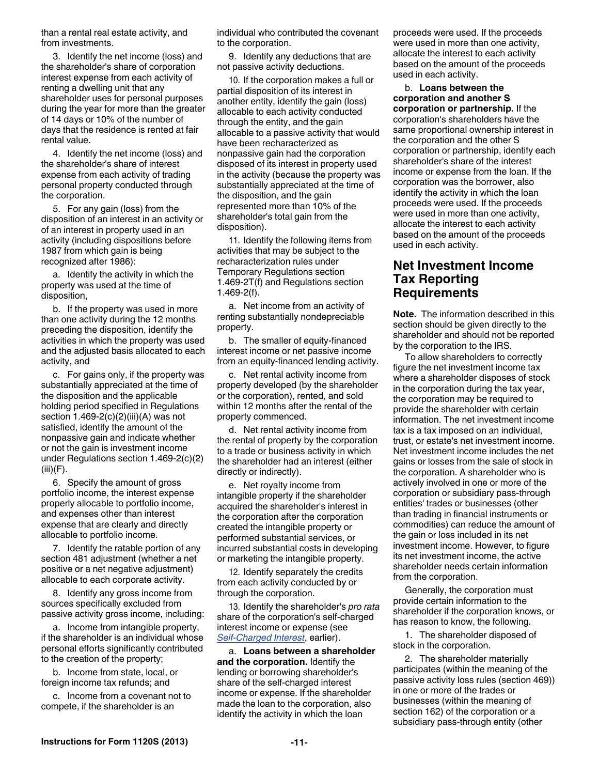<span id="page-11-0"></span>than a rental real estate activity, and from investments.

3. Identify the net income (loss) and the shareholder's share of corporation interest expense from each activity of renting a dwelling unit that any shareholder uses for personal purposes during the year for more than the greater of 14 days or 10% of the number of days that the residence is rented at fair rental value.

4. Identify the net income (loss) and the shareholder's share of interest expense from each activity of trading personal property conducted through the corporation.

5. For any gain (loss) from the disposition of an interest in an activity or of an interest in property used in an activity (including dispositions before 1987 from which gain is being recognized after 1986):

a. Identify the activity in which the property was used at the time of disposition,

b. If the property was used in more than one activity during the 12 months preceding the disposition, identify the activities in which the property was used and the adjusted basis allocated to each activity, and

c. For gains only, if the property was substantially appreciated at the time of the disposition and the applicable holding period specified in Regulations section  $1.469-2(c)(2)(iii)(A)$  was not satisfied, identify the amount of the nonpassive gain and indicate whether or not the gain is investment income under Regulations section 1.469-2(c)(2)  $(iii)(F)$ .

6. Specify the amount of gross portfolio income, the interest expense properly allocable to portfolio income, and expenses other than interest expense that are clearly and directly allocable to portfolio income.

7. Identify the ratable portion of any section 481 adjustment (whether a net positive or a net negative adjustment) allocable to each corporate activity.

8. Identify any gross income from sources specifically excluded from passive activity gross income, including:

a. Income from intangible property, if the shareholder is an individual whose personal efforts significantly contributed to the creation of the property;

b. Income from state, local, or foreign income tax refunds; and

c. Income from a covenant not to compete, if the shareholder is an

individual who contributed the covenant to the corporation.

9. Identify any deductions that are not passive activity deductions.

10. If the corporation makes a full or partial disposition of its interest in another entity, identify the gain (loss) allocable to each activity conducted through the entity, and the gain allocable to a passive activity that would have been recharacterized as nonpassive gain had the corporation disposed of its interest in property used in the activity (because the property was substantially appreciated at the time of the disposition, and the gain represented more than 10% of the shareholder's total gain from the disposition).

11. Identify the following items from activities that may be subject to the recharacterization rules under Temporary Regulations section 1.469-2T(f) and Regulations section 1.469-2(f).

a. Net income from an activity of renting substantially nondepreciable property.

b. The smaller of equity-financed interest income or net passive income from an equity-financed lending activity.

c. Net rental activity income from property developed (by the shareholder or the corporation), rented, and sold within 12 months after the rental of the property commenced.

d. Net rental activity income from the rental of property by the corporation to a trade or business activity in which the shareholder had an interest (either directly or indirectly).

e. Net royalty income from intangible property if the shareholder acquired the shareholder's interest in the corporation after the corporation created the intangible property or performed substantial services, or incurred substantial costs in developing or marketing the intangible property.

12. Identify separately the credits from each activity conducted by or through the corporation.

13. Identify the shareholder's *pro rata*  share of the corporation's self-charged interest income or expense (see *[Self-Charged Interest](#page-9-0)*, earlier).

a. **Loans between a shareholder and the corporation.** Identify the lending or borrowing shareholder's share of the self-charged interest income or expense. If the shareholder made the loan to the corporation, also identify the activity in which the loan

proceeds were used. If the proceeds were used in more than one activity, allocate the interest to each activity based on the amount of the proceeds used in each activity.

b. **Loans between the corporation and another S corporation or partnership.** If the corporation's shareholders have the same proportional ownership interest in the corporation and the other S corporation or partnership, identify each shareholder's share of the interest income or expense from the loan. If the corporation was the borrower, also identify the activity in which the loan proceeds were used. If the proceeds were used in more than one activity, allocate the interest to each activity based on the amount of the proceeds used in each activity.

### **Net Investment Income Tax Reporting Requirements**

**Note.** The information described in this section should be given directly to the shareholder and should not be reported by the corporation to the IRS.

To allow shareholders to correctly figure the net investment income tax where a shareholder disposes of stock in the corporation during the tax year, the corporation may be required to provide the shareholder with certain information. The net investment income tax is a tax imposed on an individual, trust, or estate's net investment income. Net investment income includes the net gains or losses from the sale of stock in the corporation. A shareholder who is actively involved in one or more of the corporation or subsidiary pass-through entities' trades or businesses (other than trading in financial instruments or commodities) can reduce the amount of the gain or loss included in its net investment income. However, to figure its net investment income, the active shareholder needs certain information from the corporation.

Generally, the corporation must provide certain information to the shareholder if the corporation knows, or has reason to know, the following.

1. The shareholder disposed of stock in the corporation.

2. The shareholder materially participates (within the meaning of the passive activity loss rules (section 469)) in one or more of the trades or businesses (within the meaning of section 162) of the corporation or a subsidiary pass-through entity (other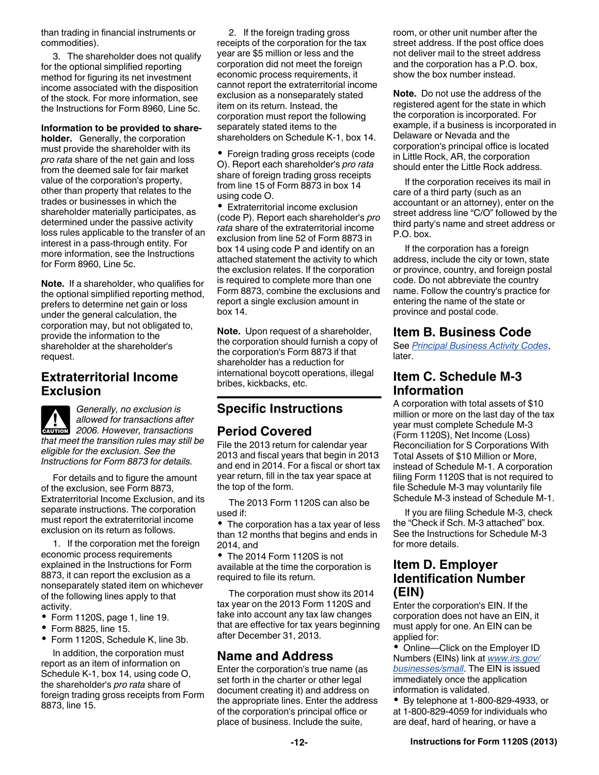<span id="page-12-0"></span>than trading in financial instruments or commodities).

3. The shareholder does not qualify for the optional simplified reporting method for figuring its net investment income associated with the disposition of the stock. For more information, see the Instructions for Form 8960, Line 5c.

**Information to be provided to share-**

**holder.** Generally, the corporation must provide the shareholder with its *pro rata* share of the net gain and loss from the deemed sale for fair market value of the corporation's property, other than property that relates to the trades or businesses in which the shareholder materially participates, as determined under the passive activity loss rules applicable to the transfer of an interest in a pass-through entity. For more information, see the Instructions for Form 8960, Line 5c.

**Note.** If a shareholder, who qualifies for the optional simplified reporting method, prefers to determine net gain or loss under the general calculation, the corporation may, but not obligated to, provide the information to the shareholder at the shareholder's request.

### **Extraterritorial Income Exclusion**

*Generally, no exclusion is allowed for transactions after*  **2006.** However, transactions after **2006.** However, transactions *that meet the transition rules may still be eligible for the exclusion. See the Instructions for Form 8873 for details.*

For details and to figure the amount of the exclusion, see Form 8873, Extraterritorial Income Exclusion, and its separate instructions. The corporation must report the extraterritorial income exclusion on its return as follows.

1. If the corporation met the foreign economic process requirements explained in the Instructions for Form 8873, it can report the exclusion as a nonseparately stated item on whichever of the following lines apply to that activity.

- Form 1120S, page 1, line 19.
- Form 8825, line 15.
- Form 1120S, Schedule K, line 3b.

In addition, the corporation must report as an item of information on Schedule K-1, box 14, using code O, the shareholder's *pro rata* share of foreign trading gross receipts from Form 8873, line 15.

2. If the foreign trading gross receipts of the corporation for the tax year are \$5 million or less and the corporation did not meet the foreign economic process requirements, it cannot report the extraterritorial income exclusion as a nonseparately stated item on its return. Instead, the corporation must report the following separately stated items to the shareholders on Schedule K-1, box 14.

Foreign trading gross receipts (code O). Report each shareholder's *pro rata*  share of foreign trading gross receipts from line 15 of Form 8873 in box 14 using code O.

Extraterritorial income exclusion (code P). Report each shareholder's *pro rata* share of the extraterritorial income exclusion from line 52 of Form 8873 in box 14 using code P and identify on an attached statement the activity to which the exclusion relates. If the corporation is required to complete more than one Form 8873, combine the exclusions and report a single exclusion amount in box 14.

**Note.** Upon request of a shareholder, the corporation should furnish a copy of the corporation's Form 8873 if that shareholder has a reduction for international boycott operations, illegal bribes, kickbacks, etc.

## **Specific Instructions**

### **Period Covered**

File the 2013 return for calendar year 2013 and fiscal years that begin in 2013 and end in 2014. For a fiscal or short tax year return, fill in the tax year space at the top of the form.

The 2013 Form 1120S can also be used if:

The corporation has a tax year of less than 12 months that begins and ends in 2014, and

The 2014 Form 1120S is not available at the time the corporation is required to file its return.

The corporation must show its 2014 tax year on the 2013 Form 1120S and take into account any tax law changes that are effective for tax years beginning after December 31, 2013.

### **Name and Address**

Enter the corporation's true name (as set forth in the charter or other legal document creating it) and address on the appropriate lines. Enter the address of the corporation's principal office or place of business. Include the suite,

room, or other unit number after the street address. If the post office does not deliver mail to the street address and the corporation has a P.O. box, show the box number instead.

**Note.** Do not use the address of the registered agent for the state in which the corporation is incorporated. For example, if a business is incorporated in Delaware or Nevada and the corporation's principal office is located in Little Rock, AR, the corporation should enter the Little Rock address.

If the corporation receives its mail in care of a third party (such as an accountant or an attorney), enter on the street address line "C/O" followed by the third party's name and street address or P.O. box.

If the corporation has a foreign address, include the city or town, state or province, country, and foreign postal code. Do not abbreviate the country name. Follow the country's practice for entering the name of the state or province and postal code.

### **Item B. Business Code**

See *[Principal Business Activity Codes](#page-43-0)*, later.

### **Item C. Schedule M-3 Information**

A corporation with total assets of \$10 million or more on the last day of the tax year must complete Schedule M-3 (Form 1120S), Net Income (Loss) Reconciliation for S Corporations With Total Assets of \$10 Million or More, instead of Schedule M-1. A corporation filing Form 1120S that is not required to file Schedule M-3 may voluntarily file Schedule M-3 instead of Schedule M-1.

If you are filing Schedule M-3, check the "Check if Sch. M-3 attached" box. See the Instructions for Schedule M-3 for more details.

### **Item D. Employer Identification Number (EIN)**

Enter the corporation's EIN. If the corporation does not have an EIN, it must apply for one. An EIN can be applied for:

• Online-Click on the Employer ID Numbers (EINs) link at *[www.irs.gov/](http://www.irs.gov/businesses/small) [businesses/small](http://www.irs.gov/businesses/small)*. The EIN is issued immediately once the application information is validated.

By telephone at 1-800-829-4933, or at 1-800-829-4059 for individuals who are deaf, hard of hearing, or have a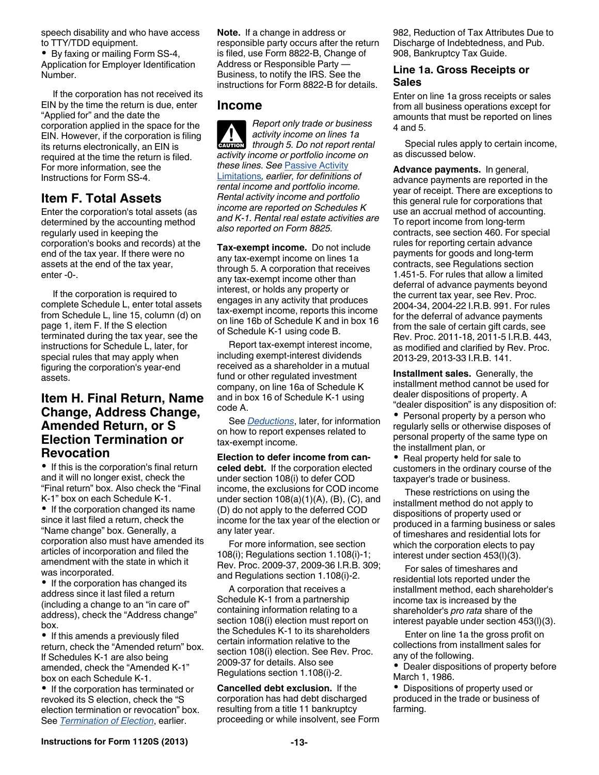<span id="page-13-0"></span>speech disability and who have access to TTY/TDD equipment.

By faxing or mailing Form SS-4, Application for Employer Identification Number.

If the corporation has not received its EIN by the time the return is due, enter "Applied for" and the date the corporation applied in the space for the EIN. However, if the corporation is filing its returns electronically, an EIN is required at the time the return is filed. For more information, see the Instructions for Form SS-4.

### **Item F. Total Assets**

Enter the corporation's total assets (as determined by the accounting method regularly used in keeping the corporation's books and records) at the end of the tax year. If there were no assets at the end of the tax year, enter -0-.

If the corporation is required to complete Schedule L, enter total assets from Schedule L, line 15, column (d) on page 1, item F. If the S election terminated during the tax year, see the instructions for Schedule L, later, for special rules that may apply when figuring the corporation's year-end assets.

### **Item H. Final Return, Name Change, Address Change, Amended Return, or S Election Termination or Revocation**

• If this is the corporation's final return and it will no longer exist, check the "Final return" box. Also check the "Final K-1" box on each Schedule K-1.

• If the corporation changed its name since it last filed a return, check the "Name change" box. Generally, a corporation also must have amended its articles of incorporation and filed the amendment with the state in which it was incorporated.

• If the corporation has changed its address since it last filed a return (including a change to an "in care of" address), check the "Address change" box.

• If this amends a previously filed return, check the "Amended return" box. If Schedules K-1 are also being amended, check the "Amended K-1" box on each Schedule K-1.

• If the corporation has terminated or revoked its S election, check the "S election termination or revocation" box. See *[Termination of Election](#page-2-0)*, earlier.

**Note.** If a change in address or responsible party occurs after the return is filed, use Form 8822-B, Change of Address or Responsible Party — Business, to notify the IRS. See the instructions for Form 8822-B for details.

#### **Income**

*Report only trade or business activity income on lines 1a*  **h** activity income on lines 1a<br> **CAUTION** through 5. Do not report rental *activity income or portfolio income on these lines. See* [Passive Activity](#page-7-0) [Limitations](#page-7-0)*, earlier, for definitions of rental income and portfolio income. Rental activity income and portfolio income are reported on Schedules K and K-1. Rental real estate activities are also reported on Form 8825.*

**Tax-exempt income.** Do not include any tax-exempt income on lines 1a through 5. A corporation that receives any tax-exempt income other than interest, or holds any property or engages in any activity that produces tax-exempt income, reports this income on line 16b of Schedule K and in box 16 of Schedule K-1 using code B.

Report tax-exempt interest income, including exempt-interest dividends received as a shareholder in a mutual fund or other regulated investment company, on line 16a of Schedule K and in box 16 of Schedule K-1 using code A.

See *[Deductions](#page-14-0)*, later, for information on how to report expenses related to tax-exempt income.

**Election to defer income from canceled debt.** If the corporation elected under section 108(i) to defer COD income, the exclusions for COD income under section  $108(a)(1)(A)$ ,  $(B)$ ,  $(C)$ , and (D) do not apply to the deferred COD income for the tax year of the election or any later year.

For more information, see section 108(i); Regulations section 1.108(i)-1; Rev. Proc. 2009-37, 2009-36 I.R.B. 309; and Regulations section 1.108(i)-2.

A corporation that receives a Schedule K-1 from a partnership containing information relating to a section 108(i) election must report on the Schedules K-1 to its shareholders certain information relative to the section 108(i) election. See Rev. Proc. 2009-37 for details. Also see Regulations section 1.108(i)-2.

**Cancelled debt exclusion.** If the corporation has had debt discharged resulting from a title 11 bankruptcy proceeding or while insolvent, see Form 982, Reduction of Tax Attributes Due to Discharge of Indebtedness, and Pub. 908, Bankruptcy Tax Guide.

#### **Line 1a. Gross Receipts or Sales**

Enter on line 1a gross receipts or sales from all business operations except for amounts that must be reported on lines 4 and 5.

Special rules apply to certain income, as discussed below.

**Advance payments.** In general, advance payments are reported in the year of receipt. There are exceptions to this general rule for corporations that use an accrual method of accounting. To report income from long-term contracts, see section 460. For special rules for reporting certain advance payments for goods and long-term contracts, see Regulations section 1.451-5. For rules that allow a limited deferral of advance payments beyond the current tax year, see Rev. Proc. 2004-34, 2004-22 I.R.B. 991. For rules for the deferral of advance payments from the sale of certain gift cards, see Rev. Proc. 2011-18, 2011-5 I.R.B. 443, as modified and clarified by Rev. Proc. 2013-29, 2013-33 I.R.B. 141.

**Installment sales.** Generally, the installment method cannot be used for dealer dispositions of property. A "dealer disposition" is any disposition of:

• Personal property by a person who regularly sells or otherwise disposes of personal property of the same type on the installment plan, or

• Real property held for sale to customers in the ordinary course of the taxpayer's trade or business.

These restrictions on using the installment method do not apply to dispositions of property used or produced in a farming business or sales of timeshares and residential lots for which the corporation elects to pay interest under section 453(l)(3).

For sales of timeshares and residential lots reported under the installment method, each shareholder's income tax is increased by the shareholder's *pro rata* share of the interest payable under section 453(l)(3).

Enter on line 1a the gross profit on collections from installment sales for any of the following.

Dealer dispositions of property before March 1, 1986.

Dispositions of property used or produced in the trade or business of farming.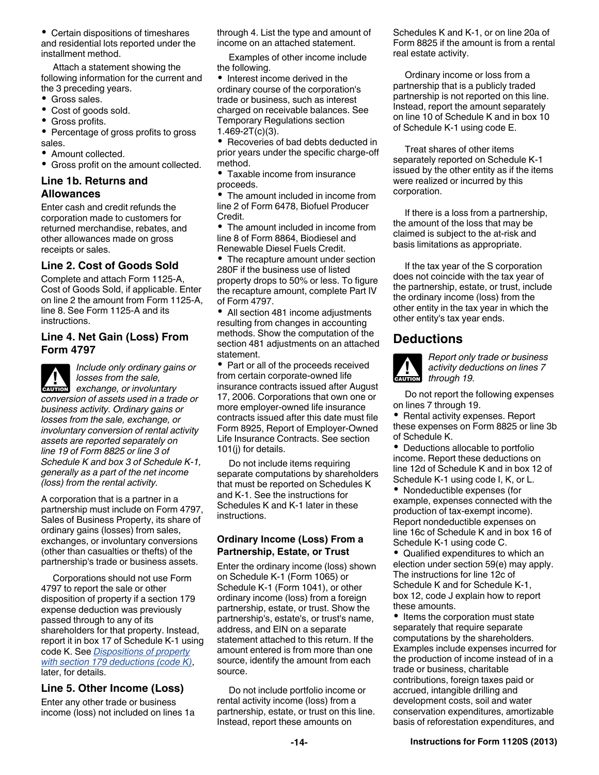<span id="page-14-0"></span>Certain dispositions of timeshares and residential lots reported under the installment method.

Attach a statement showing the following information for the current and the 3 preceding years.

- Gross sales.
- Cost of goods sold.
- Gross profits.
- Percentage of gross profits to gross sales.
- Amount collected.
- Gross profit on the amount collected.

### **Line 1b. Returns and Allowances**

Enter cash and credit refunds the corporation made to customers for returned merchandise, rebates, and other allowances made on gross receipts or sales.

#### **Line 2. Cost of Goods Sold**

Complete and attach Form 1125-A, Cost of Goods Sold, if applicable. Enter on line 2 the amount from Form 1125-A, line 8. See Form 1125-A and its instructions.

#### **Line 4. Net Gain (Loss) From Form 4797**

*Include only ordinary gains or losses from the sale, exchange, or involuntary*<br> **exchange, or involuntary** *conversion of assets used in a trade or business activity. Ordinary gains or losses from the sale, exchange, or involuntary conversion of rental activity assets are reported separately on line 19 of Form 8825 or line 3 of Schedule K and box 3 of Schedule K-1,* 

*generally as a part of the net income (loss) from the rental activity.* A corporation that is a partner in a partnership must include on Form 4797, Sales of Business Property, its share of ordinary gains (losses) from sales, exchanges, or involuntary conversions

(other than casualties or thefts) of the

partnership's trade or business assets. Corporations should not use Form 4797 to report the sale or other disposition of property if a section 179 expense deduction was previously passed through to any of its shareholders for that property. Instead, report it in box 17 of Schedule K-1 using code K. See *[Dispositions of property](#page-37-0) [with section 179 deductions \(code K\)](#page-37-0)*, later, for details.

### **Line 5. Other Income (Loss)**

Enter any other trade or business income (loss) not included on lines 1a through 4. List the type and amount of income on an attached statement.

Examples of other income include the following.

• Interest income derived in the ordinary course of the corporation's trade or business, such as interest charged on receivable balances. See Temporary Regulations section  $1.469 - 2T(c)(3)$ .

Recoveries of bad debts deducted in prior years under the specific charge-off method.

Taxable income from insurance proceeds.

The amount included in income from line 2 of Form 6478, Biofuel Producer Credit.

The amount included in income from line 8 of Form 8864, Biodiesel and Renewable Diesel Fuels Credit.

The recapture amount under section 280F if the business use of listed property drops to 50% or less. To figure the recapture amount, complete Part IV of Form 4797.

• All section 481 income adjustments resulting from changes in accounting methods. Show the computation of the section 481 adjustments on an attached statement.

• Part or all of the proceeds received from certain corporate-owned life insurance contracts issued after August 17, 2006. Corporations that own one or more employer-owned life insurance contracts issued after this date must file Form 8925, Report of Employer-Owned Life Insurance Contracts. See section 101(j) for details.

Do not include items requiring separate computations by shareholders that must be reported on Schedules K and K-1. See the instructions for Schedules K and K-1 later in these instructions.

#### **Ordinary Income (Loss) From a Partnership, Estate, or Trust**

Enter the ordinary income (loss) shown on Schedule K-1 (Form 1065) or Schedule K-1 (Form 1041), or other ordinary income (loss) from a foreign partnership, estate, or trust. Show the partnership's, estate's, or trust's name, address, and EIN on a separate statement attached to this return. If the amount entered is from more than one source, identify the amount from each source.

Do not include portfolio income or rental activity income (loss) from a partnership, estate, or trust on this line. Instead, report these amounts on

Schedules K and K-1, or on line 20a of Form 8825 if the amount is from a rental real estate activity.

Ordinary income or loss from a partnership that is a publicly traded partnership is not reported on this line. Instead, report the amount separately on line 10 of Schedule K and in box 10 of Schedule K-1 using code E.

Treat shares of other items separately reported on Schedule K-1 issued by the other entity as if the items were realized or incurred by this corporation.

If there is a loss from a partnership, the amount of the loss that may be claimed is subject to the at-risk and basis limitations as appropriate.

If the tax year of the S corporation does not coincide with the tax year of the partnership, estate, or trust, include the ordinary income (loss) from the other entity in the tax year in which the other entity's tax year ends.

### **Deductions**



*Report only trade or business activity deductions on lines 7 through 19.* **CAUTION !**

Do not report the following expenses on lines 7 through 19.

• Rental activity expenses. Report these expenses on Form 8825 or line 3b of Schedule K.

Deductions allocable to portfolio income. Report these deductions on line 12d of Schedule K and in box 12 of Schedule K-1 using code I, K, or L.

Nondeductible expenses (for example, expenses connected with the production of tax-exempt income). Report nondeductible expenses on line 16c of Schedule K and in box 16 of Schedule K-1 using code C.

Qualified expenditures to which an election under section 59(e) may apply. The instructions for line 12c of Schedule K and for Schedule K-1, box 12, code J explain how to report these amounts.

• Items the corporation must state separately that require separate computations by the shareholders. Examples include expenses incurred for the production of income instead of in a trade or business, charitable contributions, foreign taxes paid or accrued, intangible drilling and development costs, soil and water conservation expenditures, amortizable basis of reforestation expenditures, and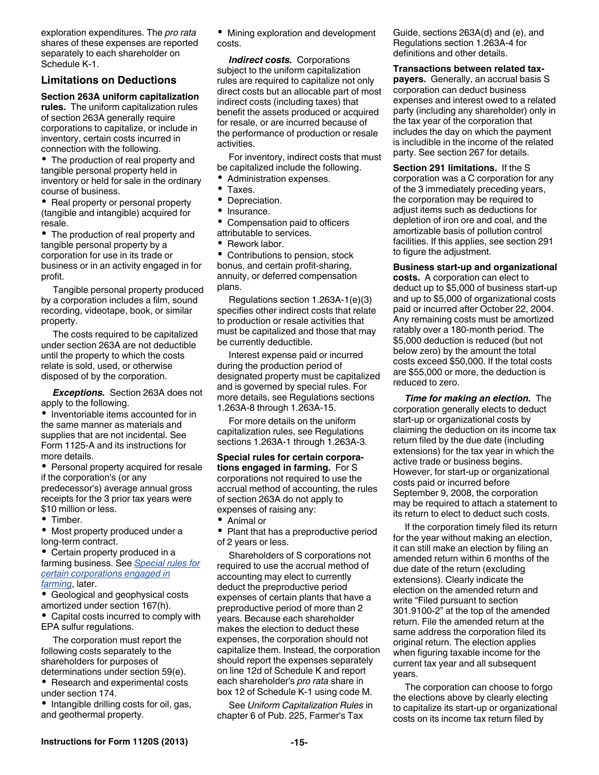<span id="page-15-0"></span>exploration expenditures. The *pro rata*  shares of these expenses are reported separately to each shareholder on Schedule K-1.

#### **Limitations on Deductions**

**Section 263A uniform capitalization** 

**rules.** The uniform capitalization rules of section 263A generally require corporations to capitalize, or include in inventory, certain costs incurred in connection with the following.

• The production of real property and tangible personal property held in inventory or held for sale in the ordinary course of business.

• Real property or personal property (tangible and intangible) acquired for resale.

• The production of real property and tangible personal property by a corporation for use in its trade or business or in an activity engaged in for profit.

Tangible personal property produced by a corporation includes a film, sound recording, videotape, book, or similar property.

The costs required to be capitalized under section 263A are not deductible until the property to which the costs relate is sold, used, or otherwise disposed of by the corporation.

*Exceptions.* Section 263A does not apply to the following.

• Inventoriable items accounted for in the same manner as materials and supplies that are not incidental. See Form 1125-A and its instructions for more details.

• Personal property acquired for resale if the corporation's (or any predecessor's) average annual gross receipts for the 3 prior tax years were \$10 million or less.

• Timber.

Most property produced under a long-term contract.

Certain property produced in a farming business. See *Special rules for certain corporations engaged in farming*, later.

Geological and geophysical costs amortized under section 167(h).

Capital costs incurred to comply with EPA sulfur regulations.

The corporation must report the following costs separately to the shareholders for purposes of determinations under section 59(e).

• Research and experimental costs under section 174.

• Intangible drilling costs for oil, gas, and geothermal property.

Mining exploration and development costs.

*Indirect costs.* Corporations subject to the uniform capitalization rules are required to capitalize not only direct costs but an allocable part of most indirect costs (including taxes) that benefit the assets produced or acquired for resale, or are incurred because of the performance of production or resale activities.

For inventory, indirect costs that must be capitalized include the following.

- Administration expenses.
- $\bullet$ Taxes.
- Depreciation.
- Insurance.

Compensation paid to officers attributable to services.

 $\bullet$ Rework labor.

Contributions to pension, stock bonus, and certain profit-sharing, annuity, or deferred compensation plans.

Regulations section 1.263A-1(e)(3) specifies other indirect costs that relate to production or resale activities that must be capitalized and those that may be currently deductible.

Interest expense paid or incurred during the production period of designated property must be capitalized and is governed by special rules. For more details, see Regulations sections 1.263A-8 through 1.263A-15.

For more details on the uniform capitalization rules, see Regulations sections 1.263A-1 through 1.263A-3.

**Special rules for certain corporations engaged in farming.** For S corporations not required to use the accrual method of accounting, the rules of section 263A do not apply to expenses of raising any:

Animal or

• Plant that has a preproductive period of 2 years or less.

Shareholders of S corporations not required to use the accrual method of accounting may elect to currently deduct the preproductive period expenses of certain plants that have a preproductive period of more than 2 years. Because each shareholder makes the election to deduct these expenses, the corporation should not capitalize them. Instead, the corporation should report the expenses separately on line 12d of Schedule K and report each shareholder's *pro rata* share in box 12 of Schedule K-1 using code M.

See *Uniform Capitalization Rules* in chapter 6 of Pub. 225, Farmer's Tax

Guide, sections 263A(d) and (e), and Regulations section 1.263A-4 for definitions and other details.

**Transactions between related tax-**

**payers.** Generally, an accrual basis S corporation can deduct business expenses and interest owed to a related party (including any shareholder) only in the tax year of the corporation that includes the day on which the payment is includible in the income of the related party. See section 267 for details.

**Section 291 limitations.** If the S corporation was a C corporation for any of the 3 immediately preceding years, the corporation may be required to adjust items such as deductions for depletion of iron ore and coal, and the amortizable basis of pollution control facilities. If this applies, see section 291 to figure the adjustment.

**Business start-up and organizational** 

**costs.** A corporation can elect to deduct up to \$5,000 of business start-up and up to \$5,000 of organizational costs paid or incurred after October 22, 2004. Any remaining costs must be amortized ratably over a 180-month period. The \$5,000 deduction is reduced (but not below zero) by the amount the total costs exceed \$50,000. If the total costs are \$55,000 or more, the deduction is reduced to zero.

*Time for making an election.* The corporation generally elects to deduct start-up or organizational costs by claiming the deduction on its income tax return filed by the due date (including extensions) for the tax year in which the active trade or business begins. However, for start-up or organizational costs paid or incurred before September 9, 2008, the corporation may be required to attach a statement to its return to elect to deduct such costs.

If the corporation timely filed its return for the year without making an election, it can still make an election by filing an amended return within 6 months of the due date of the return (excluding extensions). Clearly indicate the election on the amended return and write "Filed pursuant to section 301.9100-2" at the top of the amended return. File the amended return at the same address the corporation filed its original return. The election applies when figuring taxable income for the current tax year and all subsequent years.

The corporation can choose to forgo the elections above by clearly electing to capitalize its start-up or organizational costs on its income tax return filed by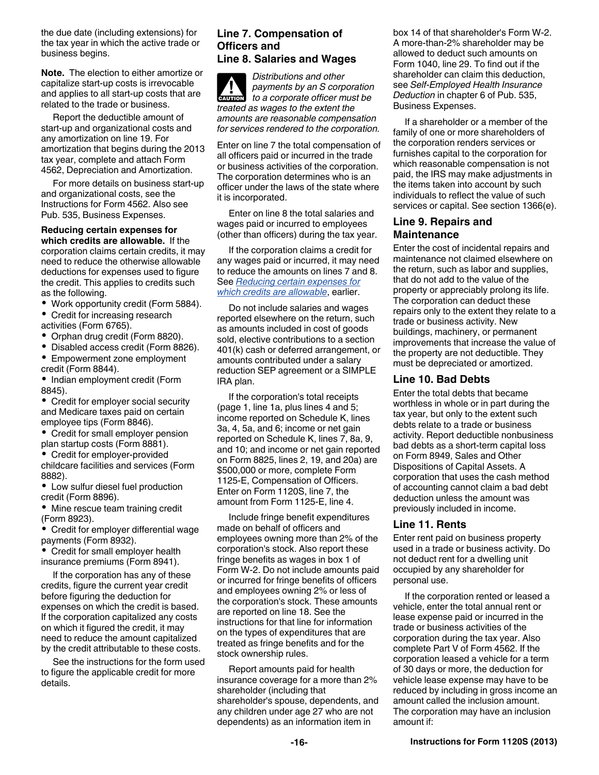<span id="page-16-0"></span>the due date (including extensions) for the tax year in which the active trade or business begins.

**Note.** The election to either amortize or capitalize start-up costs is irrevocable and applies to all start-up costs that are related to the trade or business.

Report the deductible amount of start-up and organizational costs and any amortization on line 19. For amortization that begins during the 2013 tax year, complete and attach Form 4562, Depreciation and Amortization.

For more details on business start-up and organizational costs, see the Instructions for Form 4562. Also see Pub. 535, Business Expenses.

**Reducing certain expenses for which credits are allowable.** If the corporation claims certain credits, it may need to reduce the otherwise allowable deductions for expenses used to figure the credit. This applies to credits such as the following.

- Work opportunity credit (Form 5884).
- Credit for increasing research activities (Form 6765).
- Orphan drug credit (Form 8820).
- Disabled access credit (Form 8826).
- ٠ Empowerment zone employment credit (Form 8844).

• Indian employment credit (Form 8845).

Credit for employer social security and Medicare taxes paid on certain employee tips (Form 8846).

• Credit for small employer pension plan startup costs (Form 8881).

Credit for employer-provided childcare facilities and services (Form

8882). Low sulfur diesel fuel production credit (Form 8896).

• Mine rescue team training credit (Form 8923).

Credit for employer differential wage payments (Form 8932).

Credit for small employer health insurance premiums (Form 8941).

If the corporation has any of these credits, figure the current year credit before figuring the deduction for expenses on which the credit is based. If the corporation capitalized any costs on which it figured the credit, it may need to reduce the amount capitalized by the credit attributable to these costs.

See the instructions for the form used to figure the applicable credit for more details.

#### **Line 7. Compensation of Officers and Line 8. Salaries and Wages**

*Distributions and other payments by an S corporation*  **z** *payments by an S corporation*<br>
to a corporate officer must be *treated as wages to the extent the amounts are reasonable compensation for services rendered to the corporation.*

Enter on line 7 the total compensation of all officers paid or incurred in the trade or business activities of the corporation. The corporation determines who is an officer under the laws of the state where it is incorporated.

Enter on line 8 the total salaries and wages paid or incurred to employees (other than officers) during the tax year.

If the corporation claims a credit for any wages paid or incurred, it may need to reduce the amounts on lines 7 and 8. See *Reducing certain expenses for which credits are allowable*, earlier.

Do not include salaries and wages reported elsewhere on the return, such as amounts included in cost of goods sold, elective contributions to a section 401(k) cash or deferred arrangement, or amounts contributed under a salary reduction SEP agreement or a SIMPLE IRA plan.

If the corporation's total receipts (page 1, line 1a, plus lines 4 and 5; income reported on Schedule K, lines 3a, 4, 5a, and 6; income or net gain reported on Schedule K, lines 7, 8a, 9, and 10; and income or net gain reported on Form 8825, lines 2, 19, and 20a) are \$500,000 or more, complete Form 1125-E, Compensation of Officers. Enter on Form 1120S, line 7, the amount from Form 1125-E, line 4.

Include fringe benefit expenditures made on behalf of officers and employees owning more than 2% of the corporation's stock. Also report these fringe benefits as wages in box 1 of Form W-2. Do not include amounts paid or incurred for fringe benefits of officers and employees owning 2% or less of the corporation's stock. These amounts are reported on line 18. See the instructions for that line for information on the types of expenditures that are treated as fringe benefits and for the stock ownership rules.

Report amounts paid for health insurance coverage for a more than 2% shareholder (including that shareholder's spouse, dependents, and any children under age 27 who are not dependents) as an information item in

box 14 of that shareholder's Form W-2. A more-than-2% shareholder may be allowed to deduct such amounts on Form 1040, line 29. To find out if the shareholder can claim this deduction, see *Self-Employed Health Insurance Deduction* in chapter 6 of Pub. 535, Business Expenses.

If a shareholder or a member of the family of one or more shareholders of the corporation renders services or furnishes capital to the corporation for which reasonable compensation is not paid, the IRS may make adjustments in the items taken into account by such individuals to reflect the value of such services or capital. See section 1366(e).

### **Line 9. Repairs and Maintenance**

Enter the cost of incidental repairs and maintenance not claimed elsewhere on the return, such as labor and supplies, that do not add to the value of the property or appreciably prolong its life. The corporation can deduct these repairs only to the extent they relate to a trade or business activity. New buildings, machinery, or permanent improvements that increase the value of the property are not deductible. They must be depreciated or amortized.

#### **Line 10. Bad Debts**

Enter the total debts that became worthless in whole or in part during the tax year, but only to the extent such debts relate to a trade or business activity. Report deductible nonbusiness bad debts as a short-term capital loss on Form 8949, Sales and Other Dispositions of Capital Assets. A corporation that uses the cash method of accounting cannot claim a bad debt deduction unless the amount was previously included in income.

#### **Line 11. Rents**

Enter rent paid on business property used in a trade or business activity. Do not deduct rent for a dwelling unit occupied by any shareholder for personal use.

If the corporation rented or leased a vehicle, enter the total annual rent or lease expense paid or incurred in the trade or business activities of the corporation during the tax year. Also complete Part V of Form 4562. If the corporation leased a vehicle for a term of 30 days or more, the deduction for vehicle lease expense may have to be reduced by including in gross income an amount called the inclusion amount. The corporation may have an inclusion amount if: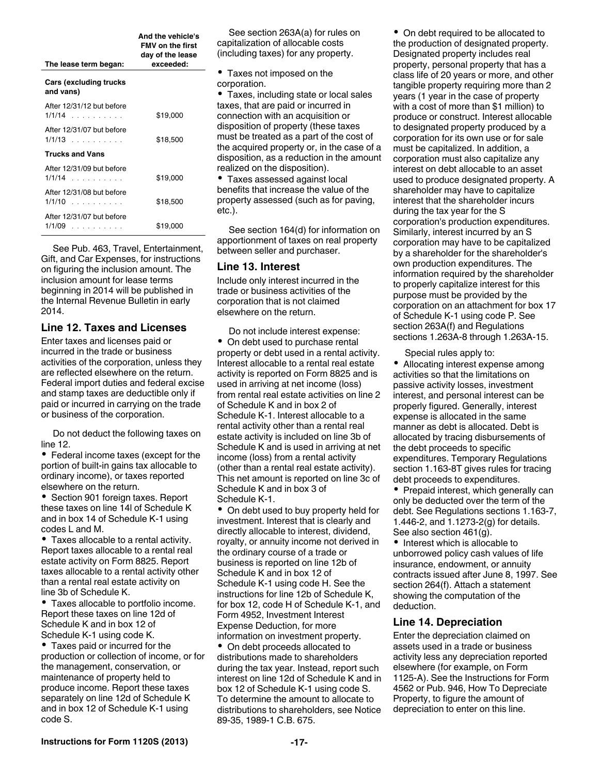<span id="page-17-0"></span>

| The lease term began:                                        | And the vehicle's<br><b>FMV on the first</b><br>day of the lease<br>exceeded: |
|--------------------------------------------------------------|-------------------------------------------------------------------------------|
| <b>Cars (excluding trucks)</b><br>and vans)                  |                                                                               |
| After 12/31/12 but before<br>$1/1/14$                        | \$19,000                                                                      |
| After 12/31/07 but before<br>$1/1/13$                        | \$18,500                                                                      |
| <b>Trucks and Vans</b>                                       |                                                                               |
| After 12/31/09 but before<br>$1/1/14$                        | \$19,000                                                                      |
| After 12/31/08 but before<br>$1/1/10$                        | \$18,500                                                                      |
| After 12/31/07 but before<br>1/1/09<br>والمتحاولة والمتحاوية | \$19,000                                                                      |

See Pub. 463, Travel, Entertainment, Gift, and Car Expenses, for instructions on figuring the inclusion amount. The inclusion amount for lease terms beginning in 2014 will be published in the Internal Revenue Bulletin in early 2014.

#### **Line 12. Taxes and Licenses**

Enter taxes and licenses paid or incurred in the trade or business activities of the corporation, unless they are reflected elsewhere on the return. Federal import duties and federal excise and stamp taxes are deductible only if paid or incurred in carrying on the trade or business of the corporation.

Do not deduct the following taxes on line 12.

Federal income taxes (except for the portion of built-in gains tax allocable to ordinary income), or taxes reported elsewhere on the return.

• Section 901 foreign taxes. Report these taxes on line 14l of Schedule K and in box 14 of Schedule K-1 using codes L and M.

Taxes allocable to a rental activity. Report taxes allocable to a rental real estate activity on Form 8825. Report taxes allocable to a rental activity other than a rental real estate activity on line 3b of Schedule K.

Taxes allocable to portfolio income. Report these taxes on line 12d of Schedule K and in box 12 of Schedule K-1 using code K.

Taxes paid or incurred for the production or collection of income, or for the management, conservation, or maintenance of property held to produce income. Report these taxes separately on line 12d of Schedule K and in box 12 of Schedule K-1 using code S.

See section 263A(a) for rules on capitalization of allocable costs (including taxes) for any property.

• Taxes not imposed on the corporation.

Taxes, including state or local sales taxes, that are paid or incurred in connection with an acquisition or disposition of property (these taxes must be treated as a part of the cost of the acquired property or, in the case of a disposition, as a reduction in the amount realized on the disposition).

Taxes assessed against local benefits that increase the value of the property assessed (such as for paving, etc.).

See section 164(d) for information on apportionment of taxes on real property between seller and purchaser.

#### **Line 13. Interest**

Include only interest incurred in the trade or business activities of the corporation that is not claimed elsewhere on the return.

Do not include interest expense: On debt used to purchase rental property or debt used in a rental activity. Interest allocable to a rental real estate activity is reported on Form 8825 and is used in arriving at net income (loss) from rental real estate activities on line 2 of Schedule K and in box 2 of Schedule K-1. Interest allocable to a rental activity other than a rental real estate activity is included on line 3b of Schedule K and is used in arriving at net income (loss) from a rental activity (other than a rental real estate activity). This net amount is reported on line 3c of Schedule K and in box 3 of Schedule K-1.

On debt used to buy property held for investment. Interest that is clearly and directly allocable to interest, dividend, royalty, or annuity income not derived in the ordinary course of a trade or business is reported on line 12b of Schedule K and in box 12 of Schedule K-1 using code H. See the instructions for line 12b of Schedule K, for box 12, code H of Schedule K-1, and Form 4952, Investment Interest Expense Deduction, for more information on investment property. • On debt proceeds allocated to distributions made to shareholders during the tax year. Instead, report such interest on line 12d of Schedule K and in box 12 of Schedule K-1 using code S. To determine the amount to allocate to distributions to shareholders, see Notice 89-35, 1989-1 C.B. 675.

• On debt required to be allocated to the production of designated property. Designated property includes real property, personal property that has a class life of 20 years or more, and other tangible property requiring more than 2 years (1 year in the case of property with a cost of more than \$1 million) to produce or construct. Interest allocable to designated property produced by a corporation for its own use or for sale must be capitalized. In addition, a corporation must also capitalize any interest on debt allocable to an asset used to produce designated property. A shareholder may have to capitalize interest that the shareholder incurs during the tax year for the S corporation's production expenditures. Similarly, interest incurred by an S corporation may have to be capitalized by a shareholder for the shareholder's own production expenditures. The information required by the shareholder to properly capitalize interest for this purpose must be provided by the corporation on an attachment for box 17 of Schedule K-1 using code P. See section 263A(f) and Regulations sections 1.263A-8 through 1.263A-15.

Special rules apply to:

• Allocating interest expense among activities so that the limitations on passive activity losses, investment interest, and personal interest can be properly figured. Generally, interest expense is allocated in the same manner as debt is allocated. Debt is allocated by tracing disbursements of the debt proceeds to specific expenditures. Temporary Regulations section 1.163-8T gives rules for tracing debt proceeds to expenditures.

• Prepaid interest, which generally can only be deducted over the term of the debt. See Regulations sections 1.163-7, 1.446-2, and 1.1273-2(g) for details. See also section 461(g).

• Interest which is allocable to unborrowed policy cash values of life insurance, endowment, or annuity contracts issued after June 8, 1997. See section 264(f). Attach a statement showing the computation of the deduction.

#### **Line 14. Depreciation**

Enter the depreciation claimed on assets used in a trade or business activity less any depreciation reported elsewhere (for example, on Form 1125-A). See the Instructions for Form 4562 or Pub. 946, How To Depreciate Property, to figure the amount of depreciation to enter on this line.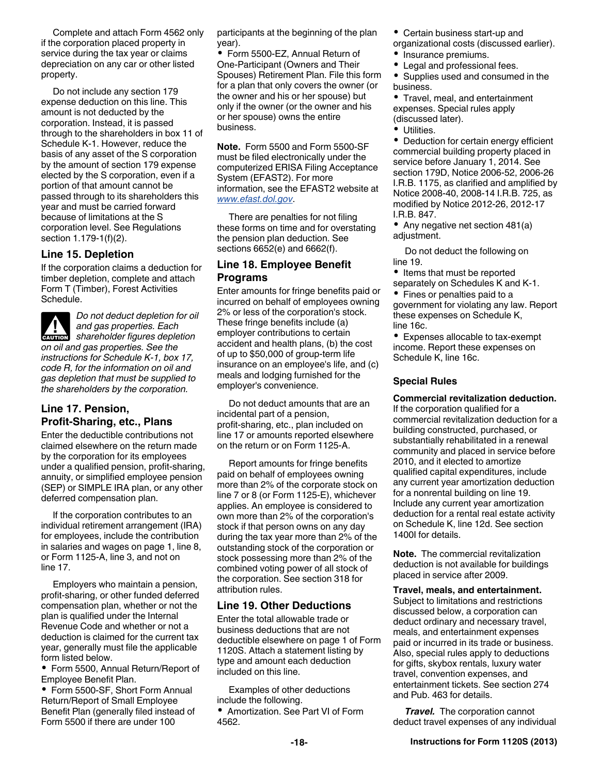<span id="page-18-0"></span>Complete and attach Form 4562 only if the corporation placed property in service during the tax year or claims depreciation on any car or other listed property.

Do not include any section 179 expense deduction on this line. This amount is not deducted by the corporation. Instead, it is passed through to the shareholders in box 11 of Schedule K-1. However, reduce the basis of any asset of the S corporation by the amount of section 179 expense elected by the S corporation, even if a portion of that amount cannot be passed through to its shareholders this year and must be carried forward because of limitations at the S corporation level. See Regulations section 1.179-1(f)(2).

#### **Line 15. Depletion**

If the corporation claims a deduction for timber depletion, complete and attach Form T (Timber), Forest Activities Schedule.

*Do not deduct depletion for oil and gas properties. Each*  **z** and gas properties. Each<br>
shareholder figures depletion *on oil and gas properties. See the instructions for Schedule K-1, box 17, code R, for the information on oil and gas depletion that must be supplied to the shareholders by the corporation.*

### **Line 17. Pension, Profit-Sharing, etc., Plans**

Enter the deductible contributions not claimed elsewhere on the return made by the corporation for its employees under a qualified pension, profit-sharing, annuity, or simplified employee pension (SEP) or SIMPLE IRA plan, or any other deferred compensation plan.

If the corporation contributes to an individual retirement arrangement (IRA) for employees, include the contribution in salaries and wages on page 1, line 8, or Form 1125-A, line 3, and not on line 17.

Employers who maintain a pension, profit-sharing, or other funded deferred compensation plan, whether or not the plan is qualified under the Internal Revenue Code and whether or not a deduction is claimed for the current tax year, generally must file the applicable form listed below.

Form 5500, Annual Return/Report of Employee Benefit Plan.

Form 5500-SF, Short Form Annual Return/Report of Small Employee Benefit Plan (generally filed instead of Form 5500 if there are under 100

participants at the beginning of the plan year).

Form 5500-EZ, Annual Return of One-Participant (Owners and Their Spouses) Retirement Plan. File this form for a plan that only covers the owner (or the owner and his or her spouse) but only if the owner (or the owner and his or her spouse) owns the entire business.

**Note.** Form 5500 and Form 5500-SF must be filed electronically under the computerized ERISA Filing Acceptance System (EFAST2). For more information, see the EFAST2 website at *[www.efast.dol.gov](http://www.efast.dol.gov)*.

There are penalties for not filing these forms on time and for overstating the pension plan deduction. See sections 6652(e) and 6662(f).

#### **Line 18. Employee Benefit Programs**

Enter amounts for fringe benefits paid or incurred on behalf of employees owning 2% or less of the corporation's stock. These fringe benefits include (a) employer contributions to certain accident and health plans, (b) the cost of up to \$50,000 of group-term life insurance on an employee's life, and (c) meals and lodging furnished for the employer's convenience.

Do not deduct amounts that are an incidental part of a pension, profit-sharing, etc., plan included on line 17 or amounts reported elsewhere on the return or on Form 1125-A.

Report amounts for fringe benefits paid on behalf of employees owning more than 2% of the corporate stock on line 7 or 8 (or Form 1125-E), whichever applies. An employee is considered to own more than 2% of the corporation's stock if that person owns on any day during the tax year more than 2% of the outstanding stock of the corporation or stock possessing more than 2% of the combined voting power of all stock of the corporation. See section 318 for attribution rules.

#### **Line 19. Other Deductions**

Enter the total allowable trade or business deductions that are not deductible elsewhere on page 1 of Form 1120S. Attach a statement listing by type and amount each deduction included on this line.

Examples of other deductions include the following. Amortization. See Part VI of Form 4562.

- Certain business start-up and
- organizational costs (discussed earlier).
- Insurance premiums.
- Legal and professional fees.
- Supplies used and consumed in the business.
- Travel, meal, and entertainment expenses. Special rules apply (discussed later).
- Utilities.

Deduction for certain energy efficient commercial building property placed in service before January 1, 2014. See section 179D, Notice 2006-52, 2006-26 I.R.B. 1175, as clarified and amplified by Notice 2008-40, 2008-14 I.R.B. 725, as modified by Notice 2012-26, 2012-17 I.R.B. 847.

• Any negative net section 481(a) adjustment.

Do not deduct the following on line 19.

- Items that must be reported
- separately on Schedules K and K-1.

• Fines or penalties paid to a government for violating any law. Report these expenses on Schedule K, line 16c.

Expenses allocable to tax-exempt income. Report these expenses on Schedule K, line 16c.

#### **Special Rules**

**Commercial revitalization deduction.**  If the corporation qualified for a commercial revitalization deduction for a building constructed, purchased, or substantially rehabilitated in a renewal community and placed in service before 2010, and it elected to amortize qualified capital expenditures, include any current year amortization deduction for a nonrental building on line 19. Include any current year amortization deduction for a rental real estate activity on Schedule K, line 12d. See section 1400I for details.

**Note.** The commercial revitalization deduction is not available for buildings placed in service after 2009.

#### **Travel, meals, and entertainment.**

Subject to limitations and restrictions discussed below, a corporation can deduct ordinary and necessary travel, meals, and entertainment expenses paid or incurred in its trade or business. Also, special rules apply to deductions for gifts, skybox rentals, luxury water travel, convention expenses, and entertainment tickets. See section 274 and Pub. 463 for details.

*Travel.* The corporation cannot deduct travel expenses of any individual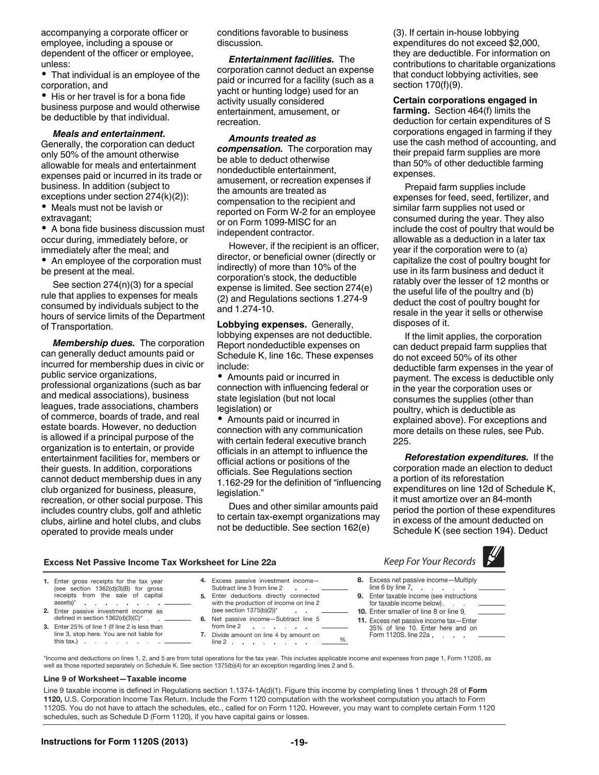<span id="page-19-0"></span>accompanying a corporate officer or employee, including a spouse or dependent of the officer or employee, unless:

That individual is an employee of the corporation, and

His or her travel is for a bona fide business purpose and would otherwise be deductible by that individual.

#### *Meals and entertainment.*

Generally, the corporation can deduct only 50% of the amount otherwise allowable for meals and entertainment expenses paid or incurred in its trade or business. In addition (subject to exceptions under section 274(k)(2)):

Meals must not be lavish or extravagant;

A bona fide business discussion must occur during, immediately before, or immediately after the meal; and

• An employee of the corporation must be present at the meal.

See section 274(n)(3) for a special rule that applies to expenses for meals consumed by individuals subject to the hours of service limits of the Department of Transportation.

*Membership dues.* The corporation can generally deduct amounts paid or incurred for membership dues in civic or public service organizations, professional organizations (such as bar and medical associations), business leagues, trade associations, chambers of commerce, boards of trade, and real estate boards. However, no deduction is allowed if a principal purpose of the organization is to entertain, or provide entertainment facilities for, members or their guests. In addition, corporations cannot deduct membership dues in any club organized for business, pleasure, recreation, or other social purpose. This includes country clubs, golf and athletic clubs, airline and hotel clubs, and clubs operated to provide meals under

conditions favorable to business discussion.

*Entertainment facilities.* The corporation cannot deduct an expense paid or incurred for a facility (such as a yacht or hunting lodge) used for an activity usually considered entertainment, amusement, or recreation.

*Amounts treated as compensation.* The corporation may be able to deduct otherwise nondeductible entertainment, amusement, or recreation expenses if the amounts are treated as compensation to the recipient and reported on Form W-2 for an employee or on Form 1099-MISC for an independent contractor.

However, if the recipient is an officer, director, or beneficial owner (directly or indirectly) of more than 10% of the corporation's stock, the deductible expense is limited. See section 274(e) (2) and Regulations sections 1.274-9 and 1.274-10.

**Lobbying expenses.** Generally, lobbying expenses are not deductible. Report nondeductible expenses on Schedule K, line 16c. These expenses include:

Amounts paid or incurred in connection with influencing federal or state legislation (but not local legislation) or

Amounts paid or incurred in connection with any communication with certain federal executive branch officials in an attempt to influence the official actions or positions of the officials. See Regulations section 1.162-29 for the definition of "influencing legislation."

Dues and other similar amounts paid to certain tax-exempt organizations may not be deductible. See section 162(e)

(3). If certain in-house lobbying expenditures do not exceed \$2,000, they are deductible. For information on contributions to charitable organizations that conduct lobbying activities, see section 170(f)(9).

**Certain corporations engaged in farming.** Section 464(f) limits the deduction for certain expenditures of S corporations engaged in farming if they use the cash method of accounting, and their prepaid farm supplies are more than 50% of other deductible farming expenses.

Prepaid farm supplies include expenses for feed, seed, fertilizer, and similar farm supplies not used or consumed during the year. They also include the cost of poultry that would be allowable as a deduction in a later tax year if the corporation were to (a) capitalize the cost of poultry bought for use in its farm business and deduct it ratably over the lesser of 12 months or the useful life of the poultry and (b) deduct the cost of poultry bought for resale in the year it sells or otherwise disposes of it.

If the limit applies, the corporation can deduct prepaid farm supplies that do not exceed 50% of its other deductible farm expenses in the year of payment. The excess is deductible only in the year the corporation uses or consumes the supplies (other than poultry, which is deductible as explained above). For exceptions and more details on these rules, see Pub. 225.

*Reforestation expenditures.* If the corporation made an election to deduct a portion of its reforestation expenditures on line 12d of Schedule K, it must amortize over an 84-month period the portion of these expenditures in excess of the amount deducted on Schedule K (see section 194). Deduct

#### Excess Net Passive Income Tax Worksheet for Line 22a

6.

from line 2



8. Excess net passive income-Multiply line 6 by line 7. .

- Enter taxable income (see instructions for taxable income below)
- 10. Enter smaller of line 8 or line 9 11. Excess net passive income tax—Enter 35% of line 10. Enter here and on Form 1120S, line 22a  $\sim$

\*Income and deductions on lines 1, 2, and 5 are from total operations for the tax year. This includes applicable income and expenses from page 1, Form 1120S, as well as those reported separately on Schedule K. See section 1375(b)(4) for an exception regarding lines 2 and 5.

4. Excess passive investment income— 5. Enter deductions directly connected

Subtract line 3 from line 2

(see section 1375(b)(2))\*

7. Divide amount on line 4 by amount on

 $line 2$  . . . . . . .

Net passive income—Subtract line 5

with the production of income on line 2

#### Line 9 of Worksheet—Taxable income

1. Enter gross receipts for the tax year

(see section 1362(d)(3)(B) for gross receipts from the sale of capital

the contract of the contract of

2. Enter passive investment income as 3. Enter 25% of line 1 (If line 2 is less than

defined in section  $1362(d)(3)(C)^*$ line 3, stop here. You are not liable for this tax.)

assets)\*

Line 9 taxable income is defined in Regulations section 1.1374-1A(d)(1). Figure this income by completing lines 1 through 28 of Form 1120, U.S. Corporation Income Tax Return. Include the Form 1120 computation with the worksheet computation you attach to Form 1120S. You do not have to attach the schedules, etc., called for on Form 1120. However, you may want to complete certain Form 1120 schedules, such as Schedule D (Form 1120), if you have capital gains or losses.

%

9.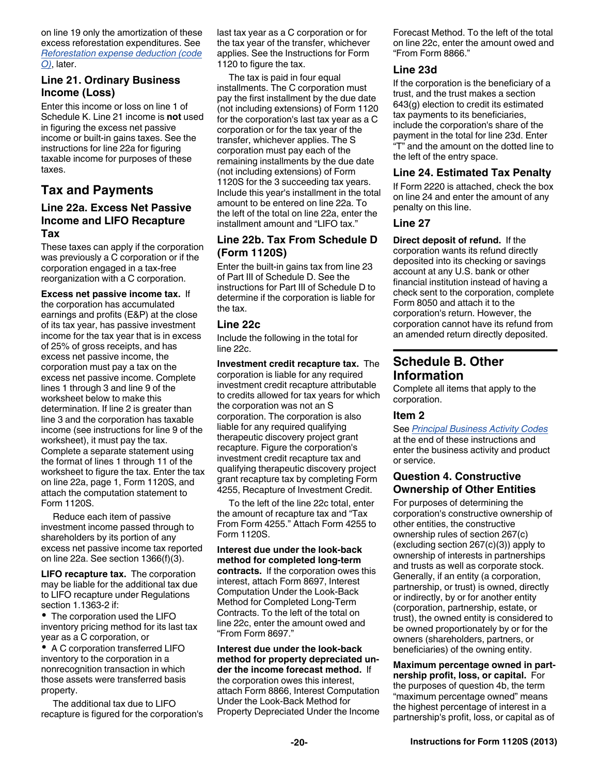<span id="page-20-0"></span>on line 19 only the amortization of these excess reforestation expenditures. See *[Reforestation expense deduction \(code](#page-29-0)  [O\)](#page-29-0)*, later.

### **Line 21. Ordinary Business Income (Loss)**

Enter this income or loss on line 1 of Schedule K. Line 21 income is **not** used in figuring the excess net passive income or built-in gains taxes. See the instructions for line 22a for figuring taxable income for purposes of these taxes.

### **Tax and Payments**

### **Line 22a. Excess Net Passive Income and LIFO Recapture Tax**

These taxes can apply if the corporation was previously a C corporation or if the corporation engaged in a tax-free reorganization with a C corporation.

**Excess net passive income tax.** If the corporation has accumulated earnings and profits (E&P) at the close of its tax year, has passive investment income for the tax year that is in excess of 25% of gross receipts, and has excess net passive income, the corporation must pay a tax on the excess net passive income. Complete lines 1 through 3 and line 9 of the worksheet below to make this determination. If line 2 is greater than line 3 and the corporation has taxable income (see instructions for line 9 of the worksheet), it must pay the tax. Complete a separate statement using the format of lines 1 through 11 of the worksheet to figure the tax. Enter the tax on line 22a, page 1, Form 1120S, and attach the computation statement to Form 1120S.

Reduce each item of passive investment income passed through to shareholders by its portion of any excess net passive income tax reported on line 22a. See section 1366(f)(3).

**LIFO recapture tax.** The corporation may be liable for the additional tax due to LIFO recapture under Regulations section 1.1363-2 if:

The corporation used the LIFO inventory pricing method for its last tax year as a C corporation, or

A C corporation transferred LIFO inventory to the corporation in a nonrecognition transaction in which those assets were transferred basis property.

The additional tax due to LIFO recapture is figured for the corporation's last tax year as a C corporation or for the tax year of the transfer, whichever applies. See the Instructions for Form 1120 to figure the tax.

The tax is paid in four equal installments. The C corporation must pay the first installment by the due date (not including extensions) of Form 1120 for the corporation's last tax year as a C corporation or for the tax year of the transfer, whichever applies. The S corporation must pay each of the remaining installments by the due date (not including extensions) of Form 1120S for the 3 succeeding tax years. Include this year's installment in the total amount to be entered on line 22a. To the left of the total on line 22a, enter the installment amount and "LIFO tax."

#### **Line 22b. Tax From Schedule D (Form 1120S)**

Enter the built-in gains tax from line 23 of Part III of Schedule D. See the instructions for Part III of Schedule D to determine if the corporation is liable for the tax.

### **Line 22c**

Include the following in the total for line 22c.

**Investment credit recapture tax.** The corporation is liable for any required investment credit recapture attributable to credits allowed for tax years for which the corporation was not an S corporation. The corporation is also liable for any required qualifying therapeutic discovery project grant recapture. Figure the corporation's investment credit recapture tax and qualifying therapeutic discovery project grant recapture tax by completing Form 4255, Recapture of Investment Credit.

To the left of the line 22c total, enter the amount of recapture tax and "Tax From Form 4255." Attach Form 4255 to Form 1120S.

**Interest due under the look-back method for completed long-term contracts.** If the corporation owes this interest, attach Form 8697, Interest Computation Under the Look-Back Method for Completed Long-Term Contracts. To the left of the total on line 22c, enter the amount owed and "From Form 8697."

**Interest due under the look-back method for property depreciated under the income forecast method.** If the corporation owes this interest, attach Form 8866, Interest Computation Under the Look-Back Method for Property Depreciated Under the Income Forecast Method. To the left of the total on line 22c, enter the amount owed and "From Form 8866."

#### **Line 23d**

If the corporation is the beneficiary of a trust, and the trust makes a section 643(g) election to credit its estimated tax payments to its beneficiaries, include the corporation's share of the payment in the total for line 23d. Enter "T" and the amount on the dotted line to the left of the entry space.

### **Line 24. Estimated Tax Penalty**

If Form 2220 is attached, check the box on line 24 and enter the amount of any penalty on this line.

### **Line 27**

**Direct deposit of refund.** If the corporation wants its refund directly deposited into its checking or savings account at any U.S. bank or other financial institution instead of having a check sent to the corporation, complete Form 8050 and attach it to the corporation's return. However, the corporation cannot have its refund from an amended return directly deposited.

### **Schedule B. Other Information**

Complete all items that apply to the corporation.

### **Item 2**

See *[Principal Business Activity Codes](#page-43-0)*  at the end of these instructions and enter the business activity and product or service.

#### **Question 4. Constructive Ownership of Other Entities**

For purposes of determining the corporation's constructive ownership of other entities, the constructive ownership rules of section 267(c) (excluding section 267(c)(3)) apply to ownership of interests in partnerships and trusts as well as corporate stock. Generally, if an entity (a corporation, partnership, or trust) is owned, directly or indirectly, by or for another entity (corporation, partnership, estate, or trust), the owned entity is considered to be owned proportionately by or for the owners (shareholders, partners, or beneficiaries) of the owning entity.

**Maximum percentage owned in partnership profit, loss, or capital.** For the purposes of question 4b, the term "maximum percentage owned" means the highest percentage of interest in a partnership's profit, loss, or capital as of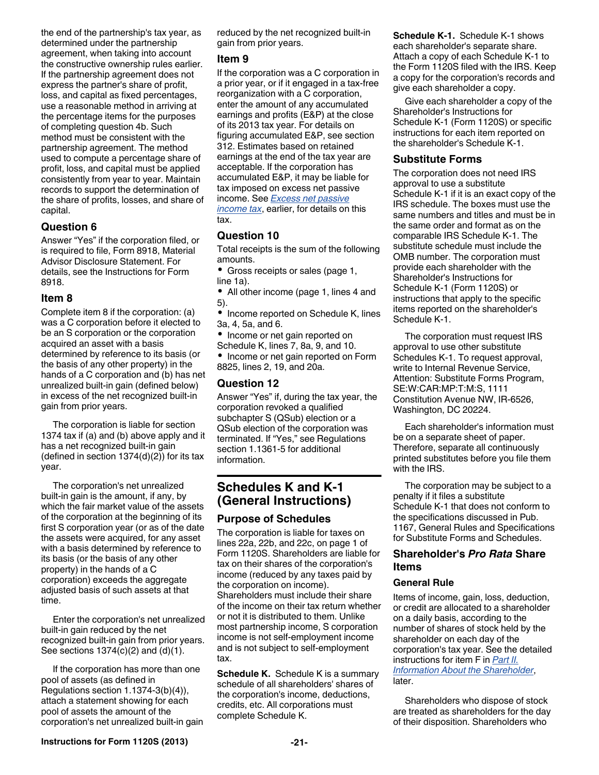<span id="page-21-0"></span>the end of the partnership's tax year, as determined under the partnership agreement, when taking into account the constructive ownership rules earlier. If the partnership agreement does not express the partner's share of profit, loss, and capital as fixed percentages, use a reasonable method in arriving at the percentage items for the purposes of completing question 4b. Such method must be consistent with the partnership agreement. The method used to compute a percentage share of profit, loss, and capital must be applied consistently from year to year. Maintain records to support the determination of the share of profits, losses, and share of capital.

#### **Question 6**

Answer "Yes" if the corporation filed, or is required to file, Form 8918, Material Advisor Disclosure Statement. For details, see the Instructions for Form 8918.

#### **Item 8**

Complete item 8 if the corporation: (a) was a C corporation before it elected to be an S corporation or the corporation acquired an asset with a basis determined by reference to its basis (or the basis of any other property) in the hands of a C corporation and (b) has net unrealized built-in gain (defined below) in excess of the net recognized built-in gain from prior years.

The corporation is liable for section 1374 tax if (a) and (b) above apply and it has a net recognized built-in gain (defined in section  $1374(d)(2)$ ) for its tax year.

The corporation's net unrealized built-in gain is the amount, if any, by which the fair market value of the assets of the corporation at the beginning of its first S corporation year (or as of the date the assets were acquired, for any asset with a basis determined by reference to its basis (or the basis of any other property) in the hands of a C corporation) exceeds the aggregate adjusted basis of such assets at that time.

Enter the corporation's net unrealized built-in gain reduced by the net recognized built-in gain from prior years. See sections 1374(c)(2) and (d)(1).

If the corporation has more than one pool of assets (as defined in Regulations section 1.1374-3(b)(4)), attach a statement showing for each pool of assets the amount of the corporation's net unrealized built-in gain reduced by the net recognized built-in gain from prior years.

#### **Item 9**

If the corporation was a C corporation in a prior year, or if it engaged in a tax-free reorganization with a C corporation, enter the amount of any accumulated earnings and profits (E&P) at the close of its 2013 tax year. For details on figuring accumulated E&P, see section 312. Estimates based on retained earnings at the end of the tax year are acceptable. If the corporation has accumulated E&P, it may be liable for tax imposed on excess net passive income. See *[Excess net passive](#page-20-0) [income tax](#page-20-0)*, earlier, for details on this tax.

### **Question 10**

Total receipts is the sum of the following amounts.

Gross receipts or sales (page 1, line 1a).

• All other income (page 1, lines 4 and 5).

• Income reported on Schedule K, lines 3a, 4, 5a, and 6.

• Income or net gain reported on Schedule K, lines 7, 8a, 9, and 10. • Income or net gain reported on Form 8825, lines 2, 19, and 20a.

#### **Question 12**

Answer "Yes" if, during the tax year, the corporation revoked a qualified subchapter S (QSub) election or a QSub election of the corporation was terminated. If "Yes," see Regulations section 1.1361-5 for additional information.

### **Schedules K and K-1 (General Instructions)**

### **Purpose of Schedules**

The corporation is liable for taxes on lines 22a, 22b, and 22c, on page 1 of Form 1120S. Shareholders are liable for tax on their shares of the corporation's income (reduced by any taxes paid by the corporation on income). Shareholders must include their share of the income on their tax return whether or not it is distributed to them. Unlike most partnership income, S corporation income is not self-employment income and is not subject to self-employment tax.

**Schedule K.** Schedule K is a summary schedule of all shareholders' shares of the corporation's income, deductions, credits, etc. All corporations must complete Schedule K.

**Schedule K-1.** Schedule K-1 shows each shareholder's separate share. Attach a copy of each Schedule K-1 to the Form 1120S filed with the IRS. Keep a copy for the corporation's records and give each shareholder a copy.

Give each shareholder a copy of the Shareholder's Instructions for Schedule K-1 (Form 1120S) or specific instructions for each item reported on the shareholder's Schedule K-1.

#### **Substitute Forms**

The corporation does not need IRS approval to use a substitute Schedule K-1 if it is an exact copy of the IRS schedule. The boxes must use the same numbers and titles and must be in the same order and format as on the comparable IRS Schedule K-1. The substitute schedule must include the OMB number. The corporation must provide each shareholder with the Shareholder's Instructions for Schedule K-1 (Form 1120S) or instructions that apply to the specific items reported on the shareholder's Schedule K-1.

The corporation must request IRS approval to use other substitute Schedules K-1. To request approval, write to Internal Revenue Service, Attention: Substitute Forms Program, SE:W:CAR:MP:T:M:S, 1111 Constitution Avenue NW, IR-6526, Washington, DC 20224.

Each shareholder's information must be on a separate sheet of paper. Therefore, separate all continuously printed substitutes before you file them with the IRS.

The corporation may be subject to a penalty if it files a substitute Schedule K-1 that does not conform to the specifications discussed in Pub. 1167, General Rules and Specifications for Substitute Forms and Schedules.

#### **Shareholder's** *Pro Rata* **Share Items**

#### **General Rule**

Items of income, gain, loss, deduction, or credit are allocated to a shareholder on a daily basis, according to the number of shares of stock held by the shareholder on each day of the corporation's tax year. See the detailed instructions for item F in *[Part II.](#page-23-0) [Information About the Shareholder](#page-23-0)*, later.

Shareholders who dispose of stock are treated as shareholders for the day of their disposition. Shareholders who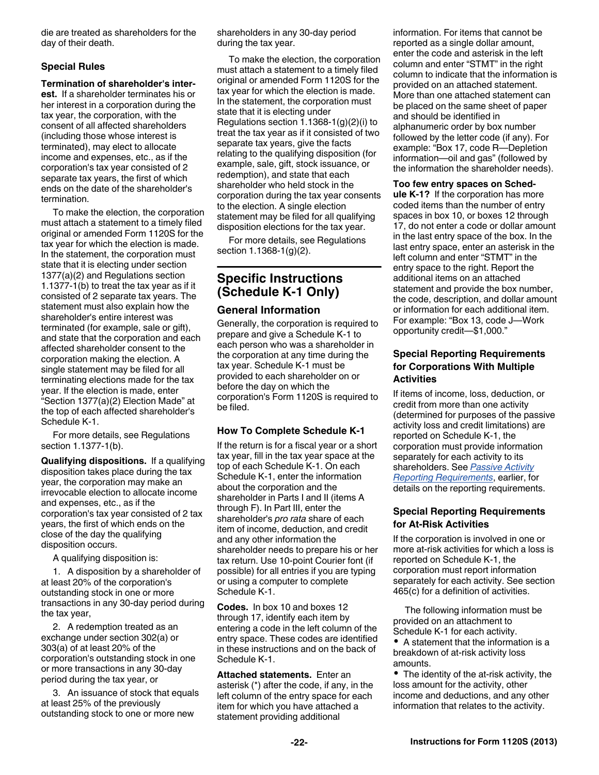<span id="page-22-0"></span>die are treated as shareholders for the day of their death.

#### **Special Rules**

**Termination of shareholder's interest.** If a shareholder terminates his or her interest in a corporation during the tax year, the corporation, with the consent of all affected shareholders (including those whose interest is terminated), may elect to allocate income and expenses, etc., as if the corporation's tax year consisted of 2 separate tax years, the first of which ends on the date of the shareholder's termination.

To make the election, the corporation must attach a statement to a timely filed original or amended Form 1120S for the tax year for which the election is made. In the statement, the corporation must state that it is electing under section 1377(a)(2) and Regulations section 1.1377-1(b) to treat the tax year as if it consisted of 2 separate tax years. The statement must also explain how the shareholder's entire interest was terminated (for example, sale or gift), and state that the corporation and each affected shareholder consent to the corporation making the election. A single statement may be filed for all terminating elections made for the tax year. If the election is made, enter "Section 1377(a)(2) Election Made" at the top of each affected shareholder's Schedule K-1.

For more details, see Regulations section 1.1377-1(b).

**Qualifying dispositions.** If a qualifying disposition takes place during the tax year, the corporation may make an irrevocable election to allocate income and expenses, etc., as if the corporation's tax year consisted of 2 tax years, the first of which ends on the close of the day the qualifying disposition occurs.

A qualifying disposition is:

1. A disposition by a shareholder of at least 20% of the corporation's outstanding stock in one or more transactions in any 30-day period during the tax year,

2. A redemption treated as an exchange under section 302(a) or 303(a) of at least 20% of the corporation's outstanding stock in one or more transactions in any 30-day period during the tax year, or

3. An issuance of stock that equals at least 25% of the previously outstanding stock to one or more new

shareholders in any 30-day period during the tax year.

To make the election, the corporation must attach a statement to a timely filed original or amended Form 1120S for the tax year for which the election is made. In the statement, the corporation must state that it is electing under Regulations section 1.1368-1(g)(2)(i) to treat the tax year as if it consisted of two separate tax years, give the facts relating to the qualifying disposition (for example, sale, gift, stock issuance, or redemption), and state that each shareholder who held stock in the corporation during the tax year consents to the election. A single election statement may be filed for all qualifying disposition elections for the tax year.

For more details, see Regulations section 1.1368-1(g)(2).

### **Specific Instructions (Schedule K-1 Only)**

#### **General Information**

Generally, the corporation is required to prepare and give a Schedule K-1 to each person who was a shareholder in the corporation at any time during the tax year. Schedule K-1 must be provided to each shareholder on or before the day on which the corporation's Form 1120S is required to be filed.

#### **How To Complete Schedule K-1**

If the return is for a fiscal year or a short tax year, fill in the tax year space at the top of each Schedule K-1. On each Schedule K-1, enter the information about the corporation and the shareholder in Parts I and II (items A through F). In Part III, enter the shareholder's *pro rata* share of each item of income, deduction, and credit and any other information the shareholder needs to prepare his or her tax return. Use 10-point Courier font (if possible) for all entries if you are typing or using a computer to complete Schedule K-1.

**Codes.** In box 10 and boxes 12 through 17, identify each item by entering a code in the left column of the entry space. These codes are identified in these instructions and on the back of Schedule K-1.

**Attached statements.** Enter an asterisk (\*) after the code, if any, in the left column of the entry space for each item for which you have attached a statement providing additional

information. For items that cannot be reported as a single dollar amount, enter the code and asterisk in the left column and enter "STMT" in the right column to indicate that the information is provided on an attached statement. More than one attached statement can be placed on the same sheet of paper and should be identified in alphanumeric order by box number followed by the letter code (if any). For example: "Box 17, code R—Depletion information—oil and gas" (followed by the information the shareholder needs).

#### **Too few entry spaces on Sched-**

**ule K-1?** If the corporation has more coded items than the number of entry spaces in box 10, or boxes 12 through 17, do not enter a code or dollar amount in the last entry space of the box. In the last entry space, enter an asterisk in the left column and enter "STMT" in the entry space to the right. Report the additional items on an attached statement and provide the box number, the code, description, and dollar amount or information for each additional item. For example: "Box 13, code J—Work opportunity credit—\$1,000."

#### **Special Reporting Requirements for Corporations With Multiple Activities**

If items of income, loss, deduction, or credit from more than one activity (determined for purposes of the passive activity loss and credit limitations) are reported on Schedule K-1, the corporation must provide information separately for each activity to its shareholders. See *[Passive Activity](#page-10-0) [Reporting Requirements](#page-10-0)*, earlier, for details on the reporting requirements.

#### **Special Reporting Requirements for At-Risk Activities**

If the corporation is involved in one or more at-risk activities for which a loss is reported on Schedule K-1, the corporation must report information separately for each activity. See section 465(c) for a definition of activities.

The following information must be provided on an attachment to Schedule K-1 for each activity.

A statement that the information is a breakdown of at-risk activity loss amounts.

• The identity of the at-risk activity, the loss amount for the activity, other income and deductions, and any other information that relates to the activity.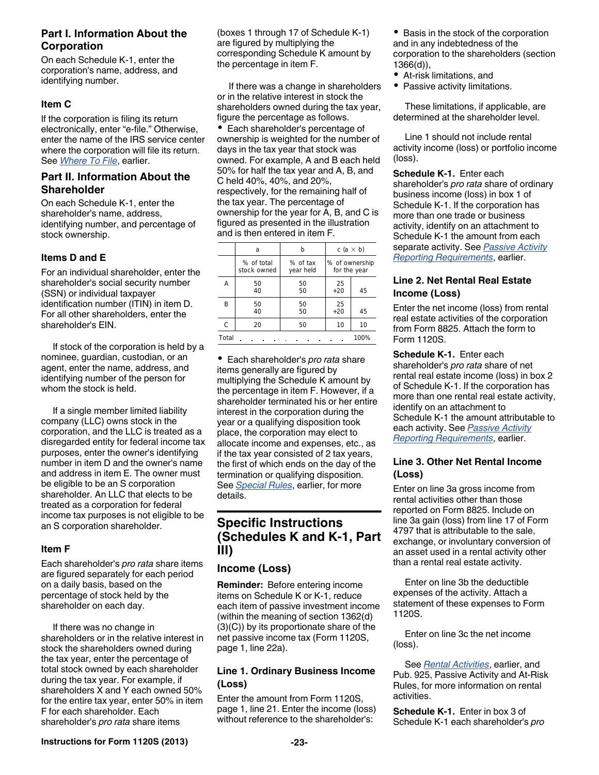#### <span id="page-23-0"></span>**Part I. Information About the Corporation**

On each Schedule K-1, enter the corporation's name, address, and identifying number.

#### **Item C**

If the corporation is filing its return electronically, enter "e-file." Otherwise, enter the name of the IRS service center where the corporation will file its return. See *[Where To File](#page-3-0)*, earlier.

#### **Part II. Information About the Shareholder**

On each Schedule K-1, enter the shareholder's name, address, identifying number, and percentage of stock ownership.

#### **Items D and E**

For an individual shareholder, enter the shareholder's social security number (SSN) or individual taxpayer identification number (ITIN) in item D. For all other shareholders, enter the shareholder's EIN.

If stock of the corporation is held by a nominee, guardian, custodian, or an agent, enter the name, address, and identifying number of the person for whom the stock is held.

If a single member limited liability company (LLC) owns stock in the corporation, and the LLC is treated as a disregarded entity for federal income tax purposes, enter the owner's identifying number in item D and the owner's name and address in item E. The owner must be eligible to be an S corporation shareholder. An LLC that elects to be treated as a corporation for federal income tax purposes is not eligible to be an S corporation shareholder.

#### **Item F**

Each shareholder's *pro rata* share items are figured separately for each period on a daily basis, based on the percentage of stock held by the shareholder on each day.

If there was no change in shareholders or in the relative interest in stock the shareholders owned during the tax year, enter the percentage of total stock owned by each shareholder during the tax year. For example, if shareholders X and Y each owned 50% for the entire tax year, enter 50% in item F for each shareholder. Each shareholder's *pro rata* share items

(boxes 1 through 17 of Schedule K-1) are figured by multiplying the corresponding Schedule K amount by the percentage in item F.

If there was a change in shareholders or in the relative interest in stock the shareholders owned during the tax year, figure the percentage as follows.

• Each shareholder's percentage of ownership is weighted for the number of days in the tax year that stock was owned. For example, A and B each held 50% for half the tax year and A, B, and C held 40%, 40%, and 20%, respectively, for the remaining half of the tax year. The percentage of ownership for the year for A, B, and C is figured as presented in the illustration and is then entered in item F.

|       | a                         | b                     | c (a $\times$ b)               |      |
|-------|---------------------------|-----------------------|--------------------------------|------|
|       | % of total<br>stock owned | % of tax<br>year held | % of ownership<br>for the year |      |
| Α     | 50<br>40                  | 50<br>50              | 25<br>$+20$                    | 45   |
| B     | 50<br>40                  | 50<br>50              | 25<br>$+20$                    | 45   |
| C     | 20                        | 50                    | 10                             | 10   |
| Total |                           |                       |                                | 100% |

Each shareholder's *pro rata* share items generally are figured by multiplying the Schedule K amount by the percentage in item F. However, if a shareholder terminated his or her entire interest in the corporation during the year or a qualifying disposition took place, the corporation may elect to allocate income and expenses, etc., as if the tax year consisted of 2 tax years, the first of which ends on the day of the termination or qualifying disposition. See *[Special Rules](#page-22-0)*, earlier, for more details.

### **Specific Instructions (Schedules K and K-1, Part III)**

#### **Income (Loss)**

**Reminder:** Before entering income items on Schedule K or K-1, reduce each item of passive investment income (within the meaning of section 1362(d) (3)(C)) by its proportionate share of the net passive income tax (Form 1120S, page 1, line 22a).

#### **Line 1. Ordinary Business Income (Loss)**

Enter the amount from Form 1120S, page 1, line 21. Enter the income (loss) without reference to the shareholder's:

• Basis in the stock of the corporation and in any indebtedness of the corporation to the shareholders (section 1366(d)),

- At-risk limitations, and
- Passive activity limitations.

These limitations, if applicable, are determined at the shareholder level.

Line 1 should not include rental activity income (loss) or portfolio income (loss).

**Schedule K-1.** Enter each shareholder's *pro rata* share of ordinary business income (loss) in box 1 of Schedule K-1. If the corporation has more than one trade or business activity, identify on an attachment to Schedule K-1 the amount from each separate activity. See *[Passive Activity](#page-10-0) [Reporting Requirements](#page-10-0)*, earlier.

#### **Line 2. Net Rental Real Estate Income (Loss)**

Enter the net income (loss) from rental real estate activities of the corporation from Form 8825. Attach the form to Form 1120S.

**Schedule K-1.** Enter each shareholder's *pro rata* share of net rental real estate income (loss) in box 2 of Schedule K-1. If the corporation has more than one rental real estate activity, identify on an attachment to Schedule K-1 the amount attributable to each activity. See *[Passive Activity](#page-10-0) [Reporting Requirements](#page-10-0)*, earlier.

#### **Line 3. Other Net Rental Income (Loss)**

Enter on line 3a gross income from rental activities other than those reported on Form 8825. Include on line 3a gain (loss) from line 17 of Form 4797 that is attributable to the sale, exchange, or involuntary conversion of an asset used in a rental activity other than a rental real estate activity.

Enter on line 3b the deductible expenses of the activity. Attach a statement of these expenses to Form 1120S.

Enter on line 3c the net income (loss).

See *[Rental Activities](#page-8-0)*, earlier, and Pub. 925, Passive Activity and At-Risk Rules, for more information on rental activities.

**Schedule K-1.** Enter in box 3 of Schedule K-1 each shareholder's *pro*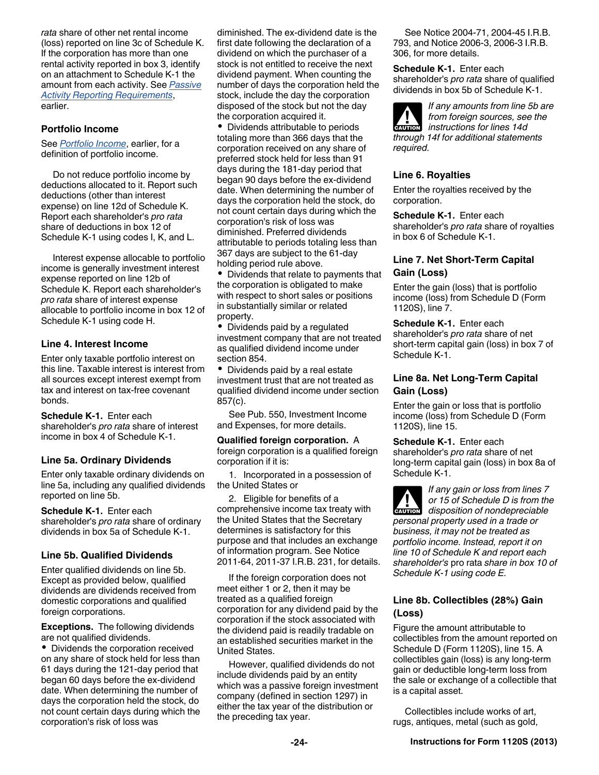<span id="page-24-0"></span>*rata* share of other net rental income (loss) reported on line 3c of Schedule K. If the corporation has more than one rental activity reported in box 3, identify on an attachment to Schedule K-1 the amount from each activity. See *[Passive](#page-10-0)  [Activity Reporting Requirements](#page-10-0)*, earlier.

#### **Portfolio Income**

See *[Portfolio Income](#page-9-0)*, earlier, for a definition of portfolio income.

Do not reduce portfolio income by deductions allocated to it. Report such deductions (other than interest expense) on line 12d of Schedule K. Report each shareholder's *pro rata*  share of deductions in box 12 of Schedule K-1 using codes I, K, and L.

Interest expense allocable to portfolio income is generally investment interest expense reported on line 12b of Schedule K. Report each shareholder's *pro rata* share of interest expense allocable to portfolio income in box 12 of Schedule K-1 using code H.

#### **Line 4. Interest Income**

Enter only taxable portfolio interest on this line. Taxable interest is interest from all sources except interest exempt from tax and interest on tax-free covenant bonds.

**Schedule K-1.** Enter each shareholder's *pro rata* share of interest income in box 4 of Schedule K-1.

#### **Line 5a. Ordinary Dividends**

Enter only taxable ordinary dividends on line 5a, including any qualified dividends reported on line 5b.

**Schedule K-1.** Enter each shareholder's *pro rata* share of ordinary dividends in box 5a of Schedule K-1.

#### **Line 5b. Qualified Dividends**

Enter qualified dividends on line 5b. Except as provided below, qualified dividends are dividends received from domestic corporations and qualified foreign corporations.

**Exceptions.** The following dividends are not qualified dividends.

Dividends the corporation received on any share of stock held for less than 61 days during the 121-day period that began 60 days before the ex-dividend date. When determining the number of days the corporation held the stock, do not count certain days during which the corporation's risk of loss was

diminished. The ex-dividend date is the first date following the declaration of a dividend on which the purchaser of a stock is not entitled to receive the next dividend payment. When counting the number of days the corporation held the stock, include the day the corporation disposed of the stock but not the day the corporation acquired it.

• Dividends attributable to periods totaling more than 366 days that the corporation received on any share of preferred stock held for less than 91 days during the 181-day period that began 90 days before the ex-dividend date. When determining the number of days the corporation held the stock, do not count certain days during which the corporation's risk of loss was diminished. Preferred dividends attributable to periods totaling less than 367 days are subject to the 61-day holding period rule above.

Dividends that relate to payments that the corporation is obligated to make with respect to short sales or positions in substantially similar or related property.

• Dividends paid by a regulated investment company that are not treated as qualified dividend income under section 854.

Dividends paid by a real estate investment trust that are not treated as qualified dividend income under section 857(c).

See Pub. 550, Investment Income and Expenses, for more details.

#### **Qualified foreign corporation.** A

foreign corporation is a qualified foreign corporation if it is:

1. Incorporated in a possession of the United States or

2. Eligible for benefits of a comprehensive income tax treaty with the United States that the Secretary determines is satisfactory for this purpose and that includes an exchange of information program. See Notice 2011-64, 2011-37 I.R.B. 231, for details.

If the foreign corporation does not meet either 1 or 2, then it may be treated as a qualified foreign corporation for any dividend paid by the corporation if the stock associated with the dividend paid is readily tradable on an established securities market in the United States.

However, qualified dividends do not include dividends paid by an entity which was a passive foreign investment company (defined in section 1297) in either the tax year of the distribution or the preceding tax year.

See Notice 2004-71, 2004-45 I.R.B. 793, and Notice 2006-3, 2006-3 I.R.B. 306, for more details.

**Schedule K-1.** Enter each shareholder's *pro rata* share of qualified dividends in box 5b of Schedule K-1.

*If any amounts from line 5b are from foreign sources, see the instructions for lines 14d through 14f for additional statements required.* **ALUTION** 

#### **Line 6. Royalties**

Enter the royalties received by the corporation.

**Schedule K-1.** Enter each shareholder's *pro rata* share of royalties in box 6 of Schedule K-1.

#### **Line 7. Net Short-Term Capital Gain (Loss)**

Enter the gain (loss) that is portfolio income (loss) from Schedule D (Form 1120S), line 7.

**Schedule K-1.** Enter each shareholder's *pro rata* share of net short-term capital gain (loss) in box 7 of Schedule K-1.

#### **Line 8a. Net Long-Term Capital Gain (Loss)**

Enter the gain or loss that is portfolio income (loss) from Schedule D (Form 1120S), line 15.

**Schedule K-1.** Enter each shareholder's *pro rata* share of net long-term capital gain (loss) in box 8a of Schedule K-1.

*If any gain or loss from lines 7 or 15 of Schedule D is from the*  **disposition of nondepreciable**<br> **CAUTION** disposition of nondepreciable *personal property used in a trade or business, it may not be treated as portfolio income. Instead, report it on line 10 of Schedule K and report each shareholder's* pro rata *share in box 10 of Schedule K-1 using code E.*

#### **Line 8b. Collectibles (28%) Gain (Loss)**

Figure the amount attributable to collectibles from the amount reported on Schedule D (Form 1120S), line 15. A collectibles gain (loss) is any long-term gain or deductible long-term loss from the sale or exchange of a collectible that is a capital asset.

Collectibles include works of art, rugs, antiques, metal (such as gold,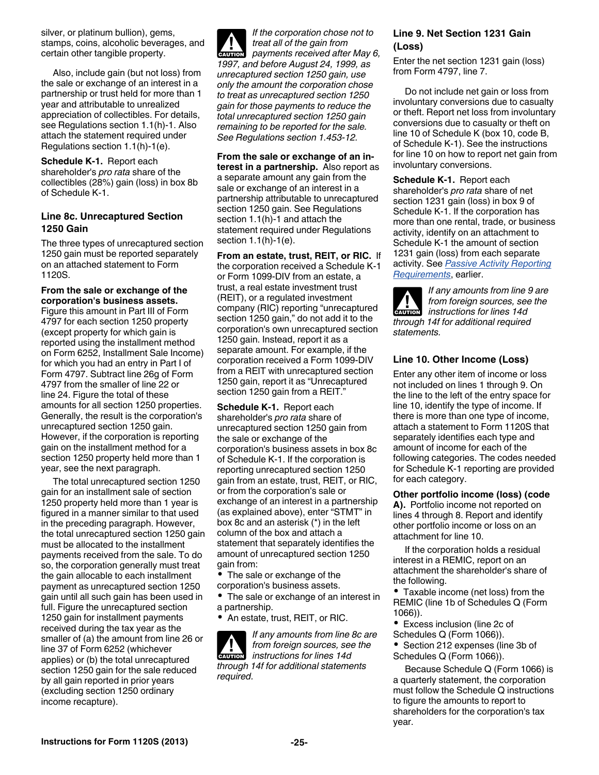<span id="page-25-0"></span>silver, or platinum bullion), gems, stamps, coins, alcoholic beverages, and certain other tangible property.

Also, include gain (but not loss) from the sale or exchange of an interest in a partnership or trust held for more than 1 year and attributable to unrealized appreciation of collectibles. For details, see Regulations section 1.1(h)-1. Also attach the statement required under Regulations section 1.1(h)-1(e).

**Schedule K-1.** Report each shareholder's *pro rata* share of the collectibles (28%) gain (loss) in box 8b of Schedule K-1.

#### **Line 8c. Unrecaptured Section 1250 Gain**

The three types of unrecaptured section 1250 gain must be reported separately on an attached statement to Form 1120S.

**From the sale or exchange of the corporation's business assets.** 

Figure this amount in Part III of Form 4797 for each section 1250 property (except property for which gain is reported using the installment method on Form 6252, Installment Sale Income) for which you had an entry in Part I of Form 4797. Subtract line 26g of Form 4797 from the smaller of line 22 or line 24. Figure the total of these amounts for all section 1250 properties. Generally, the result is the corporation's unrecaptured section 1250 gain. However, if the corporation is reporting gain on the installment method for a section 1250 property held more than 1 year, see the next paragraph.

The total unrecaptured section 1250 gain for an installment sale of section 1250 property held more than 1 year is figured in a manner similar to that used in the preceding paragraph. However, the total unrecaptured section 1250 gain must be allocated to the installment payments received from the sale. To do so, the corporation generally must treat the gain allocable to each installment payment as unrecaptured section 1250 gain until all such gain has been used in full. Figure the unrecaptured section 1250 gain for installment payments received during the tax year as the smaller of (a) the amount from line 26 or line 37 of Form 6252 (whichever applies) or (b) the total unrecaptured section 1250 gain for the sale reduced by all gain reported in prior years (excluding section 1250 ordinary income recapture).

*If the corporation chose not to treat all of the gain from*  **d** *payments received after May 6,*  $\rho$ *1997, and before August 24, 1999, as unrecaptured section 1250 gain, use only the amount the corporation chose to treat as unrecaptured section 1250 gain for those payments to reduce the total unrecaptured section 1250 gain remaining to be reported for the sale. See Regulations section 1.453-12.*

**From the sale or exchange of an interest in a partnership.** Also report as a separate amount any gain from the sale or exchange of an interest in a partnership attributable to unrecaptured section 1250 gain. See Regulations section 1.1(h)-1 and attach the statement required under Regulations section 1.1(h)-1(e).

**From an estate, trust, REIT, or RIC.** If the corporation received a Schedule K-1 or Form 1099-DIV from an estate, a trust, a real estate investment trust (REIT), or a regulated investment company (RIC) reporting "unrecaptured section 1250 gain," do not add it to the corporation's own unrecaptured section 1250 gain. Instead, report it as a separate amount. For example, if the corporation received a Form 1099-DIV from a REIT with unrecaptured section 1250 gain, report it as "Unrecaptured section 1250 gain from a REIT."

**Schedule K-1.** Report each shareholder's *pro rata* share of unrecaptured section 1250 gain from the sale or exchange of the corporation's business assets in box 8c of Schedule K-1. If the corporation is reporting unrecaptured section 1250 gain from an estate, trust, REIT, or RIC, or from the corporation's sale or exchange of an interest in a partnership (as explained above), enter "STMT" in box 8c and an asterisk (\*) in the left column of the box and attach a statement that separately identifies the amount of unrecaptured section 1250 gain from:

• The sale or exchange of the corporation's business assets.

The sale or exchange of an interest in a partnership.

An estate, trust, REIT, or RIC.

*If any amounts from line 8c are from foreign sources, see the from foreign sources, see*<br> *instructions for lines 14d through 14f for additional statements required.*

#### **Line 9. Net Section 1231 Gain (Loss)**

Enter the net section 1231 gain (loss) from Form 4797, line 7.

Do not include net gain or loss from involuntary conversions due to casualty or theft. Report net loss from involuntary conversions due to casualty or theft on line 10 of Schedule K (box 10, code B, of Schedule K-1). See the instructions for line 10 on how to report net gain from involuntary conversions.

**Schedule K-1.** Report each shareholder's *pro rata* share of net section 1231 gain (loss) in box 9 of Schedule K-1. If the corporation has more than one rental, trade, or business activity, identify on an attachment to Schedule K-1 the amount of section 1231 gain (loss) from each separate activity. See *[Passive Activity Reporting](#page-10-0)  [Requirements](#page-10-0)*, earlier.

*If any amounts from line 9 are from foreign sources, see the from foreign sources, see instructions for lines 14d through 14f for additional required statements.*

#### **Line 10. Other Income (Loss)**

Enter any other item of income or loss not included on lines 1 through 9. On the line to the left of the entry space for line 10, identify the type of income. If there is more than one type of income, attach a statement to Form 1120S that separately identifies each type and amount of income for each of the following categories. The codes needed for Schedule K-1 reporting are provided for each category.

#### **Other portfolio income (loss) (code**

**A).** Portfolio income not reported on lines 4 through 8. Report and identify other portfolio income or loss on an attachment for line 10.

If the corporation holds a residual interest in a REMIC, report on an attachment the shareholder's share of the following.

• Taxable income (net loss) from the REMIC (line 1b of Schedules Q (Form 1066)).

Excess inclusion (line 2c of Schedules Q (Form 1066)). • Section 212 expenses (line 3b of Schedules Q (Form 1066)).

Because Schedule Q (Form 1066) is a quarterly statement, the corporation must follow the Schedule Q instructions to figure the amounts to report to shareholders for the corporation's tax year.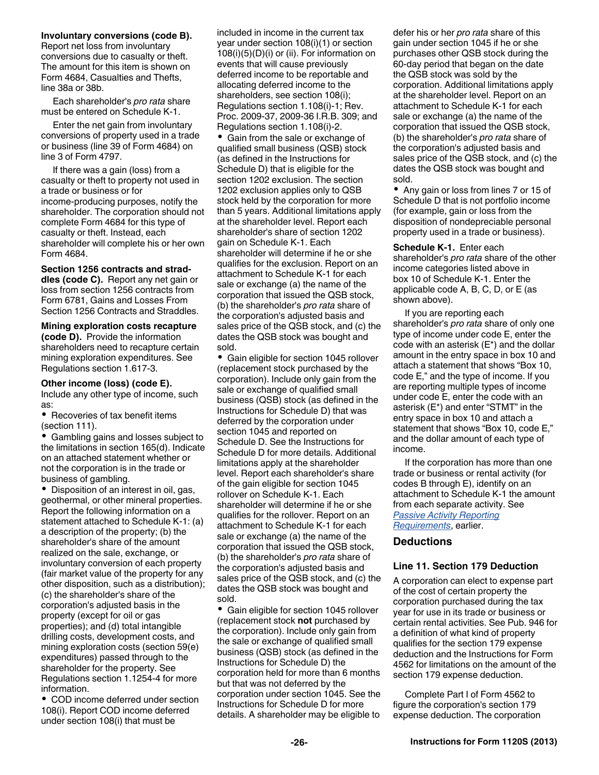<span id="page-26-0"></span>**Involuntary conversions (code B).**  Report net loss from involuntary conversions due to casualty or theft. The amount for this item is shown on Form 4684, Casualties and Thefts, line 38a or 38b.

Each shareholder's *pro rata* share must be entered on Schedule K-1.

Enter the net gain from involuntary conversions of property used in a trade or business (line 39 of Form 4684) on line 3 of Form 4797.

If there was a gain (loss) from a casualty or theft to property not used in a trade or business or for income-producing purposes, notify the shareholder. The corporation should not complete Form 4684 for this type of casualty or theft. Instead, each shareholder will complete his or her own Form 4684.

#### **Section 1256 contracts and strad-**

**dles (code C).** Report any net gain or loss from section 1256 contracts from Form 6781, Gains and Losses From Section 1256 Contracts and Straddles.

#### **Mining exploration costs recapture**

**(code D).** Provide the information shareholders need to recapture certain mining exploration expenditures. See Regulations section 1.617-3.

**Other income (loss) (code E).**  Include any other type of income, such as:

• Recoveries of tax benefit items (section 111).

Gambling gains and losses subject to the limitations in section 165(d). Indicate on an attached statement whether or not the corporation is in the trade or business of gambling.

Disposition of an interest in oil, gas, geothermal, or other mineral properties. Report the following information on a statement attached to Schedule K-1: (a) a description of the property; (b) the shareholder's share of the amount realized on the sale, exchange, or involuntary conversion of each property (fair market value of the property for any other disposition, such as a distribution); (c) the shareholder's share of the corporation's adjusted basis in the property (except for oil or gas properties); and (d) total intangible drilling costs, development costs, and mining exploration costs (section 59(e) expenditures) passed through to the shareholder for the property. See Regulations section 1.1254-4 for more information.

COD income deferred under section 108(i). Report COD income deferred under section 108(i) that must be

included in income in the current tax year under section 108(i)(1) or section 108(i)(5)(D)(i) or (ii). For information on events that will cause previously deferred income to be reportable and allocating deferred income to the shareholders, see section 108(i); Regulations section 1.108(i)-1; Rev. Proc. 2009-37, 2009-36 I.R.B. 309; and Regulations section 1.108(i)-2.

• Gain from the sale or exchange of qualified small business (QSB) stock (as defined in the Instructions for Schedule D) that is eligible for the section 1202 exclusion. The section 1202 exclusion applies only to QSB stock held by the corporation for more than 5 years. Additional limitations apply at the shareholder level. Report each shareholder's share of section 1202 gain on Schedule K-1. Each shareholder will determine if he or she qualifies for the exclusion. Report on an attachment to Schedule K-1 for each sale or exchange (a) the name of the corporation that issued the QSB stock, (b) the shareholder's *pro rata* share of the corporation's adjusted basis and sales price of the QSB stock, and (c) the dates the QSB stock was bought and sold.

Gain eligible for section 1045 rollover (replacement stock purchased by the corporation). Include only gain from the sale or exchange of qualified small business (QSB) stock (as defined in the Instructions for Schedule D) that was deferred by the corporation under section 1045 and reported on Schedule D. See the Instructions for Schedule D for more details. Additional limitations apply at the shareholder level. Report each shareholder's share of the gain eligible for section 1045 rollover on Schedule K-1. Each shareholder will determine if he or she qualifies for the rollover. Report on an attachment to Schedule K-1 for each sale or exchange (a) the name of the corporation that issued the QSB stock, (b) the shareholder's *pro rata* share of the corporation's adjusted basis and sales price of the QSB stock, and (c) the dates the QSB stock was bought and sold.

Gain eligible for section 1045 rollover (replacement stock **not** purchased by the corporation). Include only gain from the sale or exchange of qualified small business (QSB) stock (as defined in the Instructions for Schedule D) the corporation held for more than 6 months but that was not deferred by the corporation under section 1045. See the Instructions for Schedule D for more details. A shareholder may be eligible to

defer his or her *pro rata* share of this gain under section 1045 if he or she purchases other QSB stock during the 60-day period that began on the date the QSB stock was sold by the corporation. Additional limitations apply at the shareholder level. Report on an attachment to Schedule K-1 for each sale or exchange (a) the name of the corporation that issued the QSB stock, (b) the shareholder's *pro rata* share of the corporation's adjusted basis and sales price of the QSB stock, and (c) the dates the QSB stock was bought and sold.

Any gain or loss from lines 7 or 15 of Schedule D that is not portfolio income (for example, gain or loss from the disposition of nondepreciable personal property used in a trade or business).

**Schedule K-1.** Enter each shareholder's *pro rata* share of the other income categories listed above in box 10 of Schedule K-1. Enter the applicable code A, B, C, D, or E (as shown above).

If you are reporting each shareholder's *pro rata* share of only one type of income under code E, enter the code with an asterisk (E\*) and the dollar amount in the entry space in box 10 and attach a statement that shows "Box 10, code E," and the type of income. If you are reporting multiple types of income under code E, enter the code with an asterisk (E\*) and enter "STMT" in the entry space in box 10 and attach a statement that shows "Box 10, code E," and the dollar amount of each type of income.

If the corporation has more than one trade or business or rental activity (for codes B through E), identify on an attachment to Schedule K-1 the amount from each separate activity. See *[Passive Activity Reporting](#page-10-0)  [Requirements](#page-10-0)*, earlier.

#### **Deductions**

#### **Line 11. Section 179 Deduction**

A corporation can elect to expense part of the cost of certain property the corporation purchased during the tax year for use in its trade or business or certain rental activities. See Pub. 946 for a definition of what kind of property qualifies for the section 179 expense deduction and the Instructions for Form 4562 for limitations on the amount of the section 179 expense deduction.

Complete Part I of Form 4562 to figure the corporation's section 179 expense deduction. The corporation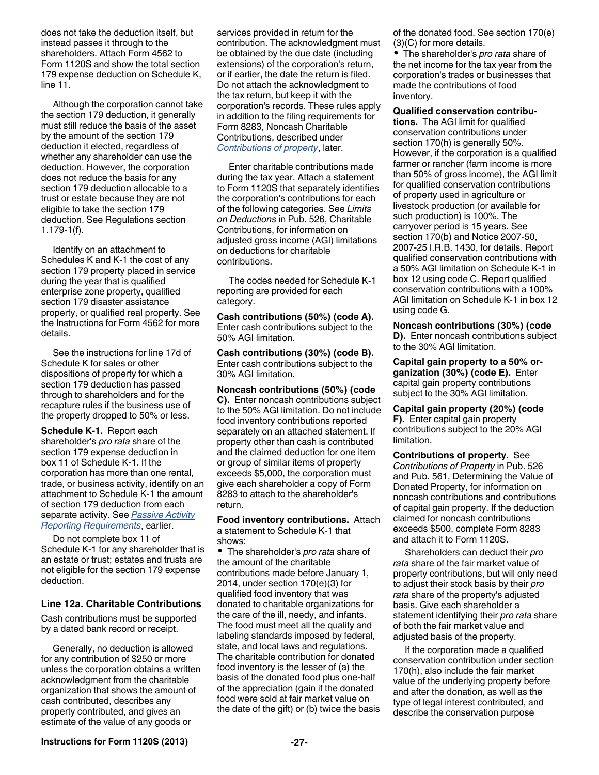<span id="page-27-0"></span>does not take the deduction itself, but instead passes it through to the shareholders. Attach Form 4562 to Form 1120S and show the total section 179 expense deduction on Schedule K, line 11.

Although the corporation cannot take the section 179 deduction, it generally must still reduce the basis of the asset by the amount of the section 179 deduction it elected, regardless of whether any shareholder can use the deduction. However, the corporation does not reduce the basis for any section 179 deduction allocable to a trust or estate because they are not eligible to take the section 179 deduction. See Regulations section 1.179-1(f).

Identify on an attachment to Schedules K and K-1 the cost of any section 179 property placed in service during the year that is qualified enterprise zone property, qualified section 179 disaster assistance property, or qualified real property. See the Instructions for Form 4562 for more details.

See the instructions for line 17d of Schedule K for sales or other dispositions of property for which a section 179 deduction has passed through to shareholders and for the recapture rules if the business use of the property dropped to 50% or less.

**Schedule K-1.** Report each shareholder's *pro rata* share of the section 179 expense deduction in box 11 of Schedule K-1. If the corporation has more than one rental, trade, or business activity, identify on an attachment to Schedule K-1 the amount of section 179 deduction from each separate activity. See *[Passive Activity](#page-10-0) [Reporting Requirements](#page-10-0)*, earlier.

Do not complete box 11 of Schedule K-1 for any shareholder that is an estate or trust; estates and trusts are not eligible for the section 179 expense deduction.

#### **Line 12a. Charitable Contributions**

Cash contributions must be supported by a dated bank record or receipt.

Generally, no deduction is allowed for any contribution of \$250 or more unless the corporation obtains a written acknowledgment from the charitable organization that shows the amount of cash contributed, describes any property contributed, and gives an estimate of the value of any goods or

services provided in return for the contribution. The acknowledgment must be obtained by the due date (including extensions) of the corporation's return, or if earlier, the date the return is filed. Do not attach the acknowledgment to the tax return, but keep it with the corporation's records. These rules apply in addition to the filing requirements for Form 8283, Noncash Charitable Contributions, described under *Contributions of property*, later.

Enter charitable contributions made during the tax year. Attach a statement to Form 1120S that separately identifies the corporation's contributions for each of the following categories. See *Limits on Deductions* in Pub. 526, Charitable Contributions, for information on adjusted gross income (AGI) limitations on deductions for charitable contributions.

The codes needed for Schedule K-1 reporting are provided for each category.

**Cash contributions (50%) (code A).**  Enter cash contributions subject to the 50% AGI limitation.

**Cash contributions (30%) (code B).**  Enter cash contributions subject to the 30% AGI limitation.

**Noncash contributions (50%) (code C).** Enter noncash contributions subject to the 50% AGI limitation. Do not include food inventory contributions reported separately on an attached statement. If property other than cash is contributed and the claimed deduction for one item or group of similar items of property exceeds \$5,000, the corporation must give each shareholder a copy of Form 8283 to attach to the shareholder's return.

**Food inventory contributions.** Attach a statement to Schedule K-1 that shows:

The shareholder's *pro rata* share of the amount of the charitable contributions made before January 1, 2014, under section 170(e)(3) for qualified food inventory that was donated to charitable organizations for the care of the ill, needy, and infants. The food must meet all the quality and labeling standards imposed by federal, state, and local laws and regulations. The charitable contribution for donated food inventory is the lesser of (a) the basis of the donated food plus one-half of the appreciation (gain if the donated food were sold at fair market value on the date of the gift) or (b) twice the basis of the donated food. See section 170(e) (3)(C) for more details.

The shareholder's *pro rata* share of the net income for the tax year from the corporation's trades or businesses that made the contributions of food inventory.

**Qualified conservation contributions.** The AGI limit for qualified conservation contributions under section 170(h) is generally 50%. However, if the corporation is a qualified farmer or rancher (farm income is more than 50% of gross income), the AGI limit for qualified conservation contributions of property used in agriculture or livestock production (or available for such production) is 100%. The carryover period is 15 years. See section 170(b) and Notice 2007-50, 2007-25 I.R.B. 1430, for details. Report qualified conservation contributions with a 50% AGI limitation on Schedule K-1 in box 12 using code C. Report qualified conservation contributions with a 100% AGI limitation on Schedule K-1 in box 12 using code G.

**Noncash contributions (30%) (code D).** Enter noncash contributions subject to the 30% AGI limitation.

**Capital gain property to a 50% organization (30%) (code E).** Enter capital gain property contributions subject to the 30% AGI limitation.

**Capital gain property (20%) (code F).** Enter capital gain property contributions subject to the 20% AGI limitation.

**Contributions of property.** See *Contributions of Property* in Pub. 526 and Pub. 561, Determining the Value of Donated Property, for information on noncash contributions and contributions of capital gain property. If the deduction claimed for noncash contributions exceeds \$500, complete Form 8283 and attach it to Form 1120S.

Shareholders can deduct their *pro rata* share of the fair market value of property contributions, but will only need to adjust their stock basis by their *pro rata* share of the property's adjusted basis. Give each shareholder a statement identifying their *pro rata* share of both the fair market value and adjusted basis of the property.

If the corporation made a qualified conservation contribution under section 170(h), also include the fair market value of the underlying property before and after the donation, as well as the type of legal interest contributed, and describe the conservation purpose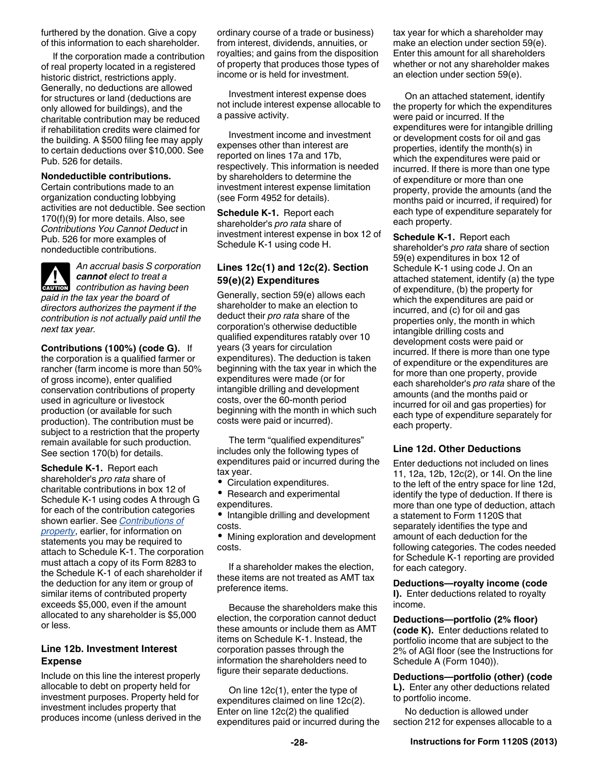<span id="page-28-0"></span>furthered by the donation. Give a copy of this information to each shareholder.

If the corporation made a contribution of real property located in a registered historic district, restrictions apply. Generally, no deductions are allowed for structures or land (deductions are only allowed for buildings), and the charitable contribution may be reduced if rehabilitation credits were claimed for the building. A \$500 filing fee may apply to certain deductions over \$10,000. See Pub. 526 for details.

#### **Nondeductible contributions.**

Certain contributions made to an organization conducting lobbying activities are not deductible. See section 170(f)(9) for more details. Also, see *Contributions You Cannot Deduct* in Pub. 526 for more examples of nondeductible contributions.

*An accrual basis S corporation cannot elect to treat a*  **cannot** elect to treat a<br> **CAUTION** contribution as having been *paid in the tax year the board of directors authorizes the payment if the contribution is not actually paid until the next tax year.*

**Contributions (100%) (code G).** If the corporation is a qualified farmer or rancher (farm income is more than 50% of gross income), enter qualified conservation contributions of property used in agriculture or livestock production (or available for such production). The contribution must be subject to a restriction that the property remain available for such production. See section 170(b) for details.

**Schedule K-1.** Report each shareholder's *pro rata* share of charitable contributions in box 12 of Schedule K-1 using codes A through G for each of the contribution categories shown earlier. See *[Contributions of](#page-27-0) [property](#page-27-0)*, earlier, for information on statements you may be required to attach to Schedule K-1. The corporation must attach a copy of its Form 8283 to the Schedule K-1 of each shareholder if the deduction for any item or group of similar items of contributed property exceeds \$5,000, even if the amount allocated to any shareholder is \$5,000 or less.

#### **Line 12b. Investment Interest Expense**

Include on this line the interest properly allocable to debt on property held for investment purposes. Property held for investment includes property that produces income (unless derived in the ordinary course of a trade or business) from interest, dividends, annuities, or royalties; and gains from the disposition of property that produces those types of income or is held for investment.

Investment interest expense does not include interest expense allocable to a passive activity.

Investment income and investment expenses other than interest are reported on lines 17a and 17b, respectively. This information is needed by shareholders to determine the investment interest expense limitation (see Form 4952 for details).

**Schedule K-1.** Report each shareholder's *pro rata* share of investment interest expense in box 12 of Schedule K-1 using code H.

#### **Lines 12c(1) and 12c(2). Section 59(e)(2) Expenditures**

Generally, section 59(e) allows each shareholder to make an election to deduct their *pro rata* share of the corporation's otherwise deductible qualified expenditures ratably over 10 years (3 years for circulation expenditures). The deduction is taken beginning with the tax year in which the expenditures were made (or for intangible drilling and development costs, over the 60-month period beginning with the month in which such costs were paid or incurred).

The term "qualified expenditures" includes only the following types of expenditures paid or incurred during the tax year.

- Circulation expenditures.
- Research and experimental expenditures.

• Intangible drilling and development costs.

Mining exploration and development costs.

If a shareholder makes the election, these items are not treated as AMT tax preference items.

Because the shareholders make this election, the corporation cannot deduct these amounts or include them as AMT items on Schedule K-1. Instead, the corporation passes through the information the shareholders need to figure their separate deductions.

On line 12c(1), enter the type of expenditures claimed on line 12c(2). Enter on line 12c(2) the qualified expenditures paid or incurred during the tax year for which a shareholder may make an election under section 59(e). Enter this amount for all shareholders whether or not any shareholder makes an election under section 59(e).

On an attached statement, identify the property for which the expenditures were paid or incurred. If the expenditures were for intangible drilling or development costs for oil and gas properties, identify the month(s) in which the expenditures were paid or incurred. If there is more than one type of expenditure or more than one property, provide the amounts (and the months paid or incurred, if required) for each type of expenditure separately for each property.

**Schedule K-1.** Report each shareholder's *pro rata* share of section 59(e) expenditures in box 12 of Schedule K-1 using code J. On an attached statement, identify (a) the type of expenditure, (b) the property for which the expenditures are paid or incurred, and (c) for oil and gas properties only, the month in which intangible drilling costs and development costs were paid or incurred. If there is more than one type of expenditure or the expenditures are for more than one property, provide each shareholder's *pro rata* share of the amounts (and the months paid or incurred for oil and gas properties) for each type of expenditure separately for each property.

#### **Line 12d. Other Deductions**

Enter deductions not included on lines 11, 12a, 12b, 12c(2), or 14l. On the line to the left of the entry space for line 12d, identify the type of deduction. If there is more than one type of deduction, attach a statement to Form 1120S that separately identifies the type and amount of each deduction for the following categories. The codes needed for Schedule K-1 reporting are provided for each category.

**Deductions—royalty income (code I).** Enter deductions related to royalty income.

**Deductions—portfolio (2% floor) (code K).** Enter deductions related to portfolio income that are subject to the 2% of AGI floor (see the Instructions for Schedule A (Form 1040)).

**Deductions—portfolio (other) (code L).** Enter any other deductions related to portfolio income.

No deduction is allowed under section 212 for expenses allocable to a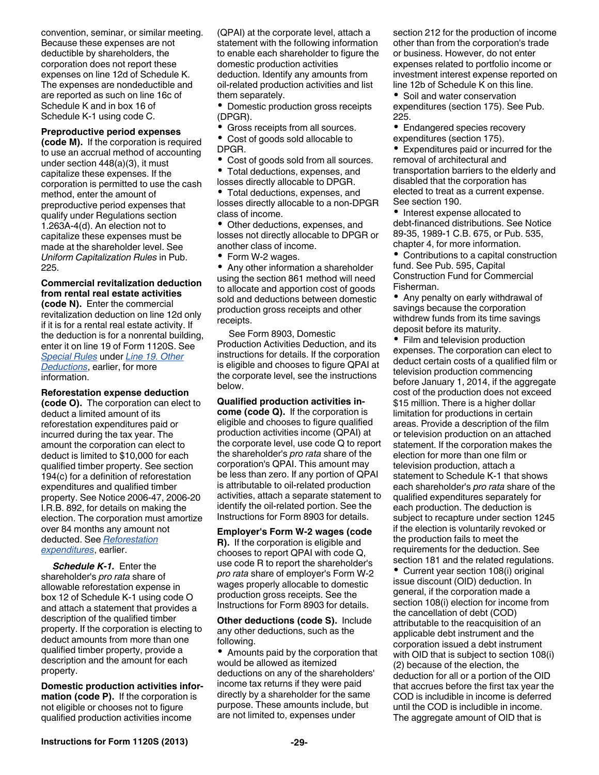<span id="page-29-0"></span>convention, seminar, or similar meeting. Because these expenses are not deductible by shareholders, the corporation does not report these expenses on line 12d of Schedule K. The expenses are nondeductible and are reported as such on line 16c of Schedule K and in box 16 of Schedule K-1 using code C.

#### **Preproductive period expenses**

**(code M).** If the corporation is required to use an accrual method of accounting under section 448(a)(3), it must capitalize these expenses. If the corporation is permitted to use the cash method, enter the amount of preproductive period expenses that qualify under Regulations section 1.263A-4(d). An election not to capitalize these expenses must be made at the shareholder level. See *Uniform Capitalization Rules* in Pub. 225.

#### **Commercial revitalization deduction from rental real estate activities**

**(code N).** Enter the commercial revitalization deduction on line 12d only if it is for a rental real estate activity. If the deduction is for a nonrental building, enter it on line 19 of Form 1120S. See *[Special Rules](#page-18-0)* under *[Line 19. Other](#page-18-0)  [Deductions](#page-18-0)*, earlier, for more information.

**Reforestation expense deduction (code O).** The corporation can elect to deduct a limited amount of its reforestation expenditures paid or incurred during the tax year. The amount the corporation can elect to deduct is limited to \$10,000 for each qualified timber property. See section 194(c) for a definition of reforestation expenditures and qualified timber property. See Notice 2006-47, 2006-20 I.R.B. 892, for details on making the election. The corporation must amortize over 84 months any amount not deducted. See *[Reforestation](#page-19-0)  [expenditures](#page-19-0)*, earlier.

*Schedule K-1.* Enter the shareholder's *pro rata* share of allowable reforestation expense in box 12 of Schedule K-1 using code O and attach a statement that provides a description of the qualified timber property. If the corporation is electing to deduct amounts from more than one qualified timber property, provide a description and the amount for each property.

**Domestic production activities information (code P).** If the corporation is not eligible or chooses not to figure qualified production activities income

(QPAI) at the corporate level, attach a statement with the following information to enable each shareholder to figure the domestic production activities deduction. Identify any amounts from oil-related production activities and list them separately.

Domestic production gross receipts (DPGR).

Gross receipts from all sources.

Cost of goods sold allocable to DPGR.

Cost of goods sold from all sources.

 $\bullet$ Total deductions, expenses, and losses directly allocable to DPGR.

Total deductions, expenses, and losses directly allocable to a non-DPGR class of income.

Other deductions, expenses, and losses not directly allocable to DPGR or another class of income.

• Form W-2 wages.

Any other information a shareholder using the section 861 method will need to allocate and apportion cost of goods sold and deductions between domestic production gross receipts and other receipts.

See Form 8903, Domestic Production Activities Deduction, and its instructions for details. If the corporation is eligible and chooses to figure QPAI at the corporate level, see the instructions below.

**Qualified production activities income (code Q).** If the corporation is eligible and chooses to figure qualified production activities income (QPAI) at the corporate level, use code Q to report the shareholder's *pro rata* share of the corporation's QPAI. This amount may be less than zero. If any portion of QPAI is attributable to oil-related production activities, attach a separate statement to identify the oil-related portion. See the Instructions for Form 8903 for details.

**Employer's Form W-2 wages (code R).** If the corporation is eligible and chooses to report QPAI with code Q, use code R to report the shareholder's *pro rata* share of employer's Form W-2 wages properly allocable to domestic production gross receipts. See the Instructions for Form 8903 for details.

**Other deductions (code S).** Include any other deductions, such as the following.

Amounts paid by the corporation that would be allowed as itemized deductions on any of the shareholders' income tax returns if they were paid directly by a shareholder for the same purpose. These amounts include, but are not limited to, expenses under

section 212 for the production of income other than from the corporation's trade or business. However, do not enter expenses related to portfolio income or investment interest expense reported on line 12b of Schedule K on this line.

• Soil and water conservation expenditures (section 175). See Pub. 225.

Endangered species recovery expenditures (section 175).

Expenditures paid or incurred for the removal of architectural and transportation barriers to the elderly and disabled that the corporation has elected to treat as a current expense. See section 190.

• Interest expense allocated to debt-financed distributions. See Notice 89-35, 1989-1 C.B. 675, or Pub. 535, chapter 4, for more information.

• Contributions to a capital construction fund. See Pub. 595, Capital Construction Fund for Commercial Fisherman.

• Any penalty on early withdrawal of savings because the corporation withdrew funds from its time savings deposit before its maturity.

• Film and television production expenses. The corporation can elect to deduct certain costs of a qualified film or television production commencing before January 1, 2014, if the aggregate cost of the production does not exceed \$15 million. There is a higher dollar limitation for productions in certain areas. Provide a description of the film or television production on an attached statement. If the corporation makes the election for more than one film or television production, attach a statement to Schedule K-1 that shows each shareholder's *pro rata* share of the qualified expenditures separately for each production. The deduction is subject to recapture under section 1245 if the election is voluntarily revoked or the production fails to meet the requirements for the deduction. See section 181 and the related regulations.

Current year section 108(i) original issue discount (OID) deduction. In general, if the corporation made a section 108(i) election for income from the cancellation of debt (COD) attributable to the reacquisition of an applicable debt instrument and the corporation issued a debt instrument with OID that is subject to section 108(i) (2) because of the election, the deduction for all or a portion of the OID that accrues before the first tax year the COD is includible in income is deferred until the COD is includible in income. The aggregate amount of OID that is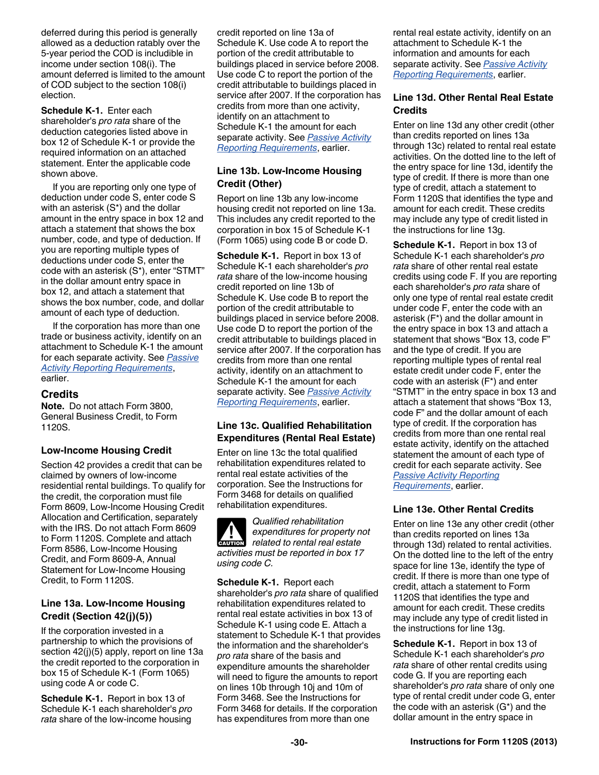<span id="page-30-0"></span>deferred during this period is generally allowed as a deduction ratably over the 5-year period the COD is includible in income under section 108(i). The amount deferred is limited to the amount of COD subject to the section 108(i) election.

**Schedule K-1.** Enter each shareholder's *pro rata* share of the deduction categories listed above in box 12 of Schedule K-1 or provide the required information on an attached statement. Enter the applicable code shown above.

If you are reporting only one type of deduction under code S, enter code S with an asterisk (S\*) and the dollar amount in the entry space in box 12 and attach a statement that shows the box number, code, and type of deduction. If you are reporting multiple types of deductions under code S, enter the code with an asterisk (S\*), enter "STMT" in the dollar amount entry space in box 12, and attach a statement that shows the box number, code, and dollar amount of each type of deduction.

If the corporation has more than one trade or business activity, identify on an attachment to Schedule K-1 the amount for each separate activity. See *[Passive](#page-10-0) [Activity Reporting Requirements](#page-10-0)*, earlier.

#### **Credits**

**Note.** Do not attach Form 3800, General Business Credit, to Form 1120S.

#### **Low-Income Housing Credit**

Section 42 provides a credit that can be claimed by owners of low-income residential rental buildings. To qualify for the credit, the corporation must file Form 8609, Low-Income Housing Credit Allocation and Certification, separately with the IRS. Do not attach Form 8609 to Form 1120S. Complete and attach Form 8586, Low-Income Housing Credit, and Form 8609-A, Annual Statement for Low-Income Housing Credit, to Form 1120S.

#### **Line 13a. Low-Income Housing Credit (Section 42(j)(5))**

If the corporation invested in a partnership to which the provisions of section 42(j)(5) apply, report on line 13a the credit reported to the corporation in box 15 of Schedule K-1 (Form 1065) using code A or code C.

**Schedule K-1.** Report in box 13 of Schedule K-1 each shareholder's *pro rata* share of the low-income housing

credit reported on line 13a of Schedule K. Use code A to report the portion of the credit attributable to buildings placed in service before 2008. Use code C to report the portion of the credit attributable to buildings placed in service after 2007. If the corporation has credits from more than one activity, identify on an attachment to Schedule K-1 the amount for each separate activity. See *[Passive Activity](#page-10-0) [Reporting Requirements](#page-10-0)*, earlier.

#### **Line 13b. Low-Income Housing Credit (Other)**

Report on line 13b any low-income housing credit not reported on line 13a. This includes any credit reported to the corporation in box 15 of Schedule K-1 (Form 1065) using code B or code D.

**Schedule K-1.** Report in box 13 of Schedule K-1 each shareholder's *pro rata* share of the low-income housing credit reported on line 13b of Schedule K. Use code B to report the portion of the credit attributable to buildings placed in service before 2008. Use code D to report the portion of the credit attributable to buildings placed in service after 2007. If the corporation has credits from more than one rental activity, identify on an attachment to Schedule K-1 the amount for each separate activity. See *[Passive Activity](#page-10-0) [Reporting Requirements](#page-10-0)*, earlier.

#### **Line 13c. Qualified Rehabilitation Expenditures (Rental Real Estate)**

Enter on line 13c the total qualified rehabilitation expenditures related to rental real estate activities of the corporation. See the Instructions for Form 3468 for details on qualified rehabilitation expenditures.

*Qualified rehabilitation expenditures for property not*  **PERENTIFY ASSEMBLY PROPERTY ASSEMBLY PROPERTY AND RELATED FOR PROPERTY AND RELATED FOR A PROPERTY AND RELATED FOR A PROPERTY AND RELATION CONTACT A CONTACT CONTACT A CONTACT CONTACT A CONTACT CONTACT A CONTACT CONTACT CON** *activities must be reported in box 17 using code C.*

**Schedule K-1.** Report each shareholder's *pro rata* share of qualified rehabilitation expenditures related to rental real estate activities in box 13 of Schedule K-1 using code E. Attach a statement to Schedule K-1 that provides the information and the shareholder's *pro rata* share of the basis and expenditure amounts the shareholder will need to figure the amounts to report on lines 10b through 10j and 10m of Form 3468. See the Instructions for Form 3468 for details. If the corporation has expenditures from more than one

rental real estate activity, identify on an attachment to Schedule K-1 the information and amounts for each separate activity. See *[Passive Activity](#page-10-0) [Reporting Requirements](#page-10-0)*, earlier.

#### **Line 13d. Other Rental Real Estate Credits**

Enter on line 13d any other credit (other than credits reported on lines 13a through 13c) related to rental real estate activities. On the dotted line to the left of the entry space for line 13d, identify the type of credit. If there is more than one type of credit, attach a statement to Form 1120S that identifies the type and amount for each credit. These credits may include any type of credit listed in the instructions for line 13g.

**Schedule K-1.** Report in box 13 of Schedule K-1 each shareholder's *pro rata* share of other rental real estate credits using code F. If you are reporting each shareholder's *pro rata* share of only one type of rental real estate credit under code F, enter the code with an asterisk (F\*) and the dollar amount in the entry space in box 13 and attach a statement that shows "Box 13, code F" and the type of credit. If you are reporting multiple types of rental real estate credit under code F, enter the code with an asterisk (F\*) and enter "STMT" in the entry space in box 13 and attach a statement that shows "Box 13, code F" and the dollar amount of each type of credit. If the corporation has credits from more than one rental real estate activity, identify on the attached statement the amount of each type of credit for each separate activity. See *[Passive Activity Reporting](#page-10-0)  [Requirements](#page-10-0)*, earlier.

#### **Line 13e. Other Rental Credits**

Enter on line 13e any other credit (other than credits reported on lines 13a through 13d) related to rental activities. On the dotted line to the left of the entry space for line 13e, identify the type of credit. If there is more than one type of credit, attach a statement to Form 1120S that identifies the type and amount for each credit. These credits may include any type of credit listed in the instructions for line 13g.

**Schedule K-1.** Report in box 13 of Schedule K-1 each shareholder's *pro rata* share of other rental credits using code G. If you are reporting each shareholder's *pro rata* share of only one type of rental credit under code G, enter the code with an asterisk (G\*) and the dollar amount in the entry space in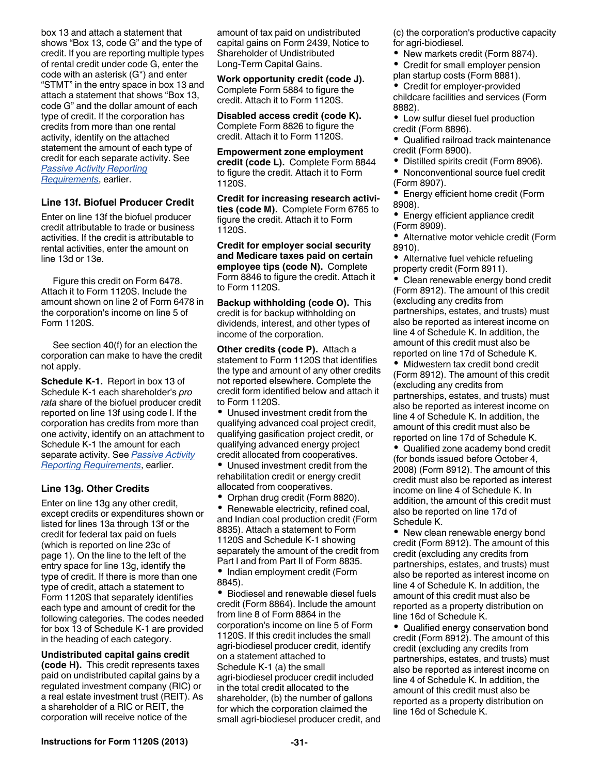box 13 and attach a statement that shows "Box 13, code G" and the type of credit. If you are reporting multiple types of rental credit under code G, enter the code with an asterisk (G\*) and enter "STMT" in the entry space in box 13 and attach a statement that shows "Box 13, code G" and the dollar amount of each type of credit. If the corporation has credits from more than one rental activity, identify on the attached statement the amount of each type of credit for each separate activity. See *[Passive Activity Reporting](#page-10-0)  [Requirements](#page-10-0)*, earlier.

#### **Line 13f. Biofuel Producer Credit**

Enter on line 13f the biofuel producer credit attributable to trade or business activities. If the credit is attributable to rental activities, enter the amount on line 13d or 13e.

Figure this credit on Form 6478. Attach it to Form 1120S. Include the amount shown on line 2 of Form 6478 in the corporation's income on line 5 of Form 1120S.

See section 40(f) for an election the corporation can make to have the credit not apply.

**Schedule K-1.** Report in box 13 of Schedule K-1 each shareholder's *pro rata* share of the biofuel producer credit reported on line 13f using code I. If the corporation has credits from more than one activity, identify on an attachment to Schedule K-1 the amount for each separate activity. See *[Passive Activity](#page-10-0) [Reporting Requirements](#page-10-0)*, earlier.

#### **Line 13g. Other Credits**

Enter on line 13g any other credit, except credits or expenditures shown or listed for lines 13a through 13f or the credit for federal tax paid on fuels (which is reported on line 23c of page 1). On the line to the left of the entry space for line 13g, identify the type of credit. If there is more than one type of credit, attach a statement to Form 1120S that separately identifies each type and amount of credit for the following categories. The codes needed for box 13 of Schedule K-1 are provided in the heading of each category.

**Undistributed capital gains credit (code H).** This credit represents taxes paid on undistributed capital gains by a regulated investment company (RIC) or a real estate investment trust (REIT). As a shareholder of a RIC or REIT, the corporation will receive notice of the

amount of tax paid on undistributed capital gains on Form 2439, Notice to Shareholder of Undistributed Long-Term Capital Gains.

**Work opportunity credit (code J).**  Complete Form 5884 to figure the credit. Attach it to Form 1120S.

**Disabled access credit (code K).**  Complete Form 8826 to figure the credit. Attach it to Form 1120S.

**Empowerment zone employment credit (code L).** Complete Form 8844 to figure the credit. Attach it to Form 1120S.

**Credit for increasing research activities (code M).** Complete Form 6765 to figure the credit. Attach it to Form 1120S.

**Credit for employer social security and Medicare taxes paid on certain employee tips (code N).** Complete Form 8846 to figure the credit. Attach it to Form 1120S.

**Backup withholding (code O).** This credit is for backup withholding on dividends, interest, and other types of income of the corporation.

**Other credits (code P).** Attach a statement to Form 1120S that identifies the type and amount of any other credits not reported elsewhere. Complete the credit form identified below and attach it to Form 1120S.

Unused investment credit from the qualifying advanced coal project credit, qualifying gasification project credit, or qualifying advanced energy project credit allocated from cooperatives.

Unused investment credit from the rehabilitation credit or energy credit allocated from cooperatives.

Orphan drug credit (Form 8820).

• Renewable electricity, refined coal, and Indian coal production credit (Form 8835). Attach a statement to Form 1120S and Schedule K-1 showing separately the amount of the credit from Part I and from Part II of Form 8835. • Indian employment credit (Form 8845).

• Biodiesel and renewable diesel fuels credit (Form 8864). Include the amount from line 8 of Form 8864 in the corporation's income on line 5 of Form 1120S. If this credit includes the small agri-biodiesel producer credit, identify on a statement attached to Schedule K-1 (a) the small agri-biodiesel producer credit included in the total credit allocated to the shareholder, (b) the number of gallons for which the corporation claimed the small agri-biodiesel producer credit, and (c) the corporation's productive capacity for agri-biodiesel.

• New markets credit (Form 8874).

- Credit for small employer pension plan startup costs (Form 8881).
- Credit for employer-provided

childcare facilities and services (Form 8882).

Low sulfur diesel fuel production credit (Form 8896).

Qualified railroad track maintenance credit (Form 8900).

Distilled spirits credit (Form 8906).

Nonconventional source fuel credit (Form 8907).

Energy efficient home credit (Form 8908).

Energy efficient appliance credit (Form 8909).

Alternative motor vehicle credit (Form 8910).

Alternative fuel vehicle refueling property credit (Form 8911).

Clean renewable energy bond credit (Form 8912). The amount of this credit (excluding any credits from partnerships, estates, and trusts) must also be reported as interest income on line 4 of Schedule K. In addition, the amount of this credit must also be reported on line 17d of Schedule K.

• Midwestern tax credit bond credit (Form 8912). The amount of this credit (excluding any credits from partnerships, estates, and trusts) must also be reported as interest income on line 4 of Schedule K. In addition, the amount of this credit must also be reported on line 17d of Schedule K.

• Qualified zone academy bond credit (for bonds issued before October 4, 2008) (Form 8912). The amount of this credit must also be reported as interest income on line 4 of Schedule K. In addition, the amount of this credit must also be reported on line 17d of Schedule K.

• New clean renewable energy bond credit (Form 8912). The amount of this credit (excluding any credits from partnerships, estates, and trusts) must also be reported as interest income on line 4 of Schedule K. In addition, the amount of this credit must also be reported as a property distribution on line 16d of Schedule K.

Qualified energy conservation bond credit (Form 8912). The amount of this credit (excluding any credits from partnerships, estates, and trusts) must also be reported as interest income on line 4 of Schedule K. In addition, the amount of this credit must also be reported as a property distribution on line 16d of Schedule K.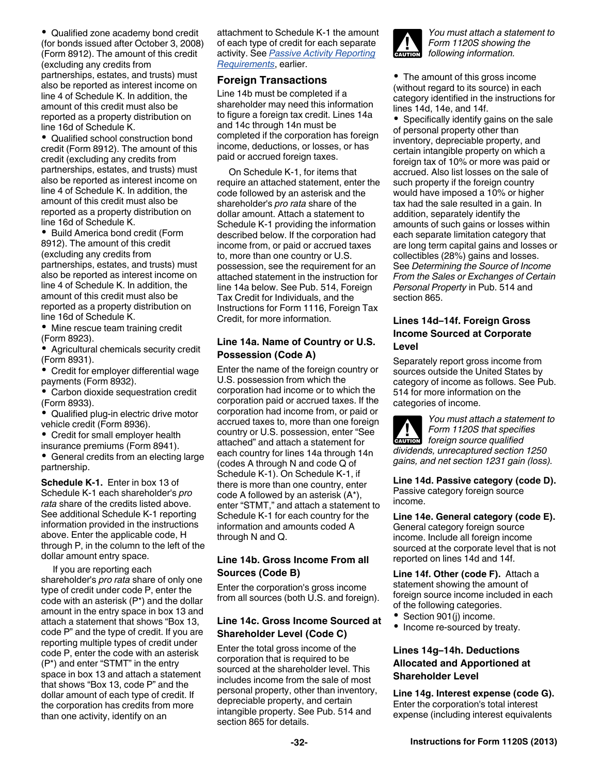<span id="page-32-0"></span>Qualified zone academy bond credit (for bonds issued after October 3, 2008) (Form 8912). The amount of this credit (excluding any credits from partnerships, estates, and trusts) must also be reported as interest income on line 4 of Schedule K. In addition, the amount of this credit must also be reported as a property distribution on line 16d of Schedule K.

Qualified school construction bond credit (Form 8912). The amount of this credit (excluding any credits from partnerships, estates, and trusts) must also be reported as interest income on line 4 of Schedule K. In addition, the amount of this credit must also be reported as a property distribution on line 16d of Schedule K.

• Build America bond credit (Form 8912). The amount of this credit (excluding any credits from partnerships, estates, and trusts) must also be reported as interest income on line 4 of Schedule K. In addition, the amount of this credit must also be reported as a property distribution on line 16d of Schedule K.

• Mine rescue team training credit (Form 8923).

Agricultural chemicals security credit (Form 8931).

Credit for employer differential wage payments (Form 8932).

Carbon dioxide sequestration credit (Form 8933).

• Qualified plug-in electric drive motor vehicle credit (Form 8936).

Credit for small employer health

insurance premiums (Form 8941).

General credits from an electing large partnership.

**Schedule K-1.** Enter in box 13 of Schedule K-1 each shareholder's *pro rata* share of the credits listed above. See additional Schedule K-1 reporting information provided in the instructions above. Enter the applicable code, H through P, in the column to the left of the dollar amount entry space.

If you are reporting each shareholder's *pro rata* share of only one type of credit under code P, enter the code with an asterisk (P\*) and the dollar amount in the entry space in box 13 and attach a statement that shows "Box 13, code P" and the type of credit. If you are reporting multiple types of credit under code P, enter the code with an asterisk (P\*) and enter "STMT" in the entry space in box 13 and attach a statement that shows "Box 13, code P" and the dollar amount of each type of credit. If the corporation has credits from more than one activity, identify on an

attachment to Schedule K-1 the amount of each type of credit for each separate activity. See *[Passive Activity Reporting](#page-10-0)  [Requirements](#page-10-0)*, earlier.

#### **Foreign Transactions**

Line 14b must be completed if a shareholder may need this information to figure a foreign tax credit. Lines 14a and 14c through 14n must be completed if the corporation has foreign income, deductions, or losses, or has paid or accrued foreign taxes.

On Schedule K-1, for items that require an attached statement, enter the code followed by an asterisk and the shareholder's *pro rata* share of the dollar amount. Attach a statement to Schedule K-1 providing the information described below. If the corporation had income from, or paid or accrued taxes to, more than one country or U.S. possession, see the requirement for an attached statement in the instruction for line 14a below. See Pub. 514, Foreign Tax Credit for Individuals, and the Instructions for Form 1116, Foreign Tax Credit, for more information.

#### **Line 14a. Name of Country or U.S. Possession (Code A)**

Enter the name of the foreign country or U.S. possession from which the corporation had income or to which the corporation paid or accrued taxes. If the corporation had income from, or paid or accrued taxes to, more than one foreign country or U.S. possession, enter "See attached" and attach a statement for each country for lines 14a through 14n (codes A through N and code Q of Schedule K-1). On Schedule K-1, if there is more than one country, enter code A followed by an asterisk (A\*), enter "STMT," and attach a statement to Schedule K-1 for each country for the information and amounts coded A through N and Q.

#### **Line 14b. Gross Income From all Sources (Code B)**

Enter the corporation's gross income from all sources (both U.S. and foreign).

#### **Line 14c. Gross Income Sourced at Shareholder Level (Code C)**

Enter the total gross income of the corporation that is required to be sourced at the shareholder level. This includes income from the sale of most personal property, other than inventory, depreciable property, and certain intangible property. See Pub. 514 and section 865 for details.



*You must attach a statement to Form 1120S showing the following information.*

The amount of this gross income (without regard to its source) in each category identified in the instructions for lines 14d, 14e, and 14f.

• Specifically identify gains on the sale of personal property other than inventory, depreciable property, and certain intangible property on which a foreign tax of 10% or more was paid or accrued. Also list losses on the sale of such property if the foreign country would have imposed a 10% or higher tax had the sale resulted in a gain. In addition, separately identify the amounts of such gains or losses within each separate limitation category that are long term capital gains and losses or collectibles (28%) gains and losses. See *Determining the Source of Income From the Sales or Exchanges of Certain Personal Property* in Pub. 514 and section 865.

#### **Lines 14d–14f. Foreign Gross Income Sourced at Corporate Level**

Separately report gross income from sources outside the United States by category of income as follows. See Pub. 514 for more information on the categories of income.

*You must attach a statement to Form 1120S that specifies form 1120S that specifically foreign source qualified dividends, unrecaptured section 1250 gains, and net section 1231 gain (loss).*

**Line 14d. Passive category (code D).**  Passive category foreign source income.

**Line 14e. General category (code E).**  General category foreign source income. Include all foreign income sourced at the corporate level that is not reported on lines 14d and 14f.

**Line 14f. Other (code F).** Attach a statement showing the amount of foreign source income included in each of the following categories.

- Section 901(j) income.
- Income re-sourced by treaty.

#### **Lines 14g–14h. Deductions Allocated and Apportioned at Shareholder Level**

**Line 14g. Interest expense (code G).**  Enter the corporation's total interest expense (including interest equivalents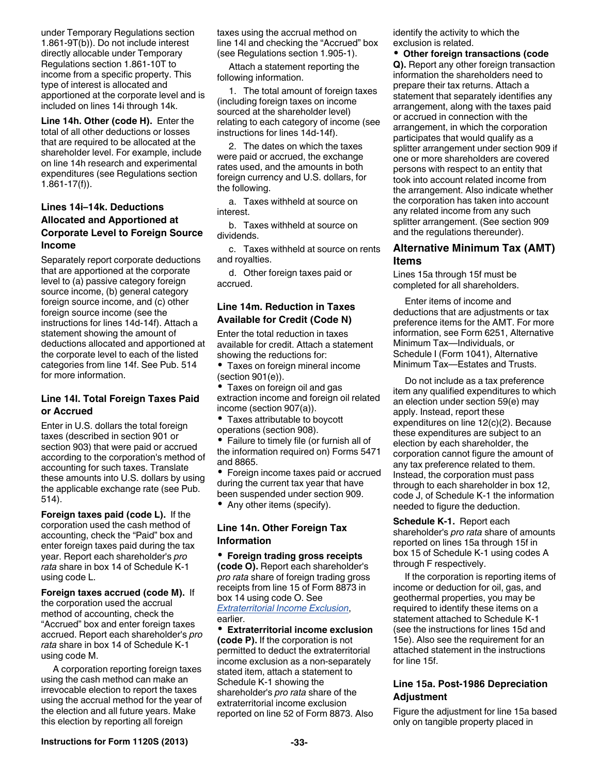under Temporary Regulations section 1.861-9T(b)). Do not include interest directly allocable under Temporary Regulations section 1.861-10T to income from a specific property. This type of interest is allocated and apportioned at the corporate level and is included on lines 14i through 14k.

**Line 14h. Other (code H).** Enter the total of all other deductions or losses that are required to be allocated at the shareholder level. For example, include on line 14h research and experimental expenditures (see Regulations section 1.861-17(f)).

#### **Lines 14i–14k. Deductions Allocated and Apportioned at Corporate Level to Foreign Source Income**

Separately report corporate deductions that are apportioned at the corporate level to (a) passive category foreign source income, (b) general category foreign source income, and (c) other foreign source income (see the instructions for lines 14d-14f). Attach a statement showing the amount of deductions allocated and apportioned at the corporate level to each of the listed categories from line 14f. See Pub. 514 for more information.

#### **Line 14l. Total Foreign Taxes Paid or Accrued**

Enter in U.S. dollars the total foreign taxes (described in section 901 or section 903) that were paid or accrued according to the corporation's method of accounting for such taxes. Translate these amounts into U.S. dollars by using the applicable exchange rate (see Pub. 514).

**Foreign taxes paid (code L).** If the corporation used the cash method of accounting, check the "Paid" box and enter foreign taxes paid during the tax year. Report each shareholder's *pro rata* share in box 14 of Schedule K-1 using code L.

**Foreign taxes accrued (code M).** If the corporation used the accrual method of accounting, check the "Accrued" box and enter foreign taxes accrued. Report each shareholder's *pro rata* share in box 14 of Schedule K-1 using code M.

A corporation reporting foreign taxes using the cash method can make an irrevocable election to report the taxes using the accrual method for the year of the election and all future years. Make this election by reporting all foreign

taxes using the accrual method on line 14l and checking the "Accrued" box (see Regulations section 1.905-1).

Attach a statement reporting the following information.

1. The total amount of foreign taxes (including foreign taxes on income sourced at the shareholder level) relating to each category of income (see instructions for lines 14d-14f).

2. The dates on which the taxes were paid or accrued, the exchange rates used, and the amounts in both foreign currency and U.S. dollars, for the following.

a. Taxes withheld at source on interest.

b. Taxes withheld at source on dividends.

c. Taxes withheld at source on rents and royalties.

d. Other foreign taxes paid or accrued.

#### **Line 14m. Reduction in Taxes Available for Credit (Code N)**

Enter the total reduction in taxes available for credit. Attach a statement showing the reductions for:

Taxes on foreign mineral income (section 901(e)).

Taxes on foreign oil and gas extraction income and foreign oil related income (section 907(a)).

Taxes attributable to boycott operations (section 908).

Failure to timely file (or furnish all of the information required on) Forms 5471 and 8865.

Foreign income taxes paid or accrued during the current tax year that have been suspended under section 909. Any other items (specify).

#### **Line 14n. Other Foreign Tax Information**

**Foreign trading gross receipts (code O).** Report each shareholder's *pro rata* share of foreign trading gross receipts from line 15 of Form 8873 in box 14 using code O. See *[Extraterritorial Income Exclusion](#page-12-0)*, earlier.

**Extraterritorial income exclusion (code P).** If the corporation is not permitted to deduct the extraterritorial income exclusion as a non-separately stated item, attach a statement to Schedule K-1 showing the shareholder's *pro rata* share of the extraterritorial income exclusion reported on line 52 of Form 8873. Also identify the activity to which the exclusion is related.

**Other foreign transactions (code Q).** Report any other foreign transaction information the shareholders need to prepare their tax returns. Attach a statement that separately identifies any arrangement, along with the taxes paid or accrued in connection with the arrangement, in which the corporation participates that would qualify as a splitter arrangement under section 909 if one or more shareholders are covered persons with respect to an entity that took into account related income from the arrangement. Also indicate whether the corporation has taken into account any related income from any such splitter arrangement. (See section 909 and the regulations thereunder).

#### **Alternative Minimum Tax (AMT) Items**

Lines 15a through 15f must be completed for all shareholders.

Enter items of income and deductions that are adjustments or tax preference items for the AMT. For more information, see Form 6251, Alternative Minimum Tax—Individuals, or Schedule I (Form 1041), Alternative Minimum Tax—Estates and Trusts.

Do not include as a tax preference item any qualified expenditures to which an election under section 59(e) may apply. Instead, report these expenditures on line 12(c)(2). Because these expenditures are subject to an election by each shareholder, the corporation cannot figure the amount of any tax preference related to them. Instead, the corporation must pass through to each shareholder in box 12, code J, of Schedule K-1 the information needed to figure the deduction.

**Schedule K-1.** Report each shareholder's *pro rata* share of amounts reported on lines 15a through 15f in box 15 of Schedule K-1 using codes A through F respectively.

If the corporation is reporting items of income or deduction for oil, gas, and geothermal properties, you may be required to identify these items on a statement attached to Schedule K-1 (see the instructions for lines 15d and 15e). Also see the requirement for an attached statement in the instructions for line 15f.

#### **Line 15a. Post-1986 Depreciation Adjustment**

Figure the adjustment for line 15a based only on tangible property placed in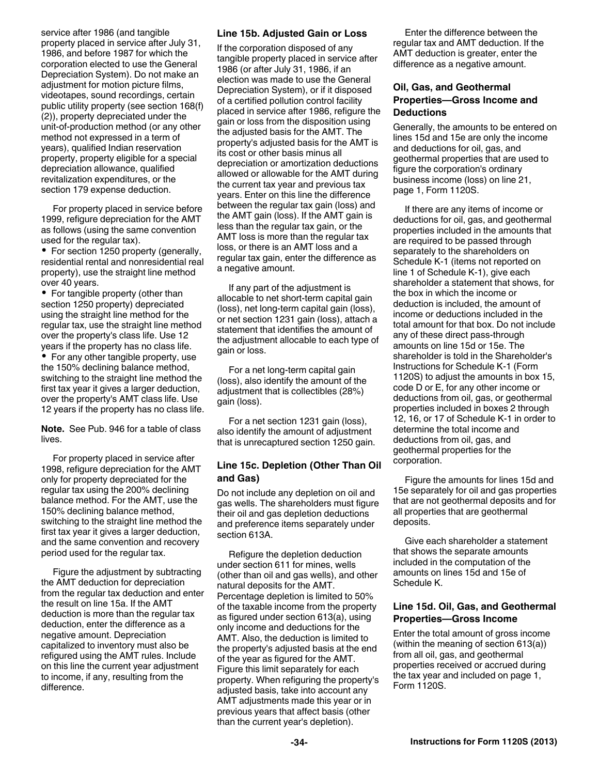<span id="page-34-0"></span>service after 1986 (and tangible property placed in service after July 31, 1986, and before 1987 for which the corporation elected to use the General Depreciation System). Do not make an adjustment for motion picture films, videotapes, sound recordings, certain public utility property (see section 168(f) (2)), property depreciated under the unit-of-production method (or any other method not expressed in a term of years), qualified Indian reservation property, property eligible for a special depreciation allowance, qualified revitalization expenditures, or the section 179 expense deduction.

For property placed in service before 1999, refigure depreciation for the AMT as follows (using the same convention used for the regular tax).

• For section 1250 property (generally, residential rental and nonresidential real property), use the straight line method over 40 years.

• For tangible property (other than section 1250 property) depreciated using the straight line method for the regular tax, use the straight line method over the property's class life. Use 12 years if the property has no class life. • For any other tangible property, use the 150% declining balance method, switching to the straight line method the first tax year it gives a larger deduction, over the property's AMT class life. Use 12 years if the property has no class life.

**Note.** See Pub. 946 for a table of class lives.

For property placed in service after 1998, refigure depreciation for the AMT only for property depreciated for the regular tax using the 200% declining balance method. For the AMT, use the 150% declining balance method, switching to the straight line method the first tax year it gives a larger deduction, and the same convention and recovery period used for the regular tax.

Figure the adjustment by subtracting the AMT deduction for depreciation from the regular tax deduction and enter the result on line 15a. If the AMT deduction is more than the regular tax deduction, enter the difference as a negative amount. Depreciation capitalized to inventory must also be refigured using the AMT rules. Include on this line the current year adjustment to income, if any, resulting from the difference.

#### **Line 15b. Adjusted Gain or Loss**

If the corporation disposed of any tangible property placed in service after 1986 (or after July 31, 1986, if an election was made to use the General Depreciation System), or if it disposed of a certified pollution control facility placed in service after 1986, refigure the gain or loss from the disposition using the adjusted basis for the AMT. The property's adjusted basis for the AMT is its cost or other basis minus all depreciation or amortization deductions allowed or allowable for the AMT during the current tax year and previous tax years. Enter on this line the difference between the regular tax gain (loss) and the AMT gain (loss). If the AMT gain is less than the regular tax gain, or the AMT loss is more than the regular tax loss, or there is an AMT loss and a regular tax gain, enter the difference as a negative amount.

If any part of the adjustment is allocable to net short-term capital gain (loss), net long-term capital gain (loss), or net section 1231 gain (loss), attach a statement that identifies the amount of the adjustment allocable to each type of gain or loss.

For a net long-term capital gain (loss), also identify the amount of the adjustment that is collectibles (28%) gain (loss).

For a net section 1231 gain (loss), also identify the amount of adjustment that is unrecaptured section 1250 gain.

#### **Line 15c. Depletion (Other Than Oil and Gas)**

Do not include any depletion on oil and gas wells. The shareholders must figure their oil and gas depletion deductions and preference items separately under section 613A.

Refigure the depletion deduction under section 611 for mines, wells (other than oil and gas wells), and other natural deposits for the AMT. Percentage depletion is limited to 50% of the taxable income from the property as figured under section 613(a), using only income and deductions for the AMT. Also, the deduction is limited to the property's adjusted basis at the end of the year as figured for the AMT. Figure this limit separately for each property. When refiguring the property's adjusted basis, take into account any AMT adjustments made this year or in previous years that affect basis (other than the current year's depletion).

Enter the difference between the regular tax and AMT deduction. If the AMT deduction is greater, enter the difference as a negative amount.

#### **Oil, Gas, and Geothermal Properties—Gross Income and Deductions**

Generally, the amounts to be entered on lines 15d and 15e are only the income and deductions for oil, gas, and geothermal properties that are used to figure the corporation's ordinary business income (loss) on line 21, page 1, Form 1120S.

If there are any items of income or deductions for oil, gas, and geothermal properties included in the amounts that are required to be passed through separately to the shareholders on Schedule K-1 (items not reported on line 1 of Schedule K-1), give each shareholder a statement that shows, for the box in which the income or deduction is included, the amount of income or deductions included in the total amount for that box. Do not include any of these direct pass-through amounts on line 15d or 15e. The shareholder is told in the Shareholder's Instructions for Schedule K-1 (Form 1120S) to adjust the amounts in box 15, code D or E, for any other income or deductions from oil, gas, or geothermal properties included in boxes 2 through 12, 16, or 17 of Schedule K-1 in order to determine the total income and deductions from oil, gas, and geothermal properties for the corporation.

Figure the amounts for lines 15d and 15e separately for oil and gas properties that are not geothermal deposits and for all properties that are geothermal deposits.

Give each shareholder a statement that shows the separate amounts included in the computation of the amounts on lines 15d and 15e of Schedule K.

#### **Line 15d. Oil, Gas, and Geothermal Properties—Gross Income**

Enter the total amount of gross income (within the meaning of section 613(a)) from all oil, gas, and geothermal properties received or accrued during the tax year and included on page 1, Form 1120S.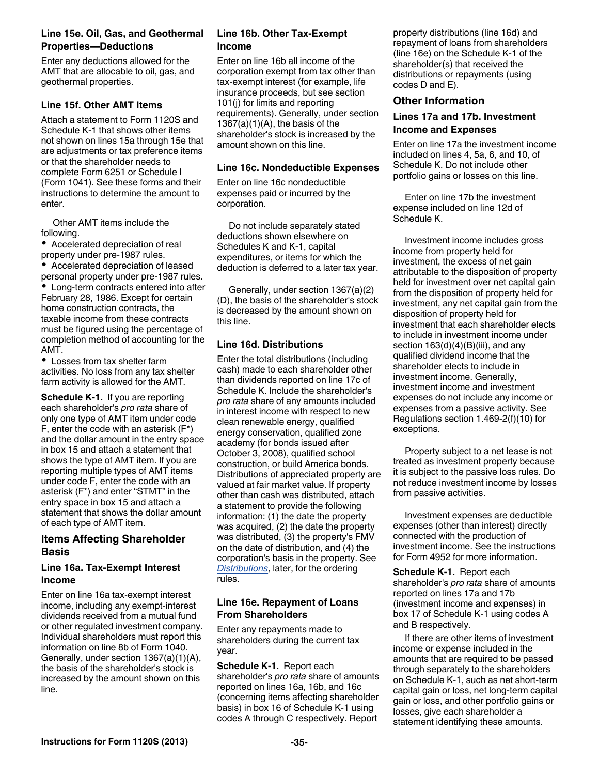#### <span id="page-35-0"></span>**Line 15e. Oil, Gas, and Geothermal Properties—Deductions**

Enter any deductions allowed for the AMT that are allocable to oil, gas, and geothermal properties.

#### **Line 15f. Other AMT Items**

Attach a statement to Form 1120S and Schedule K-1 that shows other items not shown on lines 15a through 15e that are adjustments or tax preference items or that the shareholder needs to complete Form 6251 or Schedule I (Form 1041). See these forms and their instructions to determine the amount to enter.

Other AMT items include the following.

Accelerated depreciation of real property under pre-1987 rules.

Accelerated depreciation of leased personal property under pre-1987 rules. Long-term contracts entered into after February 28, 1986. Except for certain home construction contracts, the taxable income from these contracts must be figured using the percentage of completion method of accounting for the AMT.

Losses from tax shelter farm activities. No loss from any tax shelter farm activity is allowed for the AMT.

**Schedule K-1.** If you are reporting each shareholder's *pro rata* share of only one type of AMT item under code F, enter the code with an asterisk (F\*) and the dollar amount in the entry space in box 15 and attach a statement that shows the type of AMT item. If you are reporting multiple types of AMT items under code F, enter the code with an asterisk (F\*) and enter "STMT" in the entry space in box 15 and attach a statement that shows the dollar amount of each type of AMT item.

### **Items Affecting Shareholder Basis**

#### **Line 16a. Tax-Exempt Interest Income**

Enter on line 16a tax-exempt interest income, including any exempt-interest dividends received from a mutual fund or other regulated investment company. Individual shareholders must report this information on line 8b of Form 1040. Generally, under section 1367(a)(1)(A), the basis of the shareholder's stock is increased by the amount shown on this line.

#### **Line 16b. Other Tax-Exempt Income**

Enter on line 16b all income of the corporation exempt from tax other than tax-exempt interest (for example, life insurance proceeds, but see section 101(j) for limits and reporting requirements). Generally, under section  $1367(a)(1)(A)$ , the basis of the shareholder's stock is increased by the amount shown on this line.

#### **Line 16c. Nondeductible Expenses**

Enter on line 16c nondeductible expenses paid or incurred by the corporation.

Do not include separately stated deductions shown elsewhere on Schedules K and K-1, capital expenditures, or items for which the deduction is deferred to a later tax year.

Generally, under section 1367(a)(2) (D), the basis of the shareholder's stock is decreased by the amount shown on this line.

### **Line 16d. Distributions**

Enter the total distributions (including cash) made to each shareholder other than dividends reported on line 17c of Schedule K. Include the shareholder's *pro rata* share of any amounts included in interest income with respect to new clean renewable energy, qualified energy conservation, qualified zone academy (for bonds issued after October 3, 2008), qualified school construction, or build America bonds. Distributions of appreciated property are valued at fair market value. If property other than cash was distributed, attach a statement to provide the following information: (1) the date the property was acquired, (2) the date the property was distributed, (3) the property's FMV on the date of distribution, and (4) the corporation's basis in the property. See *[Distributions](#page-40-0)*, later, for the ordering rules.

#### **Line 16e. Repayment of Loans From Shareholders**

Enter any repayments made to shareholders during the current tax year.

**Schedule K-1.** Report each shareholder's *pro rata* share of amounts reported on lines 16a, 16b, and 16c (concerning items affecting shareholder basis) in box 16 of Schedule K-1 using codes A through C respectively. Report

property distributions (line 16d) and repayment of loans from shareholders (line 16e) on the Schedule K-1 of the shareholder(s) that received the distributions or repayments (using codes D and E).

#### **Other Information**

#### **Lines 17a and 17b. Investment Income and Expenses**

Enter on line 17a the investment income included on lines 4, 5a, 6, and 10, of Schedule K. Do not include other portfolio gains or losses on this line.

Enter on line 17b the investment expense included on line 12d of Schedule K.

Investment income includes gross income from property held for investment, the excess of net gain attributable to the disposition of property held for investment over net capital gain from the disposition of property held for investment, any net capital gain from the disposition of property held for investment that each shareholder elects to include in investment income under section  $163(d)(4)(B)(iii)$ , and any qualified dividend income that the shareholder elects to include in investment income. Generally, investment income and investment expenses do not include any income or expenses from a passive activity. See Regulations section 1.469-2(f)(10) for exceptions.

Property subject to a net lease is not treated as investment property because it is subject to the passive loss rules. Do not reduce investment income by losses from passive activities.

Investment expenses are deductible expenses (other than interest) directly connected with the production of investment income. See the instructions for Form 4952 for more information.

**Schedule K-1.** Report each shareholder's *pro rata* share of amounts reported on lines 17a and 17b (investment income and expenses) in box 17 of Schedule K-1 using codes A and B respectively.

If there are other items of investment income or expense included in the amounts that are required to be passed through separately to the shareholders on Schedule K-1, such as net short-term capital gain or loss, net long-term capital gain or loss, and other portfolio gains or losses, give each shareholder a statement identifying these amounts.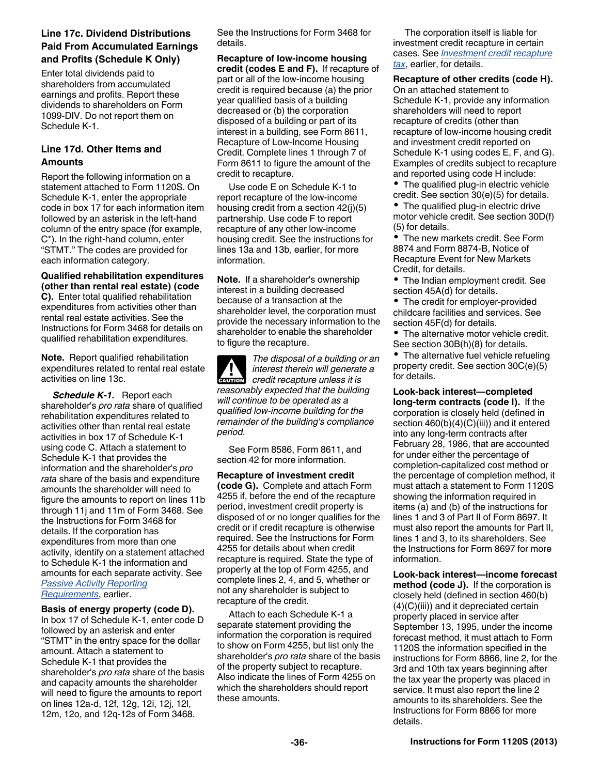#### <span id="page-36-0"></span>**Line 17c. Dividend Distributions Paid From Accumulated Earnings and Profits (Schedule K Only)**

Enter total dividends paid to shareholders from accumulated earnings and profits. Report these dividends to shareholders on Form 1099-DIV. Do not report them on Schedule K-1.

#### **Line 17d. Other Items and Amounts**

Report the following information on a statement attached to Form 1120S. On Schedule K-1, enter the appropriate code in box 17 for each information item followed by an asterisk in the left-hand column of the entry space (for example, C\*). In the right-hand column, enter "STMT." The codes are provided for each information category.

#### **Qualified rehabilitation expenditures (other than rental real estate) (code**

**C).** Enter total qualified rehabilitation expenditures from activities other than rental real estate activities. See the Instructions for Form 3468 for details on qualified rehabilitation expenditures.

**Note.** Report qualified rehabilitation expenditures related to rental real estate activities on line 13c.

*Schedule K-1.* Report each shareholder's *pro rata* share of qualified rehabilitation expenditures related to activities other than rental real estate activities in box 17 of Schedule K-1 using code C. Attach a statement to Schedule K-1 that provides the information and the shareholder's *pro rata* share of the basis and expenditure amounts the shareholder will need to figure the amounts to report on lines 11b through 11j and 11m of Form 3468. See the Instructions for Form 3468 for details. If the corporation has expenditures from more than one activity, identify on a statement attached to Schedule K-1 the information and amounts for each separate activity. See *[Passive Activity Reporting](#page-10-0)  [Requirements](#page-10-0)*, earlier.

### **Basis of energy property (code D).**

In box 17 of Schedule K-1, enter code D followed by an asterisk and enter "STMT" in the entry space for the dollar amount. Attach a statement to Schedule K-1 that provides the shareholder's *pro rata* share of the basis and capacity amounts the shareholder will need to figure the amounts to report on lines 12a-d, 12f, 12g, 12i, 12j, 12l, 12m, 12o, and 12q-12s of Form 3468.

See the Instructions for Form 3468 for details.

**Recapture of low-income housing credit (codes E and F).** If recapture of part or all of the low-income housing credit is required because (a) the prior year qualified basis of a building decreased or (b) the corporation disposed of a building or part of its interest in a building, see Form 8611, Recapture of Low-Income Housing Credit. Complete lines 1 through 7 of Form 8611 to figure the amount of the credit to recapture.

Use code E on Schedule K-1 to report recapture of the low-income housing credit from a section 42(j)(5) partnership. Use code F to report recapture of any other low-income housing credit. See the instructions for lines 13a and 13b, earlier, for more information.

**Note.** If a shareholder's ownership interest in a building decreased because of a transaction at the shareholder level, the corporation must provide the necessary information to the shareholder to enable the shareholder to figure the recapture.

*The disposal of a building or an interest therein will generate a*  **CAUTION**<br> **CAUTION C** *Credit recapture unless it is reasonably expected that the building will continue to be operated as a qualified low-income building for the remainder of the building's compliance period.*

See Form 8586, Form 8611, and section 42 for more information.

**Recapture of investment credit (code G).** Complete and attach Form 4255 if, before the end of the recapture period, investment credit property is disposed of or no longer qualifies for the credit or if credit recapture is otherwise required. See the Instructions for Form 4255 for details about when credit recapture is required. State the type of property at the top of Form 4255, and complete lines 2, 4, and 5, whether or not any shareholder is subject to recapture of the credit.

Attach to each Schedule K-1 a separate statement providing the information the corporation is required to show on Form 4255, but list only the shareholder's *pro rata* share of the basis of the property subject to recapture. Also indicate the lines of Form 4255 on which the shareholders should report these amounts.

The corporation itself is liable for investment credit recapture in certain cases. See *[Investment credit recapture](#page-20-0)  [tax](#page-20-0)*, earlier, for details.

### **Recapture of other credits (code H).**

On an attached statement to Schedule K-1, provide any information shareholders will need to report recapture of credits (other than recapture of low-income housing credit and investment credit reported on Schedule K-1 using codes E, F, and G). Examples of credits subject to recapture and reported using code H include:

• The qualified plug-in electric vehicle credit. See section 30(e)(5) for details.

• The qualified plug-in electric drive motor vehicle credit. See section 30D(f) (5) for details.

The new markets credit. See Form 8874 and Form 8874-B, Notice of Recapture Event for New Markets Credit, for details.

- The Indian employment credit. See section 45A(d) for details.
- The credit for employer-provided childcare facilities and services. See section 45F(d) for details.
- The alternative motor vehicle credit. See section 30B(h)(8) for details.
- The alternative fuel vehicle refueling property credit. See section 30C(e)(5) for details.

**Look-back interest—completed long-term contracts (code I).** If the corporation is closely held (defined in section 460(b)(4)(C)(iii)) and it entered into any long-term contracts after February 28, 1986, that are accounted for under either the percentage of completion-capitalized cost method or the percentage of completion method, it must attach a statement to Form 1120S showing the information required in items (a) and (b) of the instructions for lines 1 and 3 of Part II of Form 8697. It must also report the amounts for Part II, lines 1 and 3, to its shareholders. See the Instructions for Form 8697 for more information.

**Look-back interest—income forecast method (code J).** If the corporation is closely held (defined in section 460(b) (4)(C)(iii)) and it depreciated certain property placed in service after September 13, 1995, under the income forecast method, it must attach to Form 1120S the information specified in the instructions for Form 8866, line 2, for the 3rd and 10th tax years beginning after the tax year the property was placed in service. It must also report the line 2 amounts to its shareholders. See the Instructions for Form 8866 for more details.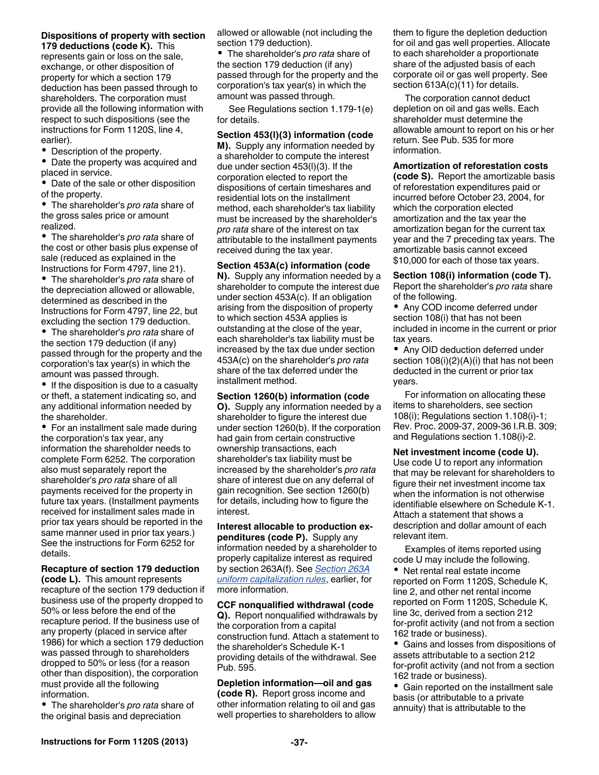### <span id="page-37-0"></span>**Dispositions of property with section**

**179 deductions (code K).** This represents gain or loss on the sale, exchange, or other disposition of property for which a section 179 deduction has been passed through to shareholders. The corporation must provide all the following information with respect to such dispositions (see the instructions for Form 1120S, line 4, earlier).

• Description of the property.

• Date the property was acquired and placed in service.

Date of the sale or other disposition of the property.

The shareholder's *pro rata* share of the gross sales price or amount realized.

The shareholder's *pro rata* share of the cost or other basis plus expense of sale (reduced as explained in the Instructions for Form 4797, line 21).

The shareholder's *pro rata* share of the depreciation allowed or allowable, determined as described in the Instructions for Form 4797, line 22, but excluding the section 179 deduction.

The shareholder's *pro rata* share of the section 179 deduction (if any) passed through for the property and the corporation's tax year(s) in which the amount was passed through.

• If the disposition is due to a casualty or theft, a statement indicating so, and any additional information needed by the shareholder.

• For an installment sale made during the corporation's tax year, any information the shareholder needs to complete Form 6252. The corporation also must separately report the shareholder's *pro rata* share of all payments received for the property in future tax years. (Installment payments received for installment sales made in prior tax years should be reported in the same manner used in prior tax years.) See the instructions for Form 6252 for details.

**Recapture of section 179 deduction** 

**(code L).** This amount represents recapture of the section 179 deduction if business use of the property dropped to 50% or less before the end of the recapture period. If the business use of any property (placed in service after 1986) for which a section 179 deduction was passed through to shareholders dropped to 50% or less (for a reason other than disposition), the corporation must provide all the following information.

The shareholder's *pro rata* share of the original basis and depreciation

allowed or allowable (not including the section 179 deduction).

The shareholder's *pro rata* share of the section 179 deduction (if any) passed through for the property and the corporation's tax year(s) in which the amount was passed through.

See Regulations section 1.179-1(e) for details.

#### **Section 453(l)(3) information (code**

**M).** Supply any information needed by a shareholder to compute the interest due under section 453(l)(3). If the corporation elected to report the dispositions of certain timeshares and residential lots on the installment method, each shareholder's tax liability must be increased by the shareholder's *pro rata* share of the interest on tax attributable to the installment payments received during the tax year.

#### **Section 453A(c) information (code**

**N).** Supply any information needed by a shareholder to compute the interest due under section 453A(c). If an obligation arising from the disposition of property to which section 453A applies is outstanding at the close of the year, each shareholder's tax liability must be increased by the tax due under section 453A(c) on the shareholder's *pro rata*  share of the tax deferred under the installment method.

#### **Section 1260(b) information (code**

**O).** Supply any information needed by a shareholder to figure the interest due under section 1260(b). If the corporation had gain from certain constructive ownership transactions, each shareholder's tax liability must be increased by the shareholder's *pro rata*  share of interest due on any deferral of gain recognition. See section 1260(b) for details, including how to figure the interest.

**Interest allocable to production expenditures (code P).** Supply any information needed by a shareholder to properly capitalize interest as required by section 263A(f). See *[Section 263A](#page-15-0) [uniform capitalization rules](#page-15-0)*, earlier, for more information.

**CCF nonqualified withdrawal (code Q).** Report nonqualified withdrawals by the corporation from a capital construction fund. Attach a statement to the shareholder's Schedule K-1 providing details of the withdrawal. See Pub. 595.

**Depletion information—oil and gas (code R).** Report gross income and other information relating to oil and gas well properties to shareholders to allow them to figure the depletion deduction for oil and gas well properties. Allocate to each shareholder a proportionate share of the adjusted basis of each corporate oil or gas well property. See section 613A(c)(11) for details.

The corporation cannot deduct depletion on oil and gas wells. Each shareholder must determine the allowable amount to report on his or her return. See Pub. 535 for more information.

#### **Amortization of reforestation costs**

**(code S).** Report the amortizable basis of reforestation expenditures paid or incurred before October 23, 2004, for which the corporation elected amortization and the tax year the amortization began for the current tax year and the 7 preceding tax years. The amortizable basis cannot exceed \$10,000 for each of those tax years.

**Section 108(i) information (code T).**  Report the shareholder's *pro rata* share of the following.

Any COD income deferred under section 108(i) that has not been included in income in the current or prior tax years.

Any OID deduction deferred under section 108(i)(2)(A)(i) that has not been deducted in the current or prior tax years.

For information on allocating these items to shareholders, see section 108(i); Regulations section 1.108(i)-1; Rev. Proc. 2009-37, 2009-36 I.R.B. 309; and Regulations section 1.108(i)-2.

#### **Net investment income (code U).**

Use code U to report any information that may be relevant for shareholders to figure their net investment income tax when the information is not otherwise identifiable elsewhere on Schedule K-1. Attach a statement that shows a description and dollar amount of each relevant item.

Examples of items reported using code U may include the following.

Net rental real estate income reported on Form 1120S, Schedule K, line 2, and other net rental income reported on Form 1120S, Schedule K, line 3c, derived from a section 212 for-profit activity (and not from a section 162 trade or business).

Gains and losses from dispositions of assets attributable to a section 212 for-profit activity (and not from a section 162 trade or business).

Gain reported on the installment sale basis (or attributable to a private annuity) that is attributable to the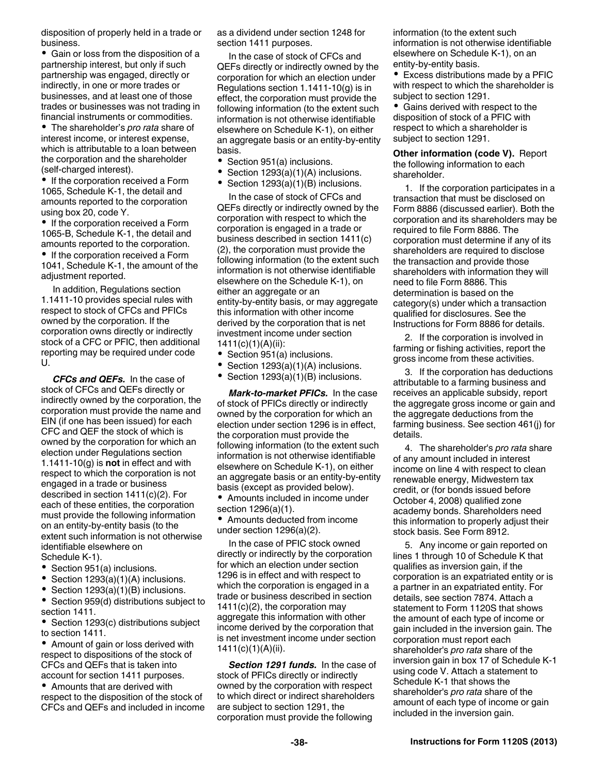disposition of properly held in a trade or business.

Gain or loss from the disposition of a partnership interest, but only if such partnership was engaged, directly or indirectly, in one or more trades or businesses, and at least one of those trades or businesses was not trading in financial instruments or commodities.

The shareholder's *pro rata* share of interest income, or interest expense, which is attributable to a loan between the corporation and the shareholder (self-charged interest).

• If the corporation received a Form 1065, Schedule K-1, the detail and amounts reported to the corporation using box 20, code Y.

• If the corporation received a Form 1065-B, Schedule K-1, the detail and amounts reported to the corporation.

• If the corporation received a Form 1041, Schedule K-1, the amount of the adjustment reported.

In addition, Regulations section 1.1411-10 provides special rules with respect to stock of CFCs and PFICs owned by the corporation. If the corporation owns directly or indirectly stock of a CFC or PFIC, then additional reporting may be required under code U.

*CFCs and QEFs.* In the case of stock of CFCs and QEFs directly or indirectly owned by the corporation, the corporation must provide the name and EIN (if one has been issued) for each CFC and QEF the stock of which is owned by the corporation for which an election under Regulations section 1.1411-10(g) is **not** in effect and with respect to which the corporation is not engaged in a trade or business described in section 1411(c)(2). For each of these entities, the corporation must provide the following information on an entity-by-entity basis (to the extent such information is not otherwise identifiable elsewhere on Schedule K-1).

- Section 951(a) inclusions.
- $\bullet$ Section 1293(a)(1)(A) inclusions.
- Section 1293(a)(1)(B) inclusions.
- Section 959(d) distributions subject to section 1411.

• Section 1293(c) distributions subject to section 1411.

• Amount of gain or loss derived with respect to dispositions of the stock of CFCs and QEFs that is taken into account for section 1411 purposes.

Amounts that are derived with respect to the disposition of the stock of CFCs and QEFs and included in income as a dividend under section 1248 for section 1411 purposes.

In the case of stock of CFCs and QEFs directly or indirectly owned by the corporation for which an election under Regulations section 1.1411-10(g) is in effect, the corporation must provide the following information (to the extent such information is not otherwise identifiable elsewhere on Schedule K-1), on either an aggregate basis or an entity-by-entity basis.

- Section 951(a) inclusions.
- Section  $1293(a)(1)(A)$  inclusions.
- Section 1293(a)(1)(B) inclusions.

In the case of stock of CFCs and QEFs directly or indirectly owned by the corporation with respect to which the corporation is engaged in a trade or business described in section 1411(c) (2), the corporation must provide the following information (to the extent such information is not otherwise identifiable elsewhere on the Schedule K-1), on either an aggregate or an entity-by-entity basis, or may aggregate this information with other income derived by the corporation that is net investment income under section 1411(c)(1)(A)(ii):

- Section 951(a) inclusions.
- Section 1293(a)(1)(A) inclusions.
- Section 1293(a)(1)(B) inclusions.

*Mark-to-market PFICs.* In the case of stock of PFICs directly or indirectly owned by the corporation for which an election under section 1296 is in effect, the corporation must provide the following information (to the extent such information is not otherwise identifiable elsewhere on Schedule K-1), on either an aggregate basis or an entity-by-entity basis (except as provided below).

Amounts included in income under section 1296(a)(1).

Amounts deducted from income under section 1296(a)(2).

In the case of PFIC stock owned directly or indirectly by the corporation for which an election under section 1296 is in effect and with respect to which the corporation is engaged in a trade or business described in section 1411(c)(2), the corporation may aggregate this information with other income derived by the corporation that is net investment income under section 1411(c)(1)(A)(ii).

*Section 1291 funds.* In the case of stock of PFICs directly or indirectly owned by the corporation with respect to which direct or indirect shareholders are subject to section 1291, the corporation must provide the following

information (to the extent such information is not otherwise identifiable elsewhere on Schedule K-1), on an entity-by-entity basis.

Excess distributions made by a PFIC with respect to which the shareholder is subject to section 1291.

Gains derived with respect to the disposition of stock of a PFIC with respect to which a shareholder is subject to section 1291.

**Other information (code V).** Report the following information to each shareholder.

1. If the corporation participates in a transaction that must be disclosed on Form 8886 (discussed earlier). Both the corporation and its shareholders may be required to file Form 8886. The corporation must determine if any of its shareholders are required to disclose the transaction and provide those shareholders with information they will need to file Form 8886. This determination is based on the category(s) under which a transaction qualified for disclosures. See the Instructions for Form 8886 for details.

2. If the corporation is involved in farming or fishing activities, report the gross income from these activities.

3. If the corporation has deductions attributable to a farming business and receives an applicable subsidy, report the aggregate gross income or gain and the aggregate deductions from the farming business. See section 461(j) for details.

4. The shareholder's *pro rata* share of any amount included in interest income on line 4 with respect to clean renewable energy, Midwestern tax credit, or (for bonds issued before October 4, 2008) qualified zone academy bonds. Shareholders need this information to properly adjust their stock basis. See Form 8912.

5. Any income or gain reported on lines 1 through 10 of Schedule K that qualifies as inversion gain, if the corporation is an expatriated entity or is a partner in an expatriated entity. For details, see section 7874. Attach a statement to Form 1120S that shows the amount of each type of income or gain included in the inversion gain. The corporation must report each shareholder's *pro rata* share of the inversion gain in box 17 of Schedule K-1 using code V. Attach a statement to Schedule K-1 that shows the shareholder's *pro rata* share of the amount of each type of income or gain included in the inversion gain.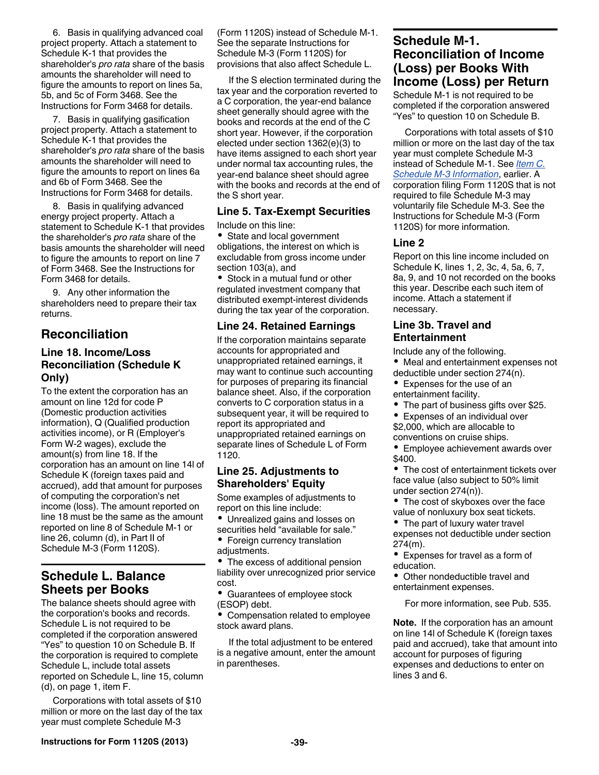<span id="page-39-0"></span>6. Basis in qualifying advanced coal project property. Attach a statement to Schedule K-1 that provides the shareholder's *pro rata* share of the basis amounts the shareholder will need to figure the amounts to report on lines 5a, 5b, and 5c of Form 3468. See the Instructions for Form 3468 for details.

7. Basis in qualifying gasification project property. Attach a statement to Schedule K-1 that provides the shareholder's *pro rata* share of the basis amounts the shareholder will need to figure the amounts to report on lines 6a and 6b of Form 3468. See the Instructions for Form 3468 for details.

8. Basis in qualifying advanced energy project property. Attach a statement to Schedule K-1 that provides the shareholder's *pro rata* share of the basis amounts the shareholder will need to figure the amounts to report on line 7 of Form 3468. See the Instructions for Form 3468 for details.

9. Any other information the shareholders need to prepare their tax returns.

### **Reconciliation**

#### **Line 18. Income/Loss Reconciliation (Schedule K Only)**

To the extent the corporation has an amount on line 12d for code P (Domestic production activities information), Q (Qualified production activities income), or R (Employer's Form W-2 wages), exclude the amount(s) from line 18. If the corporation has an amount on line 14l of Schedule K (foreign taxes paid and accrued), add that amount for purposes of computing the corporation's net income (loss). The amount reported on line 18 must be the same as the amount reported on line 8 of Schedule M-1 or line 26, column (d), in Part II of Schedule M-3 (Form 1120S).

### **Schedule L. Balance Sheets per Books**

The balance sheets should agree with the corporation's books and records. Schedule L is not required to be completed if the corporation answered "Yes" to question 10 on Schedule B. If the corporation is required to complete Schedule L, include total assets reported on Schedule L, line 15, column (d), on page 1, item F.

Corporations with total assets of \$10 million or more on the last day of the tax year must complete Schedule M-3

(Form 1120S) instead of Schedule M-1. See the separate Instructions for Schedule M-3 (Form 1120S) for provisions that also affect Schedule L.

If the S election terminated during the tax year and the corporation reverted to a C corporation, the year-end balance sheet generally should agree with the books and records at the end of the C short year. However, if the corporation elected under section 1362(e)(3) to have items assigned to each short year under normal tax accounting rules, the year-end balance sheet should agree with the books and records at the end of the S short year.

#### **Line 5. Tax-Exempt Securities**

Include on this line:

• State and local government obligations, the interest on which is excludable from gross income under section 103(a), and

• Stock in a mutual fund or other regulated investment company that distributed exempt-interest dividends during the tax year of the corporation.

### **Line 24. Retained Earnings**

If the corporation maintains separate accounts for appropriated and unappropriated retained earnings, it may want to continue such accounting for purposes of preparing its financial balance sheet. Also, if the corporation converts to C corporation status in a subsequent year, it will be required to report its appropriated and unappropriated retained earnings on separate lines of Schedule L of Form 1120.

#### **Line 25. Adjustments to Shareholders' Equity**

Some examples of adjustments to report on this line include:

Unrealized gains and losses on securities held "available for sale."

Foreign currency translation adiustments.

• The excess of additional pension liability over unrecognized prior service cost.

٠ Guarantees of employee stock (ESOP) debt.

Compensation related to employee stock award plans.

If the total adjustment to be entered is a negative amount, enter the amount in parentheses.

### **Schedule M-1. Reconciliation of Income (Loss) per Books With Income (Loss) per Return**

Schedule M-1 is not required to be completed if the corporation answered "Yes" to question 10 on Schedule B.

Corporations with total assets of \$10 million or more on the last day of the tax year must complete Schedule M-3 instead of Schedule M-1. See *[Item C.](#page-12-0)  [Schedule M-3 Information](#page-12-0)*, earlier. A corporation filing Form 1120S that is not required to file Schedule M-3 may voluntarily file Schedule M-3. See the Instructions for Schedule M-3 (Form 1120S) for more information.

#### **Line 2**

Report on this line income included on Schedule K, lines 1, 2, 3c, 4, 5a, 6, 7, 8a, 9, and 10 not recorded on the books this year. Describe each such item of income. Attach a statement if necessary.

#### **Line 3b. Travel and Entertainment**

Include any of the following.

- Meal and entertainment expenses not deductible under section 274(n).
- Expenses for the use of an
- entertainment facility.
- The part of business gifts over \$25.
- Expenses of an individual over
- \$2,000, which are allocable to conventions on cruise ships.
- Employee achievement awards over \$400.
- The cost of entertainment tickets over face value (also subject to 50% limit under section 274(n)).
- The cost of skyboxes over the face value of nonluxury box seat tickets.
- The part of luxury water travel expenses not deductible under section 274(m).
- Expenses for travel as a form of education.
- Other nondeductible travel and entertainment expenses.

For more information, see Pub. 535.

**Note.** If the corporation has an amount on line 14l of Schedule K (foreign taxes paid and accrued), take that amount into account for purposes of figuring expenses and deductions to enter on lines 3 and 6.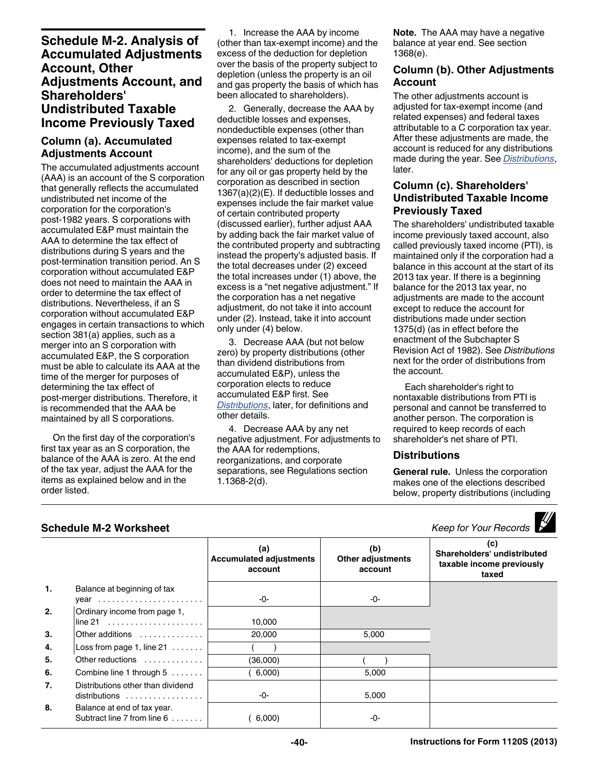### <span id="page-40-0"></span>**Schedule M-2. Analysis of Accumulated Adjustments Account, Other Adjustments Account, and Shareholders' Undistributed Taxable Income Previously Taxed**

### **Column (a). Accumulated Adjustments Account**

The accumulated adjustments account (AAA) is an account of the S corporation that generally reflects the accumulated undistributed net income of the corporation for the corporation's post-1982 years. S corporations with accumulated E&P must maintain the AAA to determine the tax effect of distributions during S years and the post-termination transition period. An S corporation without accumulated E&P does not need to maintain the AAA in order to determine the tax effect of distributions. Nevertheless, if an S corporation without accumulated E&P engages in certain transactions to which section 381(a) applies, such as a merger into an S corporation with accumulated E&P, the S corporation must be able to calculate its AAA at the time of the merger for purposes of determining the tax effect of post-merger distributions. Therefore, it is recommended that the AAA be maintained by all S corporations.

On the first day of the corporation's first tax year as an S corporation, the balance of the AAA is zero. At the end of the tax year, adjust the AAA for the items as explained below and in the order listed.

1. Increase the AAA by income (other than tax-exempt income) and the excess of the deduction for depletion over the basis of the property subject to depletion (unless the property is an oil and gas property the basis of which has been allocated to shareholders).

2. Generally, decrease the AAA by deductible losses and expenses, nondeductible expenses (other than expenses related to tax-exempt income), and the sum of the shareholders' deductions for depletion for any oil or gas property held by the corporation as described in section 1367(a)(2)(E). If deductible losses and expenses include the fair market value of certain contributed property (discussed earlier), further adjust AAA by adding back the fair market value of the contributed property and subtracting instead the property's adjusted basis. If the total decreases under (2) exceed the total increases under (1) above, the excess is a "net negative adjustment." If the corporation has a net negative adjustment, do not take it into account under (2). Instead, take it into account only under (4) below.

3. Decrease AAA (but not below zero) by property distributions (other than dividend distributions from accumulated E&P), unless the corporation elects to reduce accumulated E&P first. See *Distributions*, later, for definitions and other details.

4. Decrease AAA by any net negative adjustment. For adjustments to the AAA for redemptions, reorganizations, and corporate separations, see Regulations section 1.1368-2(d).

**Note.** The AAA may have a negative balance at year end. See section 1368(e).

#### **Column (b). Other Adjustments Account**

The other adjustments account is adjusted for tax-exempt income (and related expenses) and federal taxes attributable to a C corporation tax year. After these adjustments are made, the account is reduced for any distributions made during the year. See *Distributions*, later.

### **Column (c). Shareholders' Undistributed Taxable Income Previously Taxed**

The shareholders' undistributed taxable income previously taxed account, also called previously taxed income (PTI), is maintained only if the corporation had a balance in this account at the start of its 2013 tax year. If there is a beginning balance for the 2013 tax year, no adjustments are made to the account except to reduce the account for distributions made under section 1375(d) (as in effect before the enactment of the Subchapter S Revision Act of 1982). See *Distributions*  next for the order of distributions from the account.

Each shareholder's right to nontaxable distributions from PTI is personal and cannot be transferred to another person. The corporation is required to keep records of each shareholder's net share of PTI.

#### **Distributions**

**General rule.** Unless the corporation makes one of the elections described below, property distributions (including

| Keep for Your Records<br><b>Schedule M-2 Worksheet</b> |                                             |                                                  |                                            |                                                                          |  |  |
|--------------------------------------------------------|---------------------------------------------|--------------------------------------------------|--------------------------------------------|--------------------------------------------------------------------------|--|--|
|                                                        |                                             | (a)<br><b>Accumulated adjustments</b><br>account | (b)<br><b>Other adjustments</b><br>account | (c)<br>Shareholders' undistributed<br>taxable income previously<br>taxed |  |  |
| 1.                                                     | Balance at beginning of tax                 |                                                  |                                            |                                                                          |  |  |
|                                                        | year                                        | -0-                                              | -0-                                        |                                                                          |  |  |
| 2.                                                     | Ordinary income from page 1,                |                                                  |                                            |                                                                          |  |  |
|                                                        | $line 21$                                   | 10,000                                           |                                            |                                                                          |  |  |
| 3.                                                     | Other additions                             | 20,000                                           | 5,000                                      |                                                                          |  |  |
| 4.                                                     | Loss from page 1, line $21$                 |                                                  |                                            |                                                                          |  |  |
| 5.                                                     | Other reductions                            | (36,000)                                         |                                            |                                                                          |  |  |
| 6.                                                     | Combine line 1 through 5                    | 6,000                                            | 5,000                                      |                                                                          |  |  |
| 7.                                                     | Distributions other than dividend           |                                                  |                                            |                                                                          |  |  |
|                                                        | $distributions \ldots \ldots \ldots \ldots$ | -0-                                              | 5,000                                      |                                                                          |  |  |
| 8.                                                     | Balance at end of tax year.                 |                                                  |                                            |                                                                          |  |  |
|                                                        | Subtract line 7 from line 6                 | 6,000                                            | -0-                                        |                                                                          |  |  |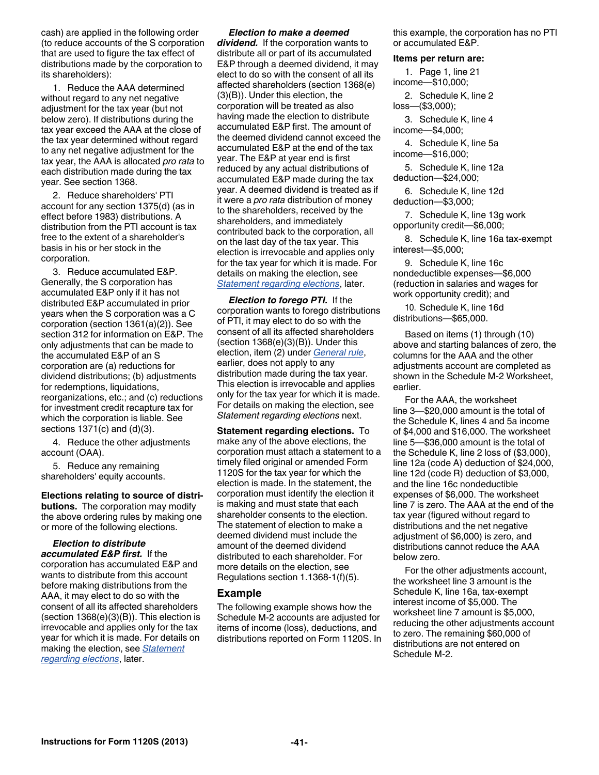cash) are applied in the following order (to reduce accounts of the S corporation that are used to figure the tax effect of distributions made by the corporation to its shareholders):

1. Reduce the AAA determined without regard to any net negative adjustment for the tax year (but not below zero). If distributions during the tax year exceed the AAA at the close of the tax year determined without regard to any net negative adjustment for the tax year, the AAA is allocated *pro rata* to each distribution made during the tax year. See section 1368.

2. Reduce shareholders' PTI account for any section 1375(d) (as in effect before 1983) distributions. A distribution from the PTI account is tax free to the extent of a shareholder's basis in his or her stock in the corporation.

3. Reduce accumulated E&P. Generally, the S corporation has accumulated E&P only if it has not distributed E&P accumulated in prior years when the S corporation was a C corporation (section 1361(a)(2)). See section 312 for information on E&P. The only adjustments that can be made to the accumulated E&P of an S corporation are (a) reductions for dividend distributions; (b) adjustments for redemptions, liquidations, reorganizations, etc.; and (c) reductions for investment credit recapture tax for which the corporation is liable. See sections  $1371(c)$  and  $(d)(3)$ .

4. Reduce the other adjustments account (OAA).

5. Reduce any remaining shareholders' equity accounts.

**Elections relating to source of distributions.** The corporation may modify the above ordering rules by making one or more of the following elections.

*Election to distribute accumulated E&P first.* If the corporation has accumulated E&P and wants to distribute from this account before making distributions from the AAA, it may elect to do so with the consent of all its affected shareholders (section  $1368(e)(3)(B)$ ). This election is irrevocable and applies only for the tax year for which it is made. For details on making the election, see *Statement regarding elections*, later.

*Election to make a deemed dividend.* If the corporation wants to distribute all or part of its accumulated E&P through a deemed dividend, it may elect to do so with the consent of all its affected shareholders (section 1368(e) (3)(B)). Under this election, the corporation will be treated as also having made the election to distribute accumulated E&P first. The amount of the deemed dividend cannot exceed the accumulated E&P at the end of the tax year. The E&P at year end is first reduced by any actual distributions of accumulated E&P made during the tax year. A deemed dividend is treated as if it were a *pro rata* distribution of money to the shareholders, received by the shareholders, and immediately contributed back to the corporation, all on the last day of the tax year. This election is irrevocable and applies only for the tax year for which it is made. For details on making the election, see *Statement regarding elections*, later.

*Election to forego PTI.* If the corporation wants to forego distributions of PTI, it may elect to do so with the consent of all its affected shareholders (section  $1368(e)(3)(B)$ ). Under this election, item (2) under *[General rule](#page-40-0)*, earlier, does not apply to any distribution made during the tax year. This election is irrevocable and applies only for the tax year for which it is made. For details on making the election, see *Statement regarding elections* next.

**Statement regarding elections.** To make any of the above elections, the corporation must attach a statement to a timely filed original or amended Form 1120S for the tax year for which the election is made. In the statement, the corporation must identify the election it is making and must state that each shareholder consents to the election. The statement of election to make a deemed dividend must include the amount of the deemed dividend distributed to each shareholder. For more details on the election, see Regulations section 1.1368-1(f)(5).

#### **Example**

The following example shows how the Schedule M-2 accounts are adjusted for items of income (loss), deductions, and distributions reported on Form 1120S. In this example, the corporation has no PTI or accumulated E&P.

#### **Items per return are:**

1. Page 1, line 21 income—\$10,000;

2. Schedule K, line 2 loss—(\$3,000);

3. Schedule K, line 4 income—\$4,000;

4. Schedule K, line 5a income—\$16,000;

5. Schedule K, line 12a deduction—\$24,000;

6. Schedule K, line 12d deduction—\$3,000;

7. Schedule K, line 13g work opportunity credit—\$6,000;

8. Schedule K, line 16a tax-exempt interest—\$5,000;

9. Schedule K, line 16c nondeductible expenses—\$6,000 (reduction in salaries and wages for work opportunity credit); and

10. Schedule K, line 16d distributions—\$65,000.

Based on items (1) through (10) above and starting balances of zero, the columns for the AAA and the other adjustments account are completed as shown in the Schedule M-2 Worksheet, earlier.

For the AAA, the worksheet line 3—\$20,000 amount is the total of the Schedule K, lines 4 and 5a income of \$4,000 and \$16,000. The worksheet line 5—\$36,000 amount is the total of the Schedule K, line 2 loss of (\$3,000), line 12a (code A) deduction of \$24,000, line 12d (code R) deduction of \$3,000, and the line 16c nondeductible expenses of \$6,000. The worksheet line 7 is zero. The AAA at the end of the tax year (figured without regard to distributions and the net negative adjustment of \$6,000) is zero, and distributions cannot reduce the AAA below zero.

For the other adjustments account, the worksheet line 3 amount is the Schedule K, line 16a, tax-exempt interest income of \$5,000. The worksheet line 7 amount is \$5,000, reducing the other adjustments account to zero. The remaining \$60,000 of distributions are not entered on Schedule M-2.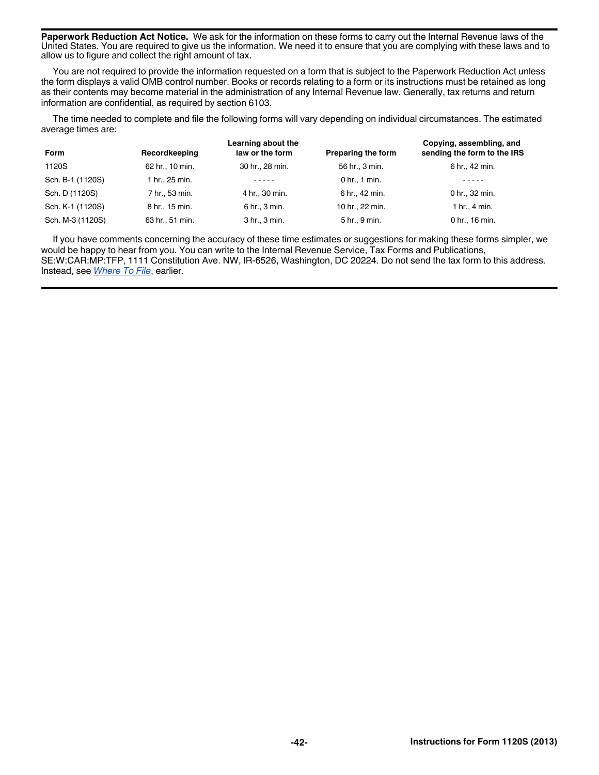**Paperwork Reduction Act Notice.** We ask for the information on these forms to carry out the Internal Revenue laws of the United States. You are required to give us the information. We need it to ensure that you are complying with these laws and to allow us to figure and collect the right amount of tax.

You are not required to provide the information requested on a form that is subject to the Paperwork Reduction Act unless the form displays a valid OMB control number. Books or records relating to a form or its instructions must be retained as long as their contents may become material in the administration of any Internal Revenue law. Generally, tax returns and return information are confidential, as required by section 6103.

The time needed to complete and file the following forms will vary depending on individual circumstances. The estimated average times are:

| <b>Form</b>      | Recordkeeping   | Learning about the<br>law or the form | Preparing the form | Copying, assembling, and<br>sending the form to the IRS |
|------------------|-----------------|---------------------------------------|--------------------|---------------------------------------------------------|
| 1120S            | 62 hr., 10 min. | 30 hr., 28 min.                       | 56 hr., 3 min.     | 6 hr., 42 min.                                          |
| Sch. B-1 (1120S) | 1 hr., 25 min.  | - - - - -                             | 0 hr., 1 min.      | -----                                                   |
| Sch. D (1120S)   | 7 hr., 53 min.  | 4 hr., 30 min.                        | 6 hr., 42 min.     | 0 hr., 32 min.                                          |
| Sch. K-1 (1120S) | 8 hr., 15 min.  | 6 hr., 3 min.                         | 10 hr., 22 min.    | 1 hr., 4 min.                                           |
| Sch. M-3 (1120S) | 63 hr., 51 min. | 3 hr., 3 min.                         | 5 hr., 9 min.      | 0 hr., 16 min.                                          |

If you have comments concerning the accuracy of these time estimates or suggestions for making these forms simpler, we would be happy to hear from you. You can write to the Internal Revenue Service, Tax Forms and Publications, SE:W:CAR:MP:TFP, 1111 Constitution Ave. NW, IR-6526, Washington, DC 20224. Do not send the tax form to this address. Instead, see *[Where To File](#page-3-0)*, earlier.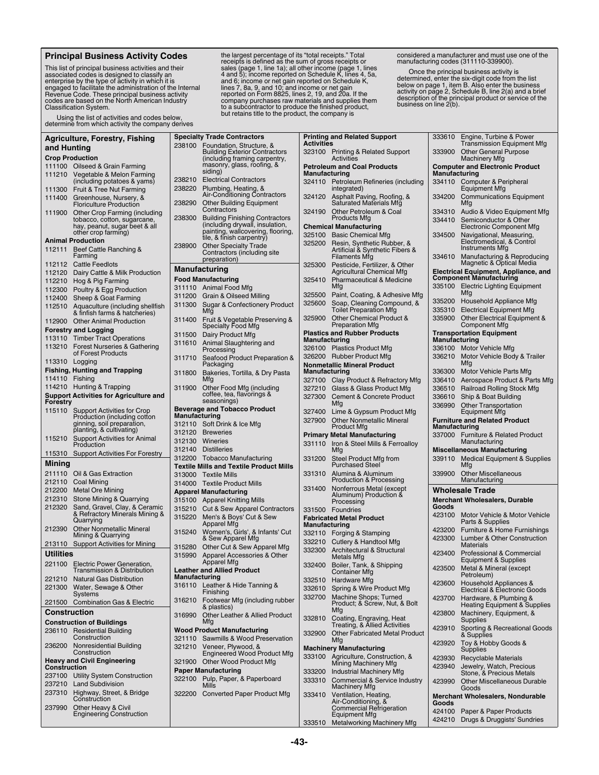#### <span id="page-43-0"></span>**Principal Business Activity Codes**

This list of principal business activities and their<br>associated codes is designed to classify an<br>enterprise by the type of activity in which it is<br>engaged to facilitate the administration of the Internal<br>Revenue Code. Thes

Using the list of activities and codes below, determine from which activity the company derives

the largest percentage of its "total receipts." Total<br>receipts is defined as the sum of gross receipts or<br>sales (page 1, line 1a); all other income (page 1, lines<br>4 and 5); income reported on Schedule K, lines 4, 5a,<br>and 6

considered a manufacturer and must use one of the manufacturing codes (311110-339900).

Once the principal business activity is<br>determined, enter the six-digit code from the list<br>below on page 1, item B. Also enter the business<br>activity on page 2, Schedule B, line 2(a) and a brief<br>description of the principal

|                     | <b>Agriculture, Forestry, Fishing</b>                              |                      | <b>Specialty Trade Contractors</b>                             |                                   | <b>Printing and Related Support</b>                          |               | 333610 Engine, Turbine & Power                          |
|---------------------|--------------------------------------------------------------------|----------------------|----------------------------------------------------------------|-----------------------------------|--------------------------------------------------------------|---------------|---------------------------------------------------------|
| and Hunting         |                                                                    |                      | 238100 Foundation, Structure, &                                | <b>Activities</b>                 |                                                              |               | <b>Transmission Equipment Mfg</b>                       |
|                     |                                                                    |                      | <b>Building Exterior Contractors</b>                           | 323100 Printing & Related Support |                                                              | 333900        | <b>Other General Purpose</b>                            |
|                     | <b>Crop Production</b>                                             |                      | (including framing carpentry,                                  |                                   | Activities                                                   |               | <b>Machinery Mfg</b>                                    |
|                     | 111100 Oilseed & Grain Farming<br>111210 Vegetable & Melon Farming |                      | masonry, glass, roofing, &<br>siding)                          | <b>Manufacturing</b>              | <b>Petroleum and Coal Products</b>                           | Manufacturing | <b>Computer and Electronic Product</b>                  |
|                     | (including potatoes & yams)                                        | 238210               | <b>Electrical Contractors</b>                                  |                                   | 324110 Petroleum Refineries (including                       |               | 334110 Computer & Peripheral                            |
|                     | 111300 Fruit & Tree Nut Farming                                    | 238220               | Plumbing, Heating, &<br>Air-Conditioning Contractors           |                                   | integrated)                                                  |               | Equipment Mfg                                           |
|                     | 111400 Greenhouse, Nursery, &<br><b>Floriculture Production</b>    |                      | 238290 Other Building Equipment                                |                                   | 324120 Asphalt Paving, Roofing, &<br>Saturated Materials Mfg |               | 334200 Communications Equipment<br>Mfg                  |
|                     | 111900 Other Crop Farming (including                               |                      | Contractors                                                    | 324190                            | Other Petroleum & Coal                                       |               | 334310 Audio & Video Equipment Mfg                      |
|                     | tobacco, cotton, sugarcane,                                        | 238300               | <b>Building Finishing Contractors</b>                          |                                   | <b>Products Mfg</b>                                          |               | 334410 Semiconductor & Other                            |
|                     | hay, peanut, sugar beet & all                                      |                      | (including drywall, insulation,                                |                                   | <b>Chemical Manufacturing</b>                                |               | Electronic Component Mfg                                |
|                     | other crop farming)                                                |                      | painting, wallcovering, flooring,<br>tile, & finish carpentry) |                                   | 325100 Basic Chemical Mfg                                    | 334500        | Navigational, Measuring,                                |
|                     | <b>Animal Production</b>                                           | 238900               | <b>Other Specialty Trade</b>                                   | 325200                            | Resin, Synthetic Rubber, &                                   |               | Electromedical, & Control                               |
|                     | 112111 Beef Cattle Ranching &                                      |                      | Contractors (including site                                    |                                   | Artificial & Synthetic Fibers &                              |               | Instruments Mfg                                         |
|                     | Farming                                                            |                      | preparation)                                                   |                                   | <b>Filaments Mfg</b>                                         | 334610        | Manufacturing & Reproducing                             |
|                     | 112112 Cattle Feedlots                                             |                      | <b>Manufacturing</b>                                           | 325300                            | Pesticide, Fertilizer, & Other                               |               | Magnetic & Optical Media                                |
|                     | 112120 Dairy Cattle & Milk Production                              |                      |                                                                |                                   | Agricultural Chemical Mfg                                    |               | <b>Electrical Equipment, Appliance, and</b>             |
|                     | 112210 Hog & Pig Farming                                           |                      | <b>Food Manufacturing</b>                                      | 325410                            | <b>Pharmaceutical &amp; Medicine</b>                         |               | <b>Component Manufacturing</b>                          |
|                     | 112300 Poultry & Egg Production                                    |                      | 311110 Animal Food Mfg                                         |                                   | Mfg                                                          |               | 335100 Electric Lighting Equipment<br>Mfg               |
|                     | 112400 Sheep & Goat Farming                                        |                      | 311200 Grain & Oilseed Milling                                 | 325500                            | Paint, Coating, & Adhesive Mfg                               |               | 335200 Household Appliance Mfg                          |
| 112510              | Aquaculture (including shellfish                                   | 311300               | <b>Sugar &amp; Confectionery Product</b>                       | 325600                            | Soap, Cleaning Compound, &                                   |               |                                                         |
|                     | & finfish farms & hatcheries)                                      |                      | Mfg                                                            |                                   | <b>Toilet Preparation Mfg</b>                                |               | 335310 Electrical Equipment Mfg                         |
|                     | 112900 Other Animal Production                                     | 311400               | Fruit & Vegetable Preserving &                                 | 325900                            | Other Chemical Product &<br><b>Preparation Mfg</b>           |               | 335900 Other Electrical Equipment &                     |
|                     | <b>Forestry and Logging</b>                                        |                      | <b>Specialty Food Mfg</b>                                      |                                   |                                                              |               | <b>Component Mfg</b>                                    |
|                     | 113110 Timber Tract Operations                                     |                      | 311500 Dairy Product Mfg                                       | <b>Manufacturing</b>              | <b>Plastics and Rubber Products</b>                          | Manufacturing | <b>Transportation Equipment</b>                         |
| 113210              | Forest Nurseries & Gathering                                       | 311610               | Animal Slaughtering and                                        |                                   |                                                              |               |                                                         |
|                     | of Forest Products                                                 |                      | Processing                                                     |                                   | 326100 Plastics Product Mfg                                  |               | 336100 Motor Vehicle Mfg                                |
| 113310 Logging      |                                                                    | 311710               | Seafood Product Preparation &                                  |                                   | 326200 Rubber Product Mfg                                    | 336210        | Motor Vehicle Body & Trailer                            |
|                     | <b>Fishing, Hunting and Trapping</b>                               |                      | Packaging                                                      |                                   | <b>Nonmetallic Mineral Product</b>                           |               | Mfg                                                     |
|                     |                                                                    | 311800               | Bakeries, Tortilla, & Dry Pasta                                | <b>Manufacturing</b>              |                                                              |               | 336300 Motor Vehicle Parts Mfg                          |
| 114110 Fishing      |                                                                    |                      | Mfg                                                            |                                   | 327100 Clay Product & Refractory Mfg                         |               | 336410 Aerospace Product & Parts Mfg                    |
|                     | 114210 Hunting & Trapping                                          |                      | 311900 Other Food Mfg (including<br>coffee, tea, flavorings &  |                                   | 327210 Glass & Glass Product Mfg                             | 336510        | <b>Railroad Rolling Stock Mfg</b>                       |
|                     | <b>Support Activities for Agriculture and</b>                      |                      | seasonings)                                                    |                                   | 327300 Cement & Concrete Product                             |               | 336610 Ship & Boat Building                             |
| <b>Forestry</b>     |                                                                    |                      | <b>Beverage and Tobacco Product</b>                            |                                   | Mfg                                                          | 336990        | <b>Other Transportation</b>                             |
|                     | 115110 Support Activities for Crop<br>Production (including cotton | <b>Manufacturing</b> |                                                                | 327400                            | Lime & Gypsum Product Mfg                                    |               | Equipment Mfg                                           |
|                     | ginning, soil preparation,                                         |                      | 312110 Soft Drink & Ice Mfg                                    | 327900                            | <b>Other Nonmetallic Mineral</b>                             |               | <b>Furniture and Related Product</b>                    |
|                     | planting, & cultivating)                                           |                      |                                                                |                                   | <b>Product Mfg</b>                                           | Manufacturing |                                                         |
|                     |                                                                    |                      |                                                                |                                   |                                                              |               |                                                         |
|                     |                                                                    |                      | 312120 Breweries                                               |                                   | <b>Primary Metal Manufacturing</b>                           | 337000        | Furniture & Related Product                             |
|                     | 115210 Support Activities for Animal<br>Production                 |                      | 312130 Wineries                                                | 331110                            | Iron & Steel Mills & Ferroalloy                              |               | Manufacturing                                           |
|                     | 115310 Support Activities For Forestry                             |                      | 312140 Distilleries                                            |                                   | Mfg                                                          |               | <b>Miscellaneous Manufacturing</b>                      |
|                     |                                                                    |                      | 312200 Tobacco Manufacturing                                   | 331200                            | Steel Product Mfg from                                       | 339110        | <b>Medical Equipment &amp; Supplies</b>                 |
| Mining              |                                                                    |                      | <b>Textile Mills and Textile Product Mills</b>                 |                                   | <b>Purchased Steel</b>                                       |               | Mfg                                                     |
|                     | 211110 Oil & Gas Extraction                                        |                      | 313000 Textile Mills                                           |                                   | 331310 Alumina & Aluminum                                    | 339900        | <b>Other Miscellaneous</b>                              |
|                     | 212110 Coal Mining                                                 |                      | 314000 Textile Product Mills                                   |                                   | <b>Production &amp; Processing</b>                           |               | Manufacturing                                           |
|                     | 212200 Metal Ore Mining                                            |                      | <b>Apparel Manufacturing</b>                                   | 331400                            | Nonferrous Metal (except                                     |               | <b>Wholesale Trade</b>                                  |
|                     | 212310 Stone Mining & Quarrying                                    |                      | 315100 Apparel Knitting Mills                                  |                                   | Aluminum) Production &                                       |               | <b>Merchant Wholesalers, Durable</b>                    |
| 212320              | Sand, Gravel, Clay, & Ceramic                                      |                      | 315210 Cut & Sew Apparel Contractors                           |                                   | Processing                                                   | Goods         |                                                         |
|                     | & Refractory Minerals Mining &                                     |                      |                                                                |                                   | 331500 Foundries                                             |               | 423100 Motor Vehicle & Motor Vehicle                    |
|                     | Quarrying                                                          |                      | 315220 Men's & Boys' Cut & Sew<br><b>Apparel Mfg</b>           |                                   | <b>Fabricated Metal Product</b>                              |               | Parts & Supplies                                        |
| 212390              | <b>Other Nonmetallic Mineral</b>                                   |                      | 315240 Women's, Girls', & Infants' Cut                         | <b>Manufacturing</b>              |                                                              | 423200        | Furniture & Home Furnishings                            |
|                     | Mining & Quarrying                                                 |                      | & Sew Apparel Mfg                                              |                                   | 332110 Forging & Stamping                                    | 423300        | Lumber & Other Construction                             |
|                     | 213110 Support Activities for Mining                               | 315280               | Other Cut & Sew Apparel Mfg                                    |                                   | 332210 Cutlery & Handtool Mfg                                |               | <b>Materials</b>                                        |
| <b>Utilities</b>    |                                                                    |                      | 315990 Apparel Accessories & Other                             |                                   | 332300 Architectural & Structural                            | 423400        | Professional & Commercial                               |
|                     | 221100 Electric Power Generation,                                  |                      | <b>Apparel Mfg</b>                                             |                                   | <b>Metals Mfg</b>                                            |               | Equipment & Supplies                                    |
|                     | Transmission & Distribution                                        |                      | <b>Leather and Allied Product</b>                              |                                   | 332400 Boiler, Tank, & Shipping                              |               | 423500 Metal & Mineral (except                          |
|                     | 221210 Natural Gas Distribution                                    | <b>Manufacturing</b> |                                                                |                                   | Container Mitg                                               |               | Petroleum)                                              |
|                     |                                                                    |                      | 316110 Leather & Hide Tanning &                                |                                   | 332510 Hardware Mfg                                          | 423600        |                                                         |
|                     | 221300 Water, Sewage & Other<br>Systems                            |                      | Finishing                                                      |                                   | 332610 Spring & Wire Product Mfg                             |               | Household Appliances &<br>Electrical & Electronic Goods |
|                     | 221500 Combination Gas & Electric                                  |                      | 316210 Footwear Mfg (including rubber                          | 332700                            | Machine Shops; Turned                                        | 423700        | Hardware, & Plumbing &                                  |
|                     |                                                                    |                      | & plastics)                                                    |                                   | Product; & Screw, Nut, & Bolt<br>Mfg                         |               | <b>Heating Equipment &amp; Supplies</b>                 |
| <b>Construction</b> |                                                                    |                      | 316990 Other Leather & Allied Product                          | 332810                            |                                                              | 423800        | Machinery, Equipment, &                                 |
|                     | <b>Construction of Buildings</b>                                   |                      | Mfg                                                            |                                   | Coating, Engraving, Heat<br>Treating, & Allied Activities    |               | <b>Supplies</b>                                         |
|                     | 236110 Residential Building                                        |                      | <b>Wood Product Manufacturing</b>                              | 332900                            | <b>Other Fabricated Metal Product</b>                        |               | 423910 Sporting & Recreational Goods<br>& Supplies      |
|                     | Construction                                                       |                      | 321110 Sawmills & Wood Preservation                            |                                   | Mfg                                                          |               |                                                         |
|                     | 236200 Nonresidential Building                                     |                      | 321210 Veneer, Plywood, &                                      |                                   | <b>Machinery Manufacturing</b>                               |               | 423920 Toy & Hobby Goods &<br>Supplies                  |
|                     | Construction                                                       |                      | <b>Engineered Wood Product Mfg</b>                             |                                   | 333100 Agriculture, Construction, &                          |               | 423930 Recyclable Materials                             |
|                     | <b>Heavy and Civil Engineering</b>                                 |                      | 321900 Other Wood Product Mfg                                  |                                   | Mining Machinery Mfg                                         | 423940        |                                                         |
| <b>Construction</b> |                                                                    |                      | <b>Paper Manufacturing</b>                                     | 333200                            | Industrial Machinery Mfg                                     |               | Jewelry, Watch, Precious<br>Stone, & Precious Metals    |
|                     | 237100 Utility System Construction                                 |                      | 322100 Pulp, Paper, & Paperboard                               | 333310                            | Commercial & Service Industry                                | 423990        | <b>Other Miscellaneous Durable</b>                      |
|                     | 237210 Land Subdivision                                            |                      | Mills                                                          |                                   | Machinery Mfg                                                |               | Goods                                                   |
| 237310              | Highway, Street, & Bridge                                          |                      | 322200 Converted Paper Product Mfg                             | 333410                            | Ventilation, Heating,                                        |               | <b>Merchant Wholesalers, Nondurable</b>                 |
|                     | Construction                                                       |                      |                                                                |                                   | Air-Conditioning, &                                          | Goods         |                                                         |
| 237990              | Other Heavy & Civil                                                |                      |                                                                |                                   | <b>Commercial Refrigeration</b>                              | 424100        | Paper & Paper Products                                  |
|                     | <b>Engineering Construction</b>                                    |                      |                                                                |                                   | <b>Equipment Mfg</b><br>333510 Metalworking Machinery Mfg    |               | 424210 Drugs & Druggists' Sundries                      |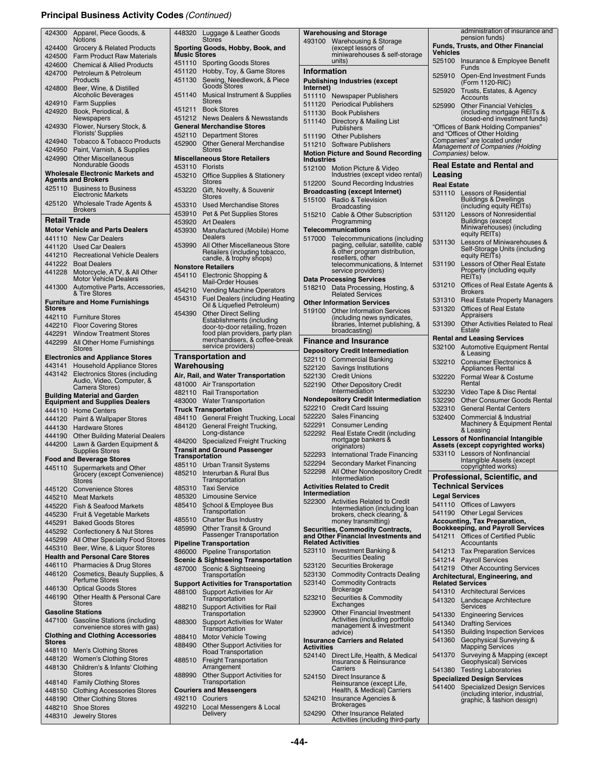#### **Principal Business Activity Codes** *(Continued)*

| 424300                  | Apparel, Piece Goods, &<br>Notions                                        | 4483                |
|-------------------------|---------------------------------------------------------------------------|---------------------|
| 424400                  | Grocery & Related Products                                                | Spoı                |
| 424500                  | <b>Farm Product Raw Materials</b>                                         | Mus                 |
| 424600                  | <b>Chemical &amp; Allied Products</b>                                     | 4511<br>4511        |
| 424700                  | Petroleum & Petroleum<br>Products                                         | 4511                |
| 424800                  | Beer, Wine, & Distilled<br><b>Alcoholic Beverages</b>                     | 4511                |
| 424910                  | <b>Farm Supplies</b>                                                      | 4512                |
| 424920                  | Book, Periodical, &<br>Newspapers                                         | 4512                |
| 424930                  | Flower, Nursery Stock, &<br>Florists' Supplies                            | Gen<br>4521         |
| 424940<br>424950        | <b>Tobacco &amp; Tobacco Products</b><br>Paint, Varnish, & Supplies       | 4529                |
| 424990                  | <b>Other Miscellaneous</b>                                                | Misc                |
|                         | Nondurable Goods                                                          | 4531                |
|                         | <b>Wholesale Electronic Markets and</b><br><b>Agents and Brokers</b>      | 4532                |
| 425110                  | <b>Business to Business</b>                                               | 4532                |
| 425120                  | <b>Electronic Markets</b><br>Wholesale Trade Agents &                     |                     |
|                         | <b>Brokers</b>                                                            | 4533<br>4539        |
| <b>Retail Trade</b>     |                                                                           | 4539                |
| 441110                  | <b>Motor Vehicle and Parts Dealers</b>                                    | 4539                |
| 441120                  | <b>New Car Dealers</b><br><b>Used Car Dealers</b>                         | 4539                |
| 441210                  | <b>Recreational Vehicle Dealers</b>                                       |                     |
| 441222                  | <b>Boat Dealers</b>                                                       | Non:                |
| 441228                  | Motorcycle, ATV, & All Other<br>Motor Vehicle Dealers                     | 4541                |
| 441300                  | Automotive Parts, Accessories,                                            |                     |
|                         | & Tire Stores                                                             | 4542<br>4543        |
| <b>Stores</b>           | <b>Furniture and Home Furnishings</b>                                     |                     |
| 442110                  | <b>Furniture Stores</b>                                                   | 4543                |
| 442210                  | <b>Floor Covering Stores</b>                                              |                     |
| 442291<br>442299        | <b>Window Treatment Stores</b><br>All Other Home Furnishings              |                     |
|                         | <b>Stores</b>                                                             |                     |
|                         | <b>Electronics and Appliance Stores</b>                                   | Traı                |
| 443141<br>443142        | <b>Household Appliance Stores</b><br><b>Electronics Stores (including</b> | War<br>Air, I       |
|                         | Audio, Video, Computer, &                                                 | 4810                |
|                         | Camera Stores)<br><b>Building Material and Garden</b>                     | 4821                |
|                         | <b>Equipment and Supplies Dealers</b>                                     | 4830                |
| 444110                  | <b>Home Centers</b>                                                       | <b>Truc</b><br>4841 |
| 444120<br>444130        | Paint & Wallpaper Stores<br><b>Hardware Stores</b>                        | 4841                |
| 444190                  | <b>Other Building Material Dealers</b>                                    |                     |
| 444200                  | Lawn & Garden Equipment &<br><b>Supplies Stores</b>                       | 4842<br>Tran        |
|                         | <b>Food and Beverage Stores</b>                                           | Tran                |
| 445110                  | Supermarkets and Other<br>Grocery (except Convenience)<br><b>Stores</b>   | 4851<br>4852        |
| 445120                  | <b>Convenience Stores</b>                                                 | 4853                |
| 445210                  | <b>Meat Markets</b>                                                       | 4853                |
| 445220                  | <b>Fish &amp; Seafood Markets</b>                                         | 4854                |
| 445230<br>445291        | Fruit & Vegetable Markets<br><b>Baked Goods Stores</b>                    | 4855                |
| 445292                  | Confectionery & Nut Stores                                                | 4859                |
| 445299                  | All Other Specialty Food Stores                                           | Pipe                |
| 445310                  | Beer, Wine, & Liquor Stores<br><b>Health and Personal Care Stores</b>     | 4860                |
| 446110                  | <b>Pharmacies &amp; Drug Stores</b>                                       | Scer                |
| 446120                  | Cosmetics, Beauty Supplies, &                                             | 4870                |
| 446130                  | <b>Perfume Stores</b><br><b>Optical Goods Stores</b>                      | Sup                 |
| 446190                  | Other Health & Personal Care                                              | 4881                |
|                         | Stores<br><b>Gasoline Stations</b>                                        | 4882                |
| 447100                  | Gasoline Stations (including<br>convenience stores with gas)              | 4883                |
|                         | <b>Clothing and Clothing Accessories</b>                                  | 4884                |
| <b>Stores</b><br>448110 | Men's Clothing Stores                                                     | 4884                |
| 448120                  | <b>Women's Clothing Stores</b>                                            | 4885                |
| 448130                  | Children's & Infants' Clothing<br><b>Stores</b>                           | 4889                |
| 448140                  | <b>Family Clothing Stores</b>                                             |                     |
| 448150                  | <b>Clothing Accessories Stores</b>                                        | Cou                 |
| 448190<br>448210        | <b>Other Clothing Stores</b><br><b>Shoe Stores</b>                        | 4921<br>4922        |
| 448310                  | <b>Jewelry Stores</b>                                                     |                     |

| 448320              | Luggage & Leather Goods<br><b>Stores</b>                                                  |                             | Warehousing and Storage                                                                 |
|---------------------|-------------------------------------------------------------------------------------------|-----------------------------|-----------------------------------------------------------------------------------------|
|                     | Sporting Goods, Hobby, Book, and                                                          | 493100                      | Warehousing & Storage<br>(except lessors of                                             |
| <b>Music Stores</b> |                                                                                           |                             | miniwarehouses & self-storage<br>units)                                                 |
| 451110<br>451120    | <b>Sporting Goods Stores</b>                                                              | Information                 |                                                                                         |
| 451130              | Hobby, Toy, & Game Stores<br>Sewing, Needlework, & Piece<br>Goods Stores                  | Internet)                   | <b>Publishing Industries (except</b>                                                    |
| 451140              | Musical Instrument & Supplies<br><b>Stores</b>                                            | 511110<br>511120            | Newspaper Publishers<br><b>Periodical Publishers</b>                                    |
| 451211              | <b>Book Stores</b>                                                                        | 511130                      | <b>Book Publishers</b>                                                                  |
| 451212              | <b>News Dealers &amp; Newsstands</b><br><b>General Merchandise Stores</b>                 | 511140                      | Directory & Mailing List<br><b>Publishers</b>                                           |
| 452110              | <b>Department Stores</b>                                                                  | 511190                      | <b>Other Publishers</b>                                                                 |
| 452900              | <b>Other General Merchandise</b>                                                          | 511210                      | Software Publishers                                                                     |
|                     | <b>Stores</b><br>Miscellaneous Store Retailers                                            |                             | <b>Motion Picture and Sound Recording</b>                                               |
| 453110              | <b>Florists</b>                                                                           | <b>Industries</b><br>512100 |                                                                                         |
| 453210              | <b>Office Supplies &amp; Stationery</b>                                                   |                             | Motion Picture & Video<br>Industries (except video rental)                              |
| 453220              | <b>Stores</b><br>Gift, Novelty, & Souvenir                                                | 512200                      | <b>Sound Recording Industries</b><br><b>Broadcasting (except Internet)</b>              |
|                     | <b>Stores</b>                                                                             | 515100                      | Radio & Television                                                                      |
| 453310              | <b>Used Merchandise Stores</b>                                                            |                             | Broadcasting                                                                            |
| 453910<br>453920    | Pet & Pet Supplies Stores                                                                 | 515210                      | Cable & Other Subscription<br>Programming                                               |
| 453930              | <b>Art Dealers</b><br>Manufactured (Mobile) Home                                          |                             | <b>Telecommunications</b>                                                               |
|                     | Dealers                                                                                   | 517000                      | Telecommunications (including                                                           |
| 453990              | All Other Miscellaneous Store<br>Retailers (including tobacco,<br>candle, & trophy shops) |                             | paging, cellular, satellite, cable<br>& other program distribution,<br>resellers, other |
|                     | <b>Nonstore Retailers</b>                                                                 |                             | telecommunications, & Internet<br>service providers)                                    |
| 454110              | Electronic Shopping &<br><b>Mail-Order Houses</b>                                         |                             | <b>Data Processing Services</b>                                                         |
| 454210              | <b>Vending Machine Operators</b>                                                          | 518210                      | Data Processing, Hosting, &                                                             |
| 454310              | <b>Fuel Dealers (including Heating</b>                                                    |                             | <b>Related Services</b><br><b>Other Information Services</b>                            |
|                     | Oil & Liquefied Petroleum)                                                                | 519100                      | <b>Other Information Services</b>                                                       |
| 454390              | <b>Other Direct Selling</b><br>Establishments (including                                  |                             | (including news syndicates,                                                             |
|                     | door-to-door retailing, frozen                                                            |                             | libraries, Internet publishing, &<br>broadcasting)                                      |
|                     | food plan providers, party plan<br>merchandisers, & coffee-break                          |                             | <b>Finance and Insurance</b>                                                            |
|                     | service providers)                                                                        |                             | <b>Depository Credit Intermediation</b>                                                 |
|                     | Transportation and                                                                        | 522110                      | <b>Commercial Banking</b>                                                               |
| Warehousing         |                                                                                           | 522120                      | Savings Institutions                                                                    |
|                     |                                                                                           |                             |                                                                                         |
|                     | Air, Rail, and Water Transportation                                                       | 522130                      | <b>Credit Unions</b>                                                                    |
| 481000              | Air Transportation                                                                        | 522190                      | <b>Other Depository Credit</b><br>Intermediation                                        |
| 482110<br>483000    | <b>Rail Transportation</b><br><b>Water Transportation</b>                                 |                             | <b>Nondepository Credit Intermediation</b>                                              |
|                     | <b>Truck Transportation</b>                                                               | 522210                      | <b>Credit Card Issuing</b>                                                              |
| 484110              | General Freight Trucking, Local                                                           | 522220                      | <b>Sales Financing</b>                                                                  |
| 484120              | General Freight Trucking,<br>Long-distance                                                | 522291<br>522292            | Consumer Lending                                                                        |
| 484200              | Specialized Freight Trucking                                                              |                             | Real Estate Credit (including<br>mortgage bankers &                                     |
|                     | <b>Transit and Ground Passenger</b>                                                       | 522293                      | originators)                                                                            |
| Transportation      |                                                                                           | 522294                      | International Trade Financing<br>Secondary Market Financing                             |
| 485210              | 485110 Urban Transit Systems<br>Interurban & Rural Bus                                    | 522298                      | All Other Nondepository Credit                                                          |
|                     | Transportation                                                                            |                             | Intermediation<br><b>Activities Related to Credit</b>                                   |
| 485310<br>485320    | <b>Taxi Service</b>                                                                       | Intermediation              |                                                                                         |
| 485410              | <b>Limousine Service</b><br>School & Employee Bus                                         | 522300                      | <b>Activities Related to Credit</b>                                                     |
| 485510              | Transportation                                                                            |                             | Intermediation (including loan<br>brokers, check clearing, &                            |
| 485990              | <b>Charter Bus Industry</b><br><b>Other Transit &amp; Ground</b>                          |                             | money transmitting)<br><b>Securities, Commodity Contracts,</b>                          |
|                     | Passenger Transportation                                                                  |                             | and Other Financial Investments and                                                     |
|                     | <b>Pipeline Transportation</b><br>486000 Pipeline Transportation                          | 523110                      | <b>Related Activities</b><br>Investment Banking &                                       |
|                     | <b>Scenic &amp; Sightseeing Transportation</b>                                            |                             | <b>Securities Dealing</b>                                                               |
| 487000              | Scenic & Sightseeing                                                                      | 523120                      | Securities Brokerage                                                                    |
|                     | Transportation<br><b>Support Activities for Transportation</b>                            | 523130<br>523140            | <b>Commodity Contracts Dealing</b><br><b>Commodity Contracts</b>                        |
| 488100              | <b>Support Activities for Air</b><br>Transportation                                       | 523210                      | Brokerage<br>Securities & Commodity                                                     |
| 488210              | Support Activities for Rail                                                               | 523900                      | Exchanges<br>Other Financial Investment                                                 |
| 488300              | Transportation<br><b>Support Activities for Water</b><br>Transportation                   |                             | Activities (including portfolio<br>management & investment                              |
| 488410              | Motor Vehicle Towing                                                                      |                             | advice)<br><b>Insurance Carriers and Related</b>                                        |
| 488490              | Other Support Activities for<br>Road Transportation                                       | <b>Activities</b>           |                                                                                         |
| 488510              | <b>Freight Transportation</b><br>Arrangement                                              | 524140                      | Direct Life, Health, & Medical<br><b>Insurance &amp; Reinsurance</b><br>Carriers        |
| 488990              | <b>Other Support Activities for</b><br>Transportation                                     | 524150                      | Direct Insurance &<br>Reinsurance (except Life,                                         |
|                     | <b>Couriers and Messengers</b>                                                            |                             | Health, & Medical) Carriers                                                             |
| 492110<br>492210    | Couriers<br>Local Messengers & Local                                                      | 524210                      | Insurance Agencies &<br><b>Brokerages</b>                                               |

|                   | <b>Warehousing and Storage</b>                                                 |                       | administration of insurance and<br>pension funds)                       |
|-------------------|--------------------------------------------------------------------------------|-----------------------|-------------------------------------------------------------------------|
| 493100            | Warehousing & Storage<br>(except lessors of                                    |                       | <b>Funds, Trusts, and Other Financial</b>                               |
|                   | miniwarehouses & self-storage<br>units)                                        | Vehicles<br>525100    | Insurance & Employee Benefit                                            |
| Information       |                                                                                | 525910                | Funds<br>Open-End Investment Funds                                      |
| Internet)         | <b>Publishing Industries (except</b>                                           |                       | (Form 1120-RIC)                                                         |
| 511110            | <b>Newspaper Publishers</b>                                                    | 525920                | Trusts, Estates, & Agency<br>Accounts                                   |
| 511120            | <b>Periodical Publishers</b>                                                   | 525990                | <b>Other Financial Vehicles</b>                                         |
| 511130            | <b>Book Publishers</b>                                                         |                       | (including mortgage REITs &<br>closed-end investment funds)             |
| 511140            | Directory & Mailing List<br><b>Publishers</b>                                  |                       | "Offices of Bank Holding Companies"                                     |
| 511190            | <b>Other Publishers</b>                                                        |                       | and "Offices of Other Holding<br>Companies" are located under           |
|                   | 511210 Software Publishers<br><b>Motion Picture and Sound Recording</b>        |                       | <b>Management of Companies (Holding</b><br>Companies) below.            |
| Industries        |                                                                                |                       |                                                                         |
| 512100            | Motion Picture & Video<br>Industries (except video rental)                     | Leasing               | <b>Real Estate and Rental and</b>                                       |
| 512200            | Sound Recording Industries                                                     | <b>Real Estate</b>    |                                                                         |
|                   | <b>Broadcasting (except Internet)</b>                                          | 531110                | <b>Lessors of Residential</b>                                           |
| 515100            | Radio & Television<br><b>Broadcasting</b>                                      |                       | Buildings & Dwellings<br>(including equity REITs)                       |
| 515210            | Cable & Other Subscription                                                     | 531120                | <b>Lessors of Nonresidential</b>                                        |
|                   | Programming<br>Telecommunications                                              |                       | Buildings (except<br>Miniwarehouses) (including                         |
| 517000            | Telecommunications (including                                                  |                       | equity REITs)                                                           |
|                   | paging, cellular, satellite, cable<br>& other program distribution,            | 531130                | Lessors of Miniwarehouses &<br>Self-Storage Units (including            |
|                   | resellers, other                                                               |                       | equity REITs)                                                           |
|                   | telecommunications, & Internet<br>service providers)                           | 531190                | <b>Lessors of Other Real Estate</b><br>Property (including equity       |
|                   | <b>Data Processing Services</b>                                                |                       | REIT <sub>S</sub> )                                                     |
| 518210            | Data Processing, Hosting, &<br><b>Related Services</b>                         | 531210                | Offices of Real Estate Agents &<br><b>Brokers</b>                       |
|                   | <b>Other Information Services</b>                                              | 531310                | Real Estate Property Managers                                           |
| 519100            | <b>Other Information Services</b>                                              | 531320                | <b>Offices of Real Estate</b><br>Appraisers                             |
|                   | (including news syndicates,<br>libraries, Internet publishing, &               | 531390                | Other Activities Related to Real                                        |
|                   | broadcasting)                                                                  |                       | Estate<br><b>Rental and Leasing Services</b>                            |
|                   | <b>Finance and Insurance</b>                                                   | 532100                | <b>Automotive Equipment Rental</b>                                      |
| 522110            | <b>Depository Credit Intermediation</b><br><b>Commercial Banking</b>           |                       | & Leasing                                                               |
| 522120            | Savings Institutions                                                           | 532210                | Consumer Electronics &<br>Appliances Rental                             |
| 522130            | <b>Credit Unions</b>                                                           | 532220                | Formal Wear & Costume                                                   |
| 522190            | <b>Other Depository Credit</b><br>Intermediation                               | 532230                | Rental<br>Video Tape & Disc Rental                                      |
|                   | Nondepository Credit Intermediation                                            | 532290                | <b>Other Consumer Goods Rental</b>                                      |
| 522210<br>522220  | <b>Credit Card Issuing</b>                                                     | 532310                | <b>General Rental Centers</b>                                           |
| 522291            | <b>Sales Financing</b><br>Consumer Lending                                     | 532400                | Commercial & Industrial<br>Machinery & Equipment Rental                 |
| 522292            | Real Estate Credit (including                                                  |                       | & Leasing                                                               |
|                   | mortgage bankers &<br>originators)                                             |                       | Lessors of Nonfinancial Intangible<br>Assets (except copyrighted works) |
| 522293            | International Trade Financing                                                  | 533110                | <b>Lessors of Nonfinancial</b>                                          |
| 522294            | Secondary Market Financing                                                     |                       | Intangible Assets (except<br>copyrighted works)                         |
| 522298            | All Other Nondepository Credit<br>Intermediation                               |                       | Professional, Scientific, and                                           |
| Intermediation    | <b>Activities Related to Credit</b>                                            |                       | <b>Technical Services</b>                                               |
| 522300            | <b>Activities Related to Credit</b>                                            | <b>Legal Services</b> |                                                                         |
|                   | Intermediation (including loan)                                                | 541110<br>541190      | Offices of Lawyers<br><b>Other Legal Services</b>                       |
|                   | brokers, check clearing, &<br>money transmitting)                              |                       | <b>Accounting, Tax Preparation,</b>                                     |
|                   | <b>Securities, Commodity Contracts,</b><br>and Other Financial Investments and | 541211                | <b>Bookkeeping, and Payroll Services</b><br>Offices of Certified Public |
|                   | <b>Related Activities</b>                                                      |                       | <b>Accountants</b>                                                      |
| 523110            | Investment Banking &<br><b>Securities Dealing</b>                              | 541213                | <b>Tax Preparation Services</b>                                         |
| 523120            | Securities Brokerage                                                           | 541214<br>541219      | <b>Payroll Services</b><br><b>Other Accounting Services</b>             |
| 523130            | <b>Commodity Contracts Dealing</b>                                             |                       | Architectural, Engineering, and                                         |
| 523140            | <b>Commodity Contracts</b><br><b>Brokerage</b>                                 |                       | <b>Related Services</b>                                                 |
| 523210            | Securities & Commodity                                                         | 541310<br>541320      | <b>Architectural Services</b><br>Landscape Architecture                 |
| 523900            | Exchanges<br><b>Other Financial Investment</b>                                 | 541330                | Services<br><b>Engineering Services</b>                                 |
|                   | Activities (including portfolio                                                | 541340                | <b>Drafting Services</b>                                                |
|                   | management & investment<br>advice)                                             | 541350                | <b>Building Inspection Services</b>                                     |
| <b>Activities</b> | <b>Insurance Carriers and Related</b>                                          | 541360                | Geophysical Surveying &<br><b>Mapping Services</b>                      |
| 524140            | Direct Life, Health, & Medical                                                 | 541370                | Surveying & Mapping (except                                             |
|                   | Insurance & Reinsurance<br>Carriers                                            | 541380                | Geophysical) Services                                                   |
| 524150            | Direct Insurance &                                                             |                       | <b>Testing Laboratories</b><br>Specialized Design Services              |
|                   | Reinsurance (except Life,<br>Health, & Medical) Carriers                       | 541400                | Specialized Design Services                                             |
| 524210            | Insurance Agencies &<br>Brokerages                                             |                       | (including interior, industrial,<br>graphic, & fashion design)          |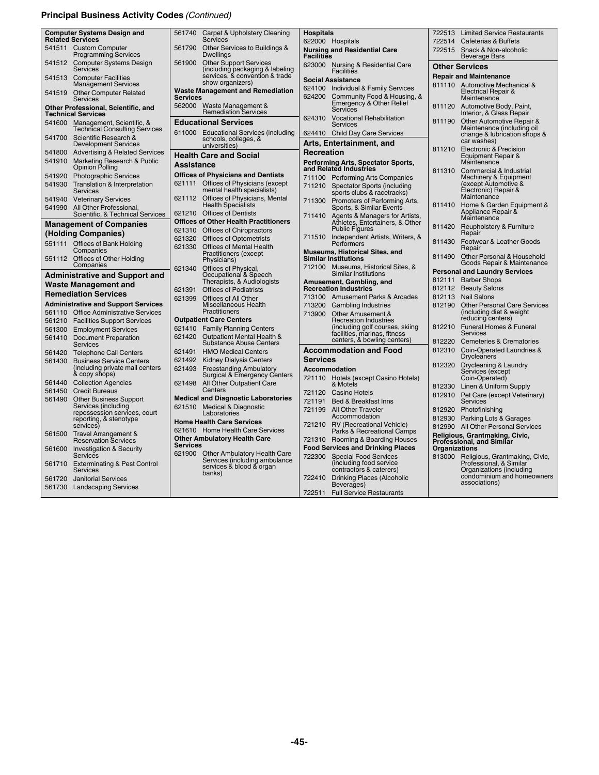### **Principal Business Activity Codes** *(Continued)*

|        | Computer Systems Design and<br><b>Related Services</b>                              | 561740          | Carpet & Upholstery Cleaning<br>Services                                                           | <b>Hospitals</b>  |                                                                        |                      | 722513 Limited Service Restaurants                                  |
|--------|-------------------------------------------------------------------------------------|-----------------|----------------------------------------------------------------------------------------------------|-------------------|------------------------------------------------------------------------|----------------------|---------------------------------------------------------------------|
|        | 541511 Custom Computer                                                              | 561790          | Other Services to Buildings &                                                                      |                   | 622000 Hospitals                                                       |                      | 722514 Cafeterias & Buffets                                         |
|        | <b>Programming Services</b>                                                         |                 | <b>Dwellings</b>                                                                                   | <b>Facilities</b> | <b>Nursing and Residential Care</b>                                    | 722515               | Snack & Non-alcoholic<br><b>Beverage Bars</b>                       |
|        | 541512 Computer Systems Design<br><b>Services</b>                                   | 561900          | <b>Other Support Services</b><br>(including packaging & labeling<br>services, & convention & trade | 623000            | Nursing & Residential Care<br><b>Facilities</b>                        |                      | <b>Other Services</b>                                               |
| 541513 | <b>Computer Facilities</b>                                                          |                 | show organizers)                                                                                   |                   | <b>Social Assistance</b>                                               |                      | <b>Repair and Maintenance</b>                                       |
|        | <b>Management Services</b><br>541519 Other Computer Related                         |                 | <b>Waste Management and Remediation</b>                                                            |                   | 624100 Individual & Family Services                                    |                      | 811110 Automotive Mechanical &<br><b>Electrical Repair &amp;</b>    |
|        | <b>Services</b>                                                                     | <b>Services</b> |                                                                                                    |                   | 624200 Community Food & Housing, &<br>Emergency & Other Relief         |                      | Maintenance                                                         |
|        | Other Professional, Scientific, and<br>Technical Services                           |                 | 562000 Waste Management &<br><b>Remediation Services</b>                                           |                   | <b>Services</b>                                                        |                      | 811120 Automotive Body, Paint,<br>Interior, & Glass Repair          |
| 541600 | Management, Scientific, &                                                           |                 | <b>Educational Services</b>                                                                        |                   | 624310 Vocational Rehabilitation<br><b>Services</b>                    | 811190               | Other Automotive Repair &                                           |
|        | <b>Technical Consulting Services</b>                                                |                 | 611000 Educational Services (including                                                             |                   | 624410 Child Day Care Services                                         |                      | Maintenance (including oil<br>change & lubrication shops &          |
| 541700 | Scientific Research &<br><b>Development Services</b>                                |                 | schools, colleges, &<br>universities)                                                              |                   | Arts, Entertainment, and                                               |                      | car washes)                                                         |
|        | 541800 Advertising & Related Services                                               |                 | <b>Health Care and Social</b>                                                                      | Recreation        |                                                                        | 811210               | Electronic & Precision<br>Equipment Repair &                        |
| 541910 | Marketing Research & Public                                                         | Assistance      |                                                                                                    |                   | Performing Arts, Spectator Sports,                                     |                      | Maintenance                                                         |
| 541920 | <b>Opinion Polling</b>                                                              |                 | <b>Offices of Physicians and Dentists</b>                                                          |                   | and Related Industries                                                 |                      | 811310 Commercial & Industrial                                      |
|        | <b>Photographic Services</b><br>541930 Translation & Interpretation                 |                 | 621111 Offices of Physicians (except                                                               |                   | 711100 Performing Arts Companies<br>711210 Spectator Sports (including |                      | Machinery & Equipment<br>(except Automotive &                       |
|        | Services                                                                            |                 | mental health specialists)                                                                         |                   | sports clubs & racetracks)                                             |                      | Electronic) Repair &<br>Maintenance                                 |
|        | 541940 Veterinary Services<br>541990 All Other Professional,                        | 621112          | Offices of Physicians, Mental<br><b>Health Specialists</b>                                         |                   | 711300 Promoters of Performing Arts,<br>Sports, & Similar Events       | 811410               | Home & Garden Equipment &                                           |
|        | Scientific, & Technical Services                                                    |                 | 621210 Offices of Dentists                                                                         | 711410            | Agents & Managers for Artists,<br>Athletes, Entertainers, & Other      |                      | Appliance Repair &<br>Maintenance                                   |
|        | <b>Management of Companies</b>                                                      |                 | <b>Offices of Other Health Practitioners</b><br>621310 Offices of Chiropractors                    |                   | <b>Public Figures</b>                                                  | 811420               | Reupholstery & Furniture                                            |
|        | (Holding Companies)                                                                 |                 | 621320 Offices of Optometrists                                                                     | 711510            | Independent Artists, Writers, &                                        |                      | Repair                                                              |
|        | 551111 Offices of Bank Holding<br>Companies                                         | 621330          | <b>Offices of Mental Health</b>                                                                    |                   | Performers<br><b>Museums, Historical Sites, and</b>                    | 811430               | Footwear & Leather Goods<br>Repair                                  |
|        | 551112 Offices of Other Holding                                                     |                 | <b>Practitioners (except</b><br>Physicians)                                                        |                   | <b>Similar Institutions</b>                                            | 811490               | Other Personal & Household<br>Goods Repair & Maintenance            |
|        | Companies                                                                           | 621340          | Offices of Physical,                                                                               | 712100            | Museums, Historical Sites, &<br>Similar Institutions                   |                      | <b>Personal and Laundry Services</b>                                |
|        | <b>Administrative and Support and</b>                                               |                 | Occupational & Speech<br>Therapists, & Audiologists                                                |                   | Amusement, Gambling, and                                               |                      | 812111 Barber Shops                                                 |
|        | Waste Management and<br><b>Remediation Services</b>                                 | 621391          | <b>Offices of Podiatrists</b>                                                                      |                   | <b>Recreation Industries</b>                                           |                      | 812112 Beauty Salons                                                |
|        |                                                                                     | 621399          | Offices of All Other                                                                               |                   | 713100 Amusement Parks & Arcades                                       |                      | 812113 Nail Salons                                                  |
|        | <b>Administrative and Support Services</b><br>561110 Office Administrative Services |                 | Miscellaneous Health<br>Practitioners                                                              |                   | 713200 Gambling Industries                                             |                      | 812190 Other Personal Care Services<br>(including diet & weight)    |
|        | 561210 Facilities Support Services                                                  |                 | <b>Outpatient Care Centers</b>                                                                     | 713900            | Other Amusement &<br><b>Recreation Industries</b>                      |                      | reducing centers)                                                   |
|        | 561300 Employment Services                                                          |                 | 621410 Family Planning Centers                                                                     |                   | (including golf courses, skiing                                        | 812210               | <b>Funeral Homes &amp; Funeral</b>                                  |
|        | 561410 Document Preparation                                                         | 621420          | Outpatient Mental Health &                                                                         |                   | facilities, marinas, fitness<br>centers, & bowling centers)            |                      | Services                                                            |
|        | Services                                                                            |                 | <b>Substance Abuse Centers</b>                                                                     |                   | <b>Accommodation and Food</b>                                          | 812310               | 812220 Cemeteries & Crematories<br>Coin-Operated Laundries &        |
|        | 561420 Telephone Call Centers                                                       | 621491          | <b>HMO Medical Centers</b>                                                                         | <b>Services</b>   |                                                                        |                      | <b>Drycleaners</b>                                                  |
| 561430 | <b>Business Service Centers</b><br>(including private mail centers                  | 621493          | 621492 Kidney Dialysis Centers<br><b>Freestanding Ambulatory</b>                                   |                   | <b>Accommodation</b>                                                   |                      | 812320 Drycleaning & Laundry                                        |
|        | & copy shops)                                                                       |                 | Surgical & Emergency Centers                                                                       |                   | 721110 Hotels (except Casino Hotels)                                   |                      | Services (except<br>Coin-Operated)                                  |
| 561440 | <b>Collection Agencies</b>                                                          | 621498          | All Other Outpatient Care                                                                          |                   | & Motels                                                               |                      | 812330 Linen & Uniform Supply                                       |
| 561450 | <b>Credit Bureaus</b>                                                               |                 | Centers<br><b>Medical and Diagnostic Laboratories</b>                                              |                   | 721120 Casino Hotels                                                   | 812910               | Pet Care (except Veterinary)                                        |
| 561490 | <b>Other Business Support</b><br>Services (including                                | 621510          | <b>Medical &amp; Diagnostic</b>                                                                    | 721191            | Bed & Breakfast Inns                                                   |                      | <b>Services</b>                                                     |
|        | repossession services, court                                                        |                 | Laboratories                                                                                       |                   | 721199 All Other Traveler<br>Accommodation                             |                      | 812920 Photofinishing                                               |
|        | reporting, & stenotype<br>services)                                                 |                 | <b>Home Health Care Services</b>                                                                   | 721210            | RV (Recreational Vehicle)                                              |                      | 812930 Parking Lots & Garages<br>812990 All Other Personal Services |
| 561500 | Travel Arrangement &                                                                |                 | 621610 Home Health Care Services                                                                   |                   | <b>Parks &amp; Recreational Camps</b>                                  |                      | Religious, Grantmaking, Civic,                                      |
|        | <b>Reservation Services</b>                                                         | <b>Services</b> | <b>Other Ambulatory Health Care</b>                                                                |                   | 721310 Rooming & Boarding Houses                                       |                      | Professional, and Similar                                           |
| 561600 | Investigation & Security                                                            | 621900          | Other Ambulatory Health Care                                                                       |                   | <b>Food Services and Drinking Places</b>                               | <b>Organizations</b> |                                                                     |
| 561710 | Services<br><b>Exterminating &amp; Pest Control</b>                                 |                 | Services (including ambulance<br>services & blood & organ                                          | 722300            | <b>Special Food Services</b><br>(including food service                |                      | 813000 Religious, Grantmaking, Civic,<br>Professional, & Similar    |
|        | Services                                                                            |                 | banks)                                                                                             |                   | contractors & caterers)                                                |                      | Organizations (including<br>condominium and homeowners              |
|        | 561720 Janitorial Services                                                          |                 |                                                                                                    | 722410            | <b>Drinking Places (Alcoholic</b><br>Beverages)                        |                      | associations)                                                       |
|        | 561730 Landscaping Services                                                         |                 |                                                                                                    | 722511            | <b>Full Service Restaurants</b>                                        |                      |                                                                     |